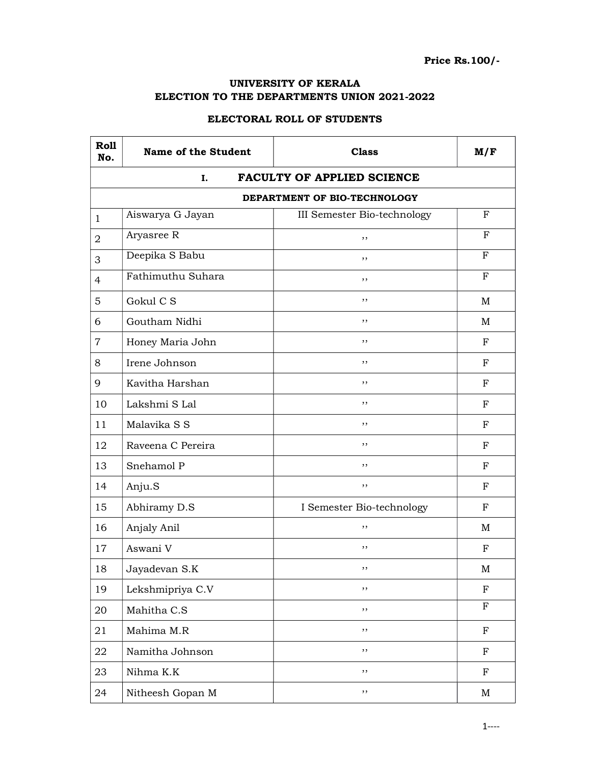## UNIVERSITY OF KERALA ELECTION TO THE DEPARTMENTS UNION 2021-2022

## ELECTORAL ROLL OF STUDENTS

| Roll<br>No.    | <b>Name of the Student</b> | <b>Class</b>                      | M/F          |
|----------------|----------------------------|-----------------------------------|--------------|
|                | I.                         | <b>FACULTY OF APPLIED SCIENCE</b> |              |
|                |                            | DEPARTMENT OF BIO-TECHNOLOGY      |              |
| $\mathbf{1}$   | Aiswarya G Jayan           | III Semester Bio-technology       | F            |
| $\overline{2}$ | Aryasree R                 | ,,                                | F            |
| 3              | Deepika S Babu             | , ,                               | $\mathbf{F}$ |
| $\overline{4}$ | Fathimuthu Suhara          | ,,                                | $_{\rm F}$   |
| 5              | Gokul C S                  | , ,                               | M            |
| 6              | Goutham Nidhi              | ,,                                | M            |
| 7              | Honey Maria John           | , ,                               | F            |
| 8              | Irene Johnson              | ,,                                | F            |
| 9              | Kavitha Harshan            | ,,                                | $_{\rm F}$   |
| 10             | Lakshmi S Lal              | ,,                                | F            |
| 11             | Malavika S S               | ,,                                | F            |
| 12             | Raveena C Pereira          | ,,                                | F            |
| 13             | Snehamol P                 | ,,                                | F            |
| 14             | Anju.S                     | , ,                               | $_{\rm F}$   |
| 15             | Abhiramy D.S               | I Semester Bio-technology         | F            |
| 16             | Anjaly Anil                | ,,                                | M            |
| 17             | Aswani V                   | ,,                                | F            |
| 18             | Jayadevan S.K              | ,,                                | M            |
| 19             | Lekshmipriya C.V           | ,,                                | $_{\rm F}$   |
| 20             | Mahitha C.S                | $, \,$                            | $\mathbf F$  |
| 21             | Mahima M.R                 | $, \,$                            | $\mathbf F$  |
| 22             | Namitha Johnson            | $, \,$                            | ${\bf F}$    |
| 23             | Nihma K.K                  | $, \,$                            | $\rm F$      |
| 24             | Nitheesh Gopan M           | ,,                                | M            |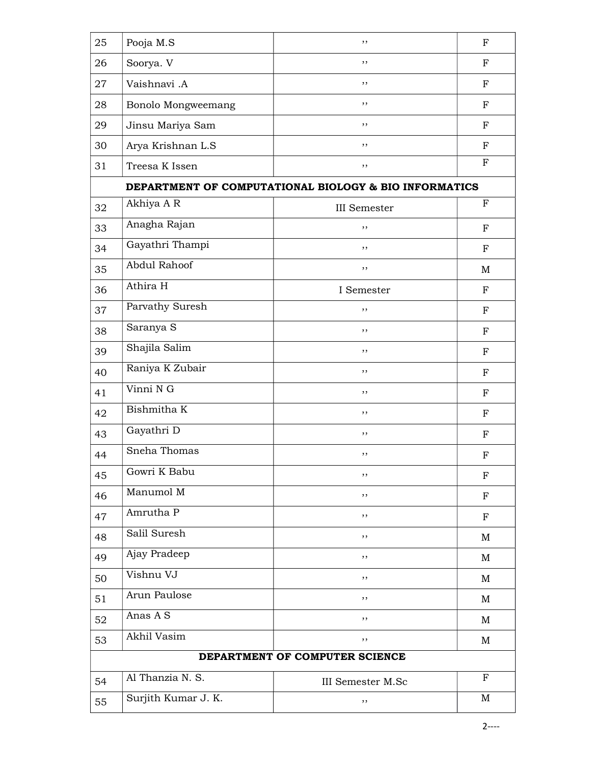| 25                             | Pooja M.S           | , ,                                                   | $_{\rm F}$  |
|--------------------------------|---------------------|-------------------------------------------------------|-------------|
| 26                             | Soorya. V           | , ,                                                   | F           |
| 27                             | Vaishnavi .A        | , ,                                                   | $_{\rm F}$  |
| 28                             | Bonolo Mongweemang  | ,,                                                    | $_{\rm F}$  |
| 29                             | Jinsu Mariya Sam    | , ,                                                   | $_{\rm F}$  |
| 30                             | Arya Krishnan L.S   | , ,                                                   | $_{\rm F}$  |
| 31                             | Treesa K Issen      | ,,                                                    | $\mathbf F$ |
|                                |                     | DEPARTMENT OF COMPUTATIONAL BIOLOGY & BIO INFORMATICS |             |
| 32                             | Akhiya A R          | <b>III</b> Semester                                   | F           |
| 33                             | Anagha Rajan        | ,,                                                    | $_{\rm F}$  |
| 34                             | Gayathri Thampi     | , ,                                                   | ${\bf F}$   |
| 35                             | Abdul Rahoof        | , ,                                                   | M           |
| 36                             | Athira H            | I Semester                                            | $_{\rm F}$  |
| 37                             | Parvathy Suresh     | , ,                                                   | $_{\rm F}$  |
| 38                             | Saranya S           | , ,                                                   | $_{\rm F}$  |
| 39                             | Shajila Salim       | ,,                                                    | $_{\rm F}$  |
| 40                             | Raniya K Zubair     | ,,                                                    | F           |
| 41                             | Vinni N G           | ,,                                                    | F           |
| 42                             | Bishmitha K         | , ,                                                   | $_{\rm F}$  |
| 43                             | Gayathri D          | ,,                                                    | ${\bf F}$   |
| 44                             | Sneha Thomas        | ,,                                                    | $_{\rm F}$  |
| 45                             | Gowri K Babu        | ,,                                                    | $\mathbf F$ |
| 46                             | Manumol M           | , ,                                                   | ${\bf F}$   |
| 47                             | Amrutha P           | ,,                                                    | $_{\rm F}$  |
| 48                             | Salil Suresh        | ,,                                                    | M           |
| 49                             | Ajay Pradeep        | ,,                                                    | M           |
| 50                             | Vishnu VJ           | $, \,$                                                | M           |
| 51                             | Arun Paulose        | , ,                                                   | $\mathbf M$ |
| 52                             | Anas A S            | ,,                                                    | M           |
| 53                             | Akhil Vasim         | ,,                                                    | M           |
| DEPARTMENT OF COMPUTER SCIENCE |                     |                                                       |             |
| 54                             | Al Thanzia N. S.    | III Semester M.Sc                                     | $\mathbf F$ |
| 55                             | Surjith Kumar J. K. | ,,                                                    | M           |
|                                |                     |                                                       |             |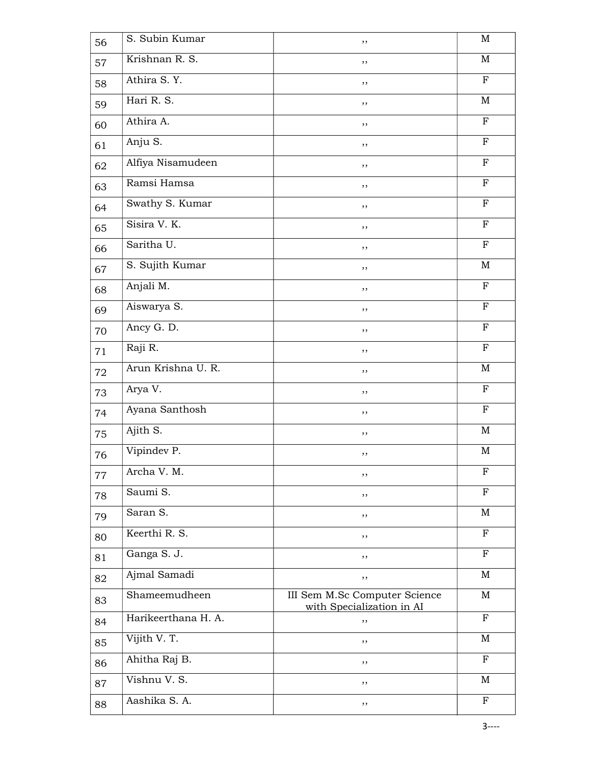| 56 | S. Subin Kumar      | ,,                                                         | $\mathbf M$  |
|----|---------------------|------------------------------------------------------------|--------------|
| 57 | Krishnan R. S.      | ,,                                                         | M            |
| 58 | Athira S.Y.         | ,,                                                         | $\mathbf F$  |
| 59 | Hari R. S.          | ,,                                                         | M            |
| 60 | Athira A.           | ,,                                                         | $\mathbf F$  |
| 61 | Anju S.             | ,,                                                         | $\mathbf F$  |
| 62 | Alfiya Nisamudeen   | , ,                                                        | $\mathbf F$  |
| 63 | Ramsi Hamsa         | , ,                                                        | $\mathbf F$  |
| 64 | Swathy S. Kumar     | ,,                                                         | ${\bf F}$    |
| 65 | Sisira V. K.        | , ,                                                        | ${\bf F}$    |
| 66 | Saritha U.          | ,,                                                         | F            |
| 67 | S. Sujith Kumar     | ,,                                                         | M            |
| 68 | Anjali M.           | $, \,$                                                     | $\mathbf F$  |
| 69 | Aiswarya S.         | ,,                                                         | $\mathbf F$  |
| 70 | Ancy G. D.          | ,,                                                         | $\mathbf{F}$ |
| 71 | Raji R.             | ,,                                                         | $\mathbf F$  |
| 72 | Arun Krishna U. R.  | $, \,$                                                     | M            |
| 73 | Arya V.             | $, \,$                                                     | ${\bf F}$    |
| 74 | Ayana Santhosh      | , ,                                                        | ${\bf F}$    |
| 75 | Ajith S.            | ,,                                                         | M            |
| 76 | Vipindev P.         | ,,                                                         | $\mathbf M$  |
| 77 | Archa V. M.         | ,,                                                         | $\mathbf F$  |
| 78 | Saumi S.            | ,,                                                         | $\mathbf F$  |
| 79 | Saran S.            | ,,                                                         | M            |
| 80 | Keerthi R. S.       | , ,                                                        | F            |
| 81 | Ganga S. J.         | ,,                                                         | $\mathbf F$  |
| 82 | Ajmal Samadi        | ,,                                                         | M            |
| 83 | Shameemudheen       | III Sem M.Sc Computer Science<br>with Specialization in AI | M            |
| 84 | Harikeerthana H. A. | ,,                                                         | $\mathbf F$  |
| 85 | Vijith V. T.        | , ,                                                        | M            |
| 86 | Ahitha Raj B.       | , ,                                                        | $\mathbf F$  |
| 87 | Vishnu V. S.        | ,,                                                         | M            |
| 88 | Aashika S.A.        | ,,                                                         | $\mathbf{F}$ |
|    |                     |                                                            | $3$ ----     |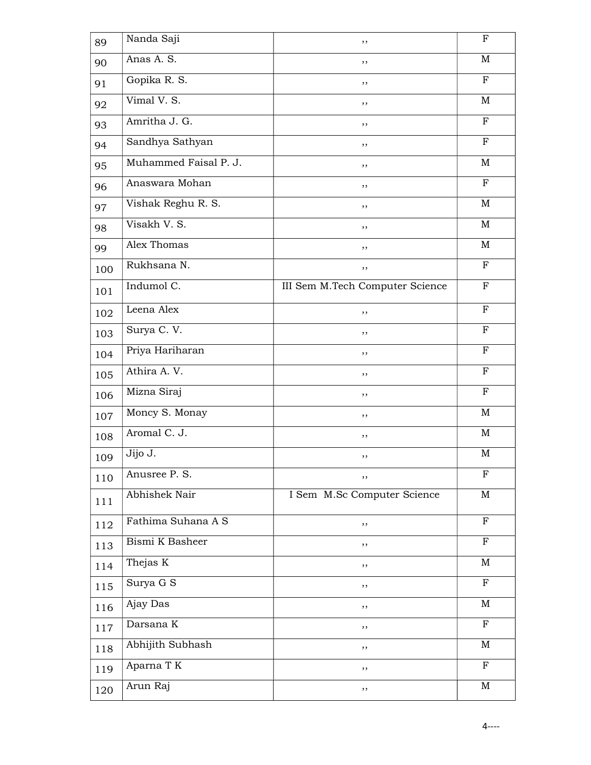| 89  | Nanda Saji               | ,,                              | $_{\rm F}$   |
|-----|--------------------------|---------------------------------|--------------|
| 90  | Anas A. S.               | ,,                              | M            |
| 91  | Gopika R. S.             | , ,                             | $\mathbf F$  |
| 92  | Vimal V. S.              | ,,                              | M            |
| 93  | Amritha J. G.            | ,,                              | $\mathbf F$  |
| 94  | Sandhya Sathyan          | ,,                              | $_{\rm F}$   |
| 95  | Muhammed Faisal P. J.    | , ,                             | M            |
| 96  | Anaswara Mohan           | , ,                             | $\mathbf{F}$ |
| 97  | Vishak Reghu R. S.       | ,,                              | M            |
| 98  | Visakh V. S.             | ,,                              | M            |
| 99  | Alex Thomas              | ,,                              | M            |
| 100 | Rukhsana N.              | ,,                              | $\mathbf F$  |
| 101 | Indumol $\overline{C}$ . | III Sem M.Tech Computer Science | ${\bf F}$    |
| 102 | Leena Alex               | ,,                              | $\mathbf{F}$ |
| 103 | Surya C. V.              | ,,                              | $\mathbf F$  |
| 104 | Priya Hariharan          | ,,                              | $_{\rm F}$   |
| 105 | Athira A.V.              | ,,                              | $_{\rm F}$   |
| 106 | Mizna Siraj              | ,,                              | $\mathbf F$  |
| 107 | Moncy S. Monay           | ,,                              | M            |
| 108 | Aromal C. J.             | ,,                              | M            |
| 109 | Jijo J.                  | ,,                              | M            |
| 110 | Anusree P. S.            | ,,                              | $\mathbf F$  |
| 111 | Abhishek Nair            | I Sem M.Sc Computer Science     | M            |
| 112 | Fathima Suhana A S       | ,,                              | $\mathbf F$  |
| 113 | Bismi K Basheer          | ,,                              | $\mathbf{F}$ |
| 114 | Thejas $\overline{K}$    | ,,                              | $\mathbf M$  |
| 115 | Surya G S                | ,,                              | $\mathbf F$  |
| 116 | Ajay Das                 | ,,                              | $\mathbf M$  |
| 117 | Darsana K                | ,,                              | $\mathbf F$  |
| 118 | Abhijith Subhash         | ,,                              | M            |
| 119 | Aparna T K               | ,,                              | $\mathbf F$  |
| 120 | Arun Raj                 | ,,                              | M            |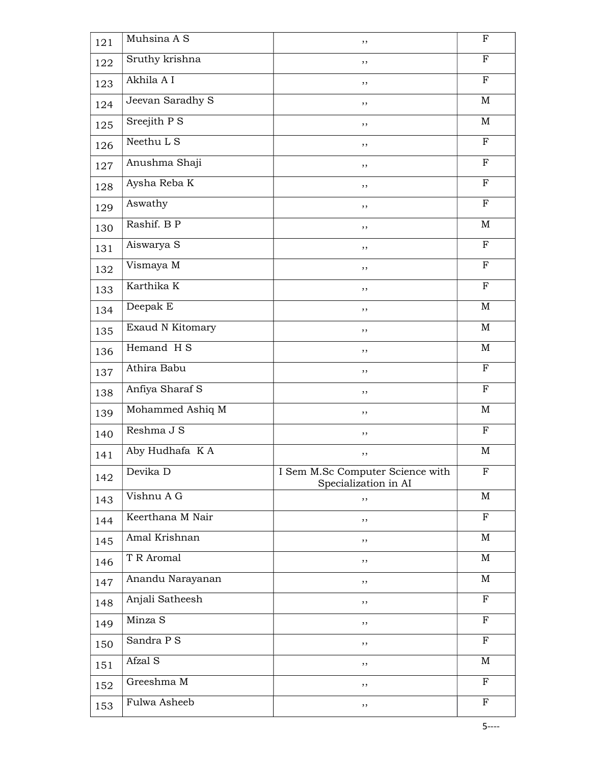| 121 | Muhsina A S      | , ,                                                      | $_{\rm F}$     |
|-----|------------------|----------------------------------------------------------|----------------|
| 122 | Sruthy krishna   | ,,                                                       | F              |
| 123 | Akhila A I       | $, \,$                                                   | $\mathbf F$    |
| 124 | Jeevan Saradhy S | ,,                                                       | M              |
| 125 | Sreejith P S     | ,,                                                       | M              |
| 126 | Neethu L S       | ,,                                                       | $\mathbf F$    |
| 127 | Anushma Shaji    | ,,                                                       | $\mathbf F$    |
| 128 | Aysha Reba K     | ,,                                                       | $\mathbf F$    |
| 129 | Aswathy          | ,,                                                       | $\mathbf F$    |
| 130 | Rashif. B P      | ,,                                                       | $\mathbf M$    |
| 131 | Aiswarya S       | ,,                                                       | F              |
| 132 | Vismaya M        | ,,                                                       | $\mathbf F$    |
| 133 | Karthika K       | ,,                                                       | $\mathbf F$    |
| 134 | Deepak E         | ,,                                                       | $\mathbf M$    |
| 135 | Exaud N Kitomary | ,,                                                       | M              |
| 136 | Hemand H S       | ,,                                                       | M              |
| 137 | Athira Babu      | $, \,$                                                   | $_{\rm F}$     |
| 138 | Anfiya Sharaf S  | ,,                                                       | $\mathbf F$    |
| 139 | Mohammed Ashiq M | , ,                                                      | M              |
| 140 | Reshma J S       | ,,                                                       | $_{\rm F}$     |
| 141 | Aby Hudhafa K A  | ,,                                                       | $\mathbf M$    |
| 142 | Devika D         | I Sem M.Sc Computer Science with<br>Specialization in AI | $\mathbf F$    |
| 143 | Vishnu A G       | ,,                                                       | M              |
| 144 | Keerthana M Nair | , ,                                                      | $\overline{F}$ |
| 145 | Amal Krishnan    | , ,                                                      | M              |
| 146 | T R Aromal       | ,,                                                       | M              |
| 147 | Anandu Narayanan | ,,                                                       | M              |
| 148 | Anjali Satheesh  | ,,                                                       | $\mathbf F$    |
| 149 | Minza S          | ,,                                                       | $_{\rm F}$     |
| 150 | Sandra P S       | ,,                                                       | $\mathbf{F}$   |
| 151 | Afzal S          | $, \,$                                                   | $\mathbf M$    |
| 152 | Greeshma M       | ,,                                                       | $_{\rm F}$     |
| 153 | Fulwa Asheeb     | $, \,$                                                   | F              |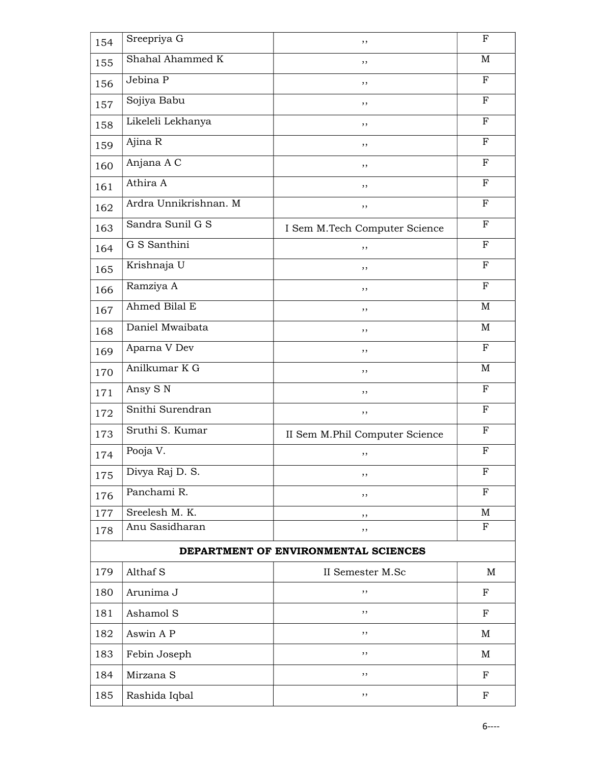| 154 | Sreepriya G           | , ,                                  | $\mathbf F$  |
|-----|-----------------------|--------------------------------------|--------------|
| 155 | Shahal Ahammed K      | ,,                                   | M            |
| 156 | Jebina P              | ,,                                   | $\mathbf F$  |
| 157 | Sojiya Babu           | ,,                                   | $\mathbf F$  |
| 158 | Likeleli Lekhanya     | , ,                                  | $_{\rm F}$   |
| 159 | Ajina R               | $, \,$                               | $_{\rm F}$   |
| 160 | Anjana A C            | ,,                                   | $_{\rm F}$   |
| 161 | Athira A              | , ,                                  | $_{\rm F}$   |
| 162 | Ardra Unnikrishnan. M | ,,                                   | $\mathbf F$  |
| 163 | Sandra Sunil G S      | I Sem M.Tech Computer Science        | $_{\rm F}$   |
| 164 | G S Santhini          | ,,                                   | $_{\rm F}$   |
| 165 | Krishnaja U           | ,,                                   | $\mathbf F$  |
| 166 | Ramziya A             | ,,                                   | F            |
| 167 | Ahmed Bilal E         | , ,                                  | M            |
| 168 | Daniel Mwaibata       | , ,                                  | M            |
| 169 | Aparna V Dev          | ,,                                   | $\mathbf F$  |
| 170 | Anilkumar K G         | , ,                                  | M            |
| 171 | Ansy S N              | ,,                                   | $\mathbf F$  |
| 172 | Snithi Surendran      | $, \,$                               | $_{\rm F}$   |
| 173 | Sruthi S. Kumar       | II Sem M.Phil Computer Science       | $_{\rm F}$   |
| 174 | Pooja V.              | ,,                                   | $_{\rm F}$   |
| 175 | Divya Raj D. S.       | ,,                                   | $_{\rm F}$   |
| 176 | Panchami R.           | ,,                                   | $_{\rm F}$   |
| 177 | Sreelesh M. K.        | ,,                                   | M            |
| 178 | Anu Sasidharan        | ,,                                   | $\mathbf{F}$ |
|     |                       | DEPARTMENT OF ENVIRONMENTAL SCIENCES |              |
| 179 | Althaf S              | II Semester M.Sc                     | M            |
| 180 | Arunima J             | ,,                                   | $\mathbf F$  |
| 181 | Ashamol S             | , ,                                  | ${\bf F}$    |
| 182 | Aswin A P             | $, \,$                               | M            |
| 183 | Febin Joseph          | ,,                                   | M            |
| 184 | Mirzana S             | ,,                                   | $_{\rm F}$   |
| 185 | Rashida Iqbal         | ,,                                   | $_{\rm F}$   |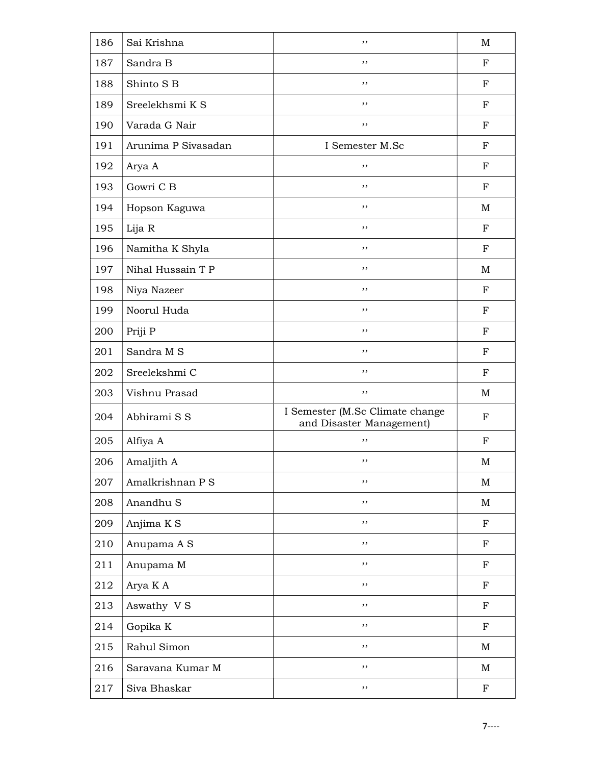| 186 | Sai Krishna         | , ,                                                         | M           |
|-----|---------------------|-------------------------------------------------------------|-------------|
| 187 | Sandra B            | , ,                                                         | $_{\rm F}$  |
| 188 | Shinto S B          | ,,                                                          | $_{\rm F}$  |
| 189 | Sreelekhsmi K S     | ,,                                                          | $_{\rm F}$  |
| 190 | Varada G Nair       | , ,                                                         | $_{\rm F}$  |
| 191 | Arunima P Sivasadan | I Semester M.Sc                                             | $_{\rm F}$  |
| 192 | Arya A              | ,,                                                          | $_{\rm F}$  |
| 193 | Gowri C B           | ,,                                                          | $_{\rm F}$  |
| 194 | Hopson Kaguwa       | ,,                                                          | M           |
| 195 | Lija R              | , ,                                                         | $_{\rm F}$  |
| 196 | Namitha K Shyla     | , ,                                                         | ${\bf F}$   |
| 197 | Nihal Hussain T P   | , ,                                                         | M           |
| 198 | Niya Nazeer         | ,,                                                          | $_{\rm F}$  |
| 199 | Noorul Huda         | , ,                                                         | $_{\rm F}$  |
| 200 | Priji P             | , ,                                                         | $_{\rm F}$  |
| 201 | Sandra M S          | ,,                                                          | $_{\rm F}$  |
| 202 | Sreelekshmi C       | ,,                                                          | F           |
| 203 | Vishnu Prasad       | ,,                                                          | M           |
| 204 | Abhirami S S        | I Semester (M.Sc Climate change<br>and Disaster Management) | ${\bf F}$   |
| 205 | Alfiya A            | ,,                                                          | F           |
| 206 | Amaljith A          | ,,                                                          | M           |
| 207 | Amalkrishnan P S    | ,,                                                          | M           |
| 208 | Anandhu S           | $, \,$                                                      | M           |
| 209 | Anjima K S          | $, \,$                                                      | $_{\rm F}$  |
| 210 | Anupama A S         | ,,                                                          | $_{\rm F}$  |
| 211 | Anupama M           | $, \,$                                                      | $\mathbf F$ |
| 212 | Arya K A            | ,,                                                          | ${\bf F}$   |
| 213 | Aswathy VS          | $, \,$                                                      | ${\bf F}$   |
| 214 | Gopika K            | ,,                                                          | F           |
| 215 | Rahul Simon         | $, \,$                                                      | M           |
| 216 | Saravana Kumar M    | ,,                                                          | M           |
| 217 | Siva Bhaskar        | $, \,$                                                      | $\mathbf F$ |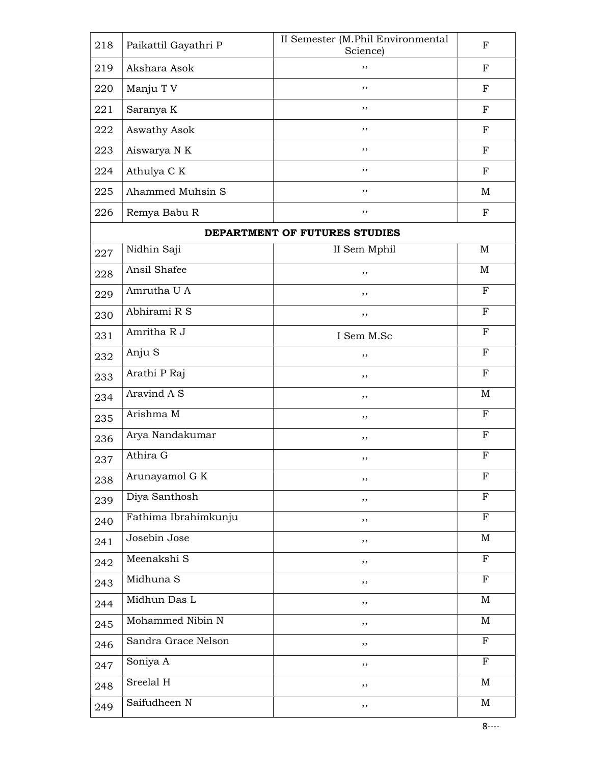| 218 | Paikattil Gayathri P | II Semester (M.Phil Environmental<br>Science) | $_{\rm F}$   |
|-----|----------------------|-----------------------------------------------|--------------|
| 219 | Akshara Asok         | , ,                                           | $_{\rm F}$   |
| 220 | Manju T V            | ,,                                            | $_{\rm F}$   |
| 221 | Saranya K            | ,,                                            | $_{\rm F}$   |
| 222 | Aswathy Asok         | ,,                                            | F            |
| 223 | Aiswarya N K         | , ,                                           | F            |
| 224 | Athulya C K          | , ,                                           | $_{\rm F}$   |
| 225 | Ahammed Muhsin S     | , ,                                           | M            |
| 226 | Remya Babu R         | ,,                                            | $_{\rm F}$   |
|     |                      | DEPARTMENT OF FUTURES STUDIES                 |              |
| 227 | Nidhin Saji          | II Sem Mphil                                  | M            |
| 228 | Ansil Shafee         | ,,                                            | M            |
| 229 | Amrutha U A          | ,,                                            | F            |
| 230 | Abhirami R S         | , ,                                           | $_{\rm F}$   |
| 231 | Amritha R J          | I Sem M.Sc                                    | $\mathbf{F}$ |
| 232 | Anju S               | ,,                                            | F            |
| 233 | Arathi P Raj         | , ,                                           | $\mathbf{F}$ |
| 234 | Aravind A S          | ,,                                            | M            |
| 235 | Arishma M            | ,,                                            | $_{\rm F}$   |
| 236 | Arya Nandakumar      | ,,                                            | $\mathbf F$  |
| 237 | Athira G             | ,,                                            | $_{\rm F}$   |
| 238 | Arunayamol G K       | ,,                                            | F            |
| 239 | Diya Santhosh        | ,,                                            | F            |
| 240 | Fathima Ibrahimkunju | ,,                                            | ${\bf F}$    |
| 241 | Josebin Jose         | $, \,$                                        | M            |
| 242 | Meenakshi S          | ,,                                            | ${\bf F}$    |
| 243 | Midhuna S            | $, \,$                                        | ${\bf F}$    |
| 244 | Midhun Das L         | ,,                                            | $\mathbf M$  |
| 245 | Mohammed Nibin N     | ,,                                            | M            |
| 246 | Sandra Grace Nelson  | ,,                                            | ${\bf F}$    |
| 247 | Soniya A             | ,,                                            | $\mathbf F$  |
| 248 | Sreelal H            | ,,                                            | M            |
| 249 | Saifudheen N         | ,,                                            | $\mathbf M$  |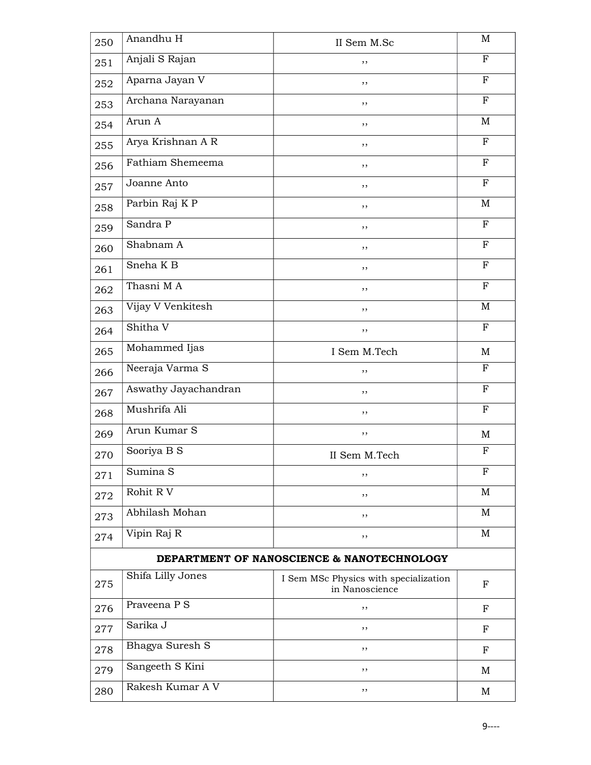| 250 | Anandhu H            | II Sem M.Sc                                             | $\mathbf M$  |
|-----|----------------------|---------------------------------------------------------|--------------|
| 251 | Anjali S Rajan       | ,,                                                      | $\mathbf{F}$ |
| 252 | Aparna Jayan V       | ,,                                                      | $_{\rm F}$   |
| 253 | Archana Narayanan    | ,,                                                      | F            |
| 254 | Arun A               | ,,                                                      | M            |
| 255 | Arya Krishnan A R    | ,,                                                      | F            |
| 256 | Fathiam Shemeema     | ,,                                                      | $_{\rm F}$   |
| 257 | Joanne Anto          | ,,                                                      | F            |
| 258 | Parbin Raj K P       | ,,                                                      | $\mathbf M$  |
| 259 | Sandra P             | ,,                                                      | $_{\rm F}$   |
| 260 | Shabnam A            | ,,                                                      | $\mathbf{F}$ |
| 261 | Sneha K <sub>B</sub> | ,,                                                      | F            |
| 262 | Thasni MA            | ,,                                                      | F            |
| 263 | Vijay V Venkitesh    | ,,                                                      | M            |
| 264 | Shitha V             | ,,                                                      | F            |
| 265 | Mohammed Ijas        | I Sem M.Tech                                            | M            |
| 266 | Neeraja Varma S      | ,,                                                      | F            |
| 267 | Aswathy Jayachandran | ,,                                                      | $\mathbf{F}$ |
| 268 | Mushrifa Ali         | $, \,$                                                  | $\mathbf F$  |
| 269 | Arun Kumar S         | ,,                                                      | M            |
| 270 | Sooriya B S          | II Sem M.Tech                                           | F            |
| 271 | Sumina S             | ,,                                                      | F            |
| 272 | Rohit R V            | ,,                                                      | M            |
| 273 | Abhilash Mohan       | ,,                                                      | M            |
| 274 | Vipin Raj R          | ,,                                                      | M            |
|     |                      | DEPARTMENT OF NANOSCIENCE & NANOTECHNOLOGY              |              |
| 275 | Shifa Lilly Jones    | I Sem MSc Physics with specialization<br>in Nanoscience | F            |
| 276 | Praveena P S         | ,,                                                      | F            |
| 277 | Sarika J             | , ,                                                     | $_{\rm F}$   |
| 278 | Bhagya Suresh S      | ,,                                                      | F            |
| 279 | Sangeeth S Kini      | ,,                                                      | M            |
| 280 | Rakesh Kumar A V     | ,,                                                      | M            |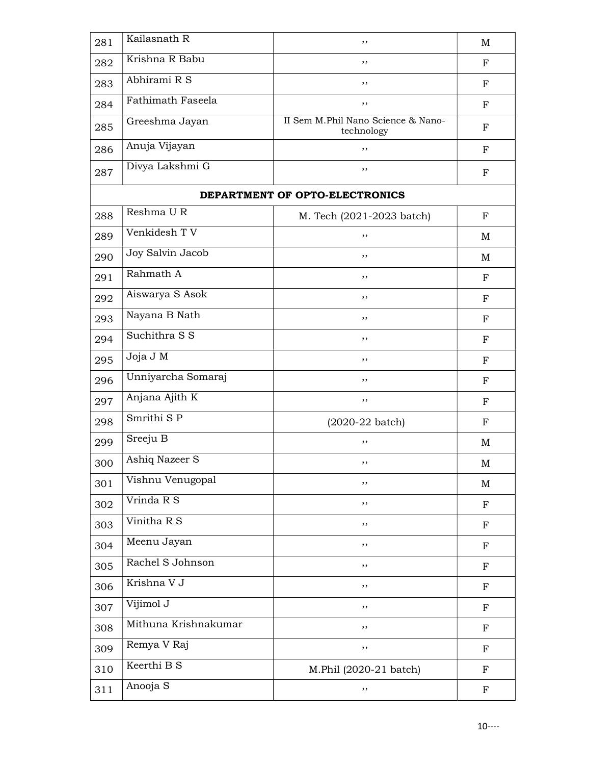| 281 | Kailasnath R         | , ,                                              | $\mathbf M$ |
|-----|----------------------|--------------------------------------------------|-------------|
| 282 | Krishna R Babu       | ,,                                               | F           |
| 283 | Abhirami R S         | ,,                                               | $_{\rm F}$  |
| 284 | Fathimath Faseela    | , ,                                              | $\mathbf F$ |
| 285 | Greeshma Jayan       | II Sem M.Phil Nano Science & Nano-<br>technology | F           |
| 286 | Anuja Vijayan        | ,,                                               | $\mathbf F$ |
| 287 | Divya Lakshmi G      | ,,                                               | F           |
|     |                      | DEPARTMENT OF OPTO-ELECTRONICS                   |             |
| 288 | Reshma UR            | M. Tech (2021-2023 batch)                        | F           |
| 289 | Venkidesh TV         | ,,                                               | M           |
| 290 | Joy Salvin Jacob     | , ,                                              | M           |
| 291 | Rahmath A            | ,,                                               | F           |
| 292 | Aiswarya S Asok      | ,,                                               | $_{\rm F}$  |
| 293 | Nayana B Nath        | ,,                                               | F           |
| 294 | Suchithra S S        | ,,                                               | $_{\rm F}$  |
| 295 | Joja J M             | ,,                                               | F           |
| 296 | Unniyarcha Somaraj   | ,,                                               | F           |
| 297 | Anjana Ajith K       | ,,                                               | F           |
| 298 | Smrithi S P          | $(2020-22 \text{ batch})$                        | $\mathbf F$ |
| 299 | Sreeju B             | ,,                                               | M           |
| 300 | Ashiq Nazeer S       | ,,                                               | M           |
| 301 | Vishnu Venugopal     | ,,                                               | M           |
| 302 | Vrinda R S           | ,,                                               | ${\bf F}$   |
| 303 | Vinitha R S          | ,,                                               | $\mathbf F$ |
| 304 | Meenu Jayan          | ,,                                               | $\mathbf F$ |
| 305 | Rachel S Johnson     | ,,                                               | F           |
| 306 | Krishna V J          | ,,                                               | F           |
| 307 | Vijimol J            | ,,                                               | ${\bf F}$   |
| 308 | Mithuna Krishnakumar | ,,                                               | $\mathbf F$ |
| 309 | Remya V Raj          | ,,                                               | $\mathbf F$ |
| 310 | Keerthi B S          | M.Phil (2020-21 batch)                           | $\mathbf F$ |
| 311 | Anooja S             | ,,                                               | F           |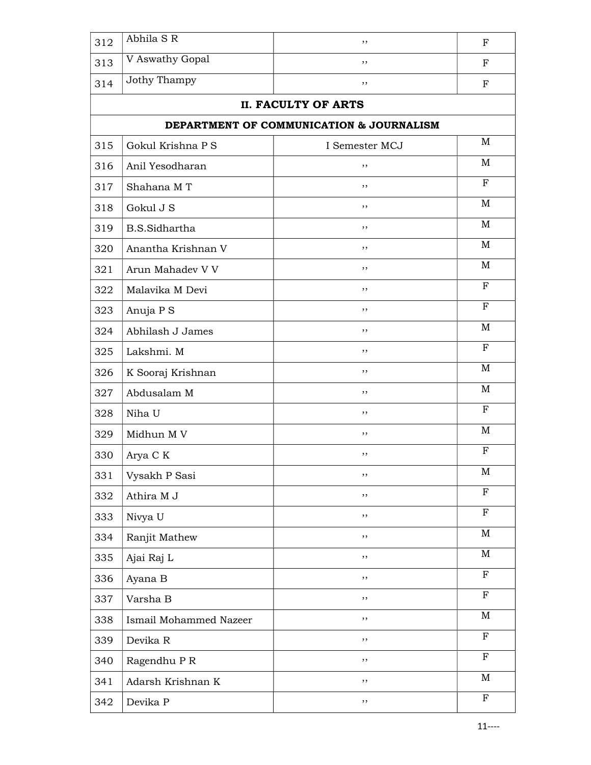| 312 | Abhila S R             | ,,                                       | $_{\rm F}$  |
|-----|------------------------|------------------------------------------|-------------|
| 313 | V Aswathy Gopal        | ,,                                       | F           |
| 314 | Jothy Thampy           | ,,                                       | F           |
|     |                        | <b>II. FACULTY OF ARTS</b>               |             |
|     |                        | DEPARTMENT OF COMMUNICATION & JOURNALISM |             |
| 315 | Gokul Krishna P S      | I Semester MCJ                           | M           |
| 316 | Anil Yesodharan        | ,,                                       | $\mathbf M$ |
| 317 | Shahana MT             | ,,                                       | F           |
| 318 | Gokul J S              | ,,                                       | M           |
| 319 | <b>B.S.Sidhartha</b>   | ,,                                       | M           |
| 320 | Anantha Krishnan V     | ,,                                       | M           |
| 321 | Arun Mahadev V V       | ,,                                       | M           |
| 322 | Malavika M Devi        | ,,                                       | $_{\rm F}$  |
| 323 | Anuja P S              | ,,                                       | F           |
| 324 | Abhilash J James       | , ,                                      | M           |
| 325 | Lakshmi. M             | ,,                                       | ${\bf F}$   |
| 326 | K Sooraj Krishnan      | ,,                                       | M           |
| 327 | Abdusalam M            | ,,                                       | M           |
| 328 | Niha U                 | ,,                                       | F           |
| 329 | Midhun M V             | ,,                                       | M           |
| 330 | Arya C K               | ,,                                       | F           |
| 331 | Vysakh P Sasi          | , ,                                      | M           |
| 332 | Athira M J             | ,,                                       | ${\bf F}$   |
| 333 | Nivya U                | $, \,$                                   | ${\bf F}$   |
| 334 | Ranjit Mathew          | $, \,$                                   | M           |
| 335 | Ajai Raj L             | $, \,$                                   | $\mathbf M$ |
| 336 | Ayana B                | ,,                                       | ${\bf F}$   |
| 337 | Varsha B               | $, \,$                                   | $\mathbf F$ |
| 338 | Ismail Mohammed Nazeer | $, \,$                                   | M           |
| 339 | Devika R               | ,,                                       | $\mathbf F$ |
| 340 | Ragendhu P R           | ,,                                       | $_{\rm F}$  |
| 341 | Adarsh Krishnan K      | $, \,$                                   | $\mathbf M$ |
| 342 | Devika P               | $, \,$                                   | $\mathbf F$ |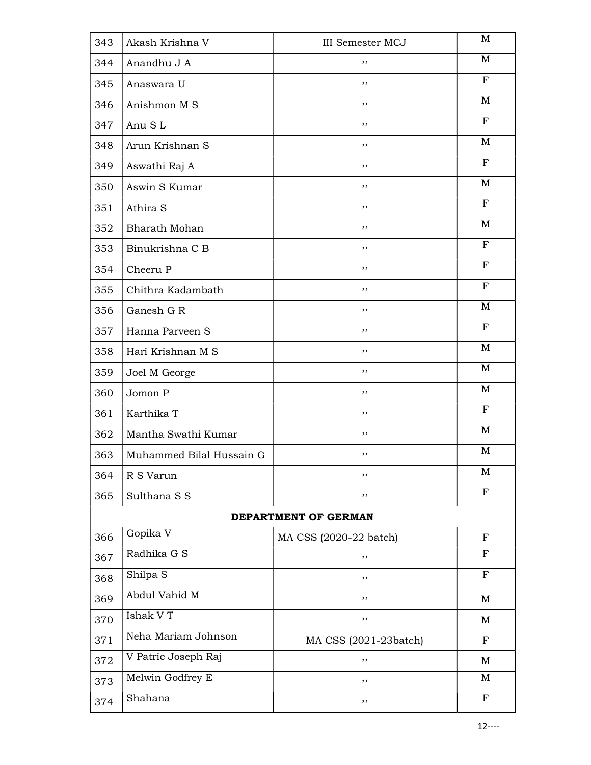| 343 | Akash Krishna V          | <b>III</b> Semester MCJ | M            |
|-----|--------------------------|-------------------------|--------------|
| 344 | Anandhu J A              | ,,                      | M            |
| 345 | Anaswara U               | ,,                      | $\mathbf F$  |
| 346 | Anishmon M S             | ,,                      | M            |
| 347 | Anu SL                   | , ,                     | F            |
| 348 | Arun Krishnan S          | ,,                      | M            |
| 349 | Aswathi Raj A            | ,,                      | $_{\rm F}$   |
| 350 | Aswin S Kumar            | ,,                      | M            |
| 351 | Athira S                 | ,,                      | F            |
| 352 | <b>Bharath Mohan</b>     | , ,                     | M            |
| 353 | Binukrishna C B          | ,,                      | $_{\rm F}$   |
| 354 | Cheeru P                 | ,,                      | $_{\rm F}$   |
| 355 | Chithra Kadambath        | ,,                      | $\mathbf F$  |
| 356 | Ganesh G R               | , ,                     | M            |
| 357 | Hanna Parveen S          | ,,                      | $\mathbf F$  |
| 358 | Hari Krishnan M S        | ,,                      | M            |
| 359 | Joel M George            | ,,                      | M            |
| 360 | Jomon P                  | ,,                      | M            |
| 361 | Karthika T               | , ,                     | $\mathbf F$  |
| 362 | Mantha Swathi Kumar      | ,,                      | M            |
| 363 | Muhammed Bilal Hussain G | ,,                      | M            |
| 364 | R S Varun                | ,,                      | M            |
| 365 | Sulthana S S             | ,,                      | $\mathbf F$  |
|     |                          | DEPARTMENT OF GERMAN    |              |
| 366 | Gopika V                 | MA CSS (2020-22 batch)  | $_{\rm F}$   |
| 367 | Radhika G S              | ,,                      | $_{\rm F}$   |
| 368 | Shilpa S                 | ,,                      | $_{\rm F}$   |
| 369 | Abdul Vahid M            | , ,                     | $\mathbf M$  |
| 370 | Ishak V T                | ,,                      | M            |
| 371 | Neha Mariam Johnson      | MA CSS (2021-23batch)   | $\mathbf F$  |
| 372 | V Patric Joseph Raj      | ,,                      | M            |
| 373 | Melwin Godfrey E         | ,,                      | M            |
| 374 | Shahana                  | ,,                      | $\mathbf{F}$ |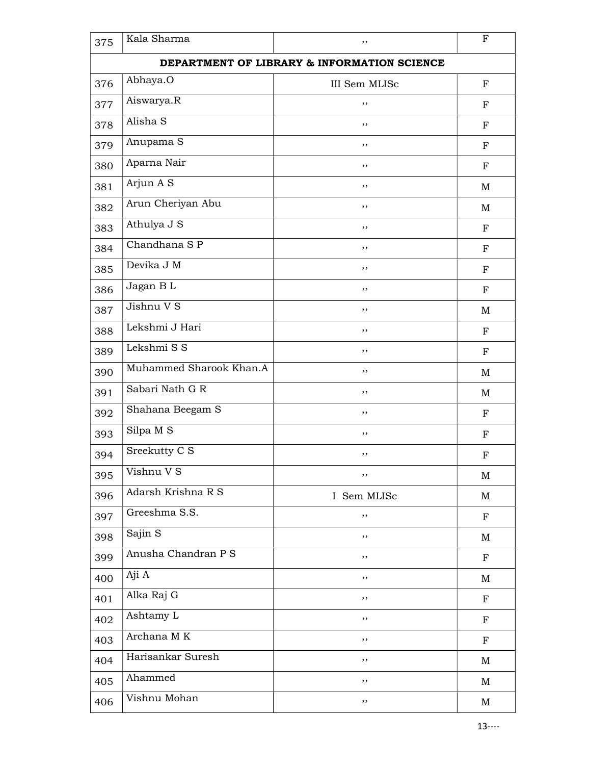| 375 | Kala Sharma                                 | ,,            | $\mathbf F$ |  |  |
|-----|---------------------------------------------|---------------|-------------|--|--|
|     | DEPARTMENT OF LIBRARY & INFORMATION SCIENCE |               |             |  |  |
| 376 | Abhaya.O                                    | III Sem MLISc | ${\bf F}$   |  |  |
| 377 | Aiswarya.R                                  | ,,            | F           |  |  |
| 378 | Alisha S                                    | ,,            | ${\bf F}$   |  |  |
| 379 | Anupama S                                   | ,,            | $_{\rm F}$  |  |  |
| 380 | Aparna Nair                                 | ,,            | $_{\rm F}$  |  |  |
| 381 | Arjun A S                                   | ,,            | M           |  |  |
| 382 | Arun Cheriyan Abu                           | ,,            | M           |  |  |
| 383 | Athulya J S                                 | ,,            | $_{\rm F}$  |  |  |
| 384 | Chandhana S P                               | ,,            | ${\bf F}$   |  |  |
| 385 | Devika J M                                  | ,,            | $_{\rm F}$  |  |  |
| 386 | Jagan BL                                    | ,,            | F           |  |  |
| 387 | Jishnu V S                                  | , ,           | M           |  |  |
| 388 | Lekshmi J Hari                              | , ,           | $_{\rm F}$  |  |  |
| 389 | Lekshmi S S                                 | ,,            | $_{\rm F}$  |  |  |
| 390 | Muhammed Sharook Khan.A                     | ,,            | M           |  |  |
| 391 | Sabari Nath G R                             | ,,            | M           |  |  |
| 392 | Shahana Beegam S                            | , ,           | $\mathbf F$ |  |  |
| 393 | Silpa M S                                   | ,,            | $\mathbf F$ |  |  |
| 394 | Sreekutty C S                               | ,,            | $\mathbf F$ |  |  |
| 395 | Vishnu V S                                  | ,,            | M           |  |  |
| 396 | Adarsh Krishna R S                          | I Sem MLISc   | M           |  |  |
| 397 | Greeshma S.S.                               | ,,            | $\mathbf F$ |  |  |
| 398 | Sajin S                                     | ,,            | M           |  |  |
| 399 | Anusha Chandran P S                         | ,,            | F           |  |  |
| 400 | Aji A                                       | ,,            | M           |  |  |
| 401 | Alka Raj G                                  | ,,            | $\mathbf F$ |  |  |
| 402 | Ashtamy L                                   | ,,            | $\mathbf F$ |  |  |
| 403 | Archana MK                                  | ,,            | $\mathbf F$ |  |  |
| 404 | Harisankar Suresh                           | ,,            | M           |  |  |
| 405 | Ahammed                                     | ,,            | M           |  |  |
| 406 | Vishnu Mohan                                | ,,            | M           |  |  |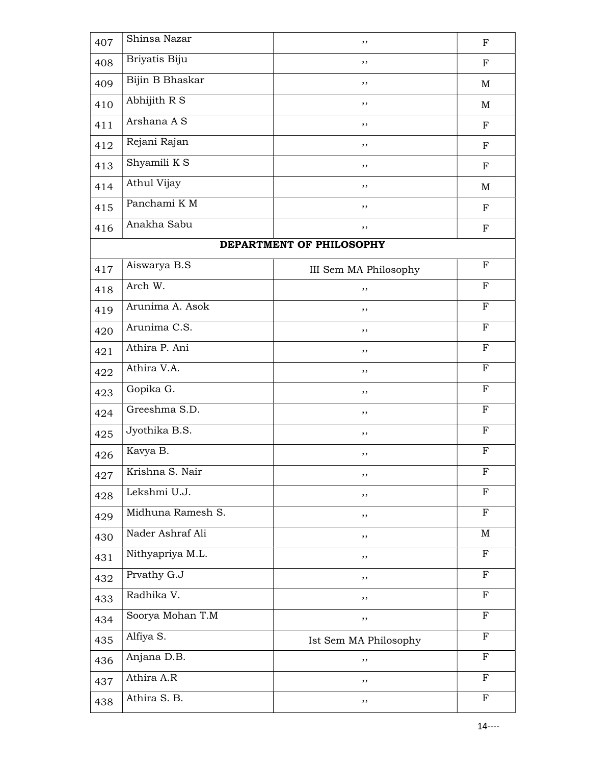| 407 | Shinsa Nazar             | ,,                       | $\mathbf F$  |
|-----|--------------------------|--------------------------|--------------|
| 408 | Briyatis Biju            | ,,                       | $\mathbf F$  |
| 409 | Bijin B Bhaskar          | ,,                       | M            |
| 410 | Abhijith R S             | ,,                       | M            |
| 411 | Arshana A S              | ,,                       | ${\bf F}$    |
| 412 | Rejani Rajan             | ,,                       | $\mathbf F$  |
| 413 | Shyamili $K\overline{S}$ | ,,                       | ${\bf F}$    |
| 414 | Athul Vijay              | ,,                       | $\mathbf M$  |
| 415 | Panchami K M             | ,,                       | ${\bf F}$    |
| 416 | Anakha Sabu              | ,,                       | $\mathbf F$  |
|     |                          | DEPARTMENT OF PHILOSOPHY |              |
| 417 | Aiswarya B.S             | III Sem MA Philosophy    | $\mathbf F$  |
| 418 | Arch W.                  | ,,                       | $\mathbf{F}$ |
| 419 | Arunima A. Asok          | ,,                       | $\mathbf F$  |
| 420 | Arunima C.S.             | ,,                       | $\mathbf F$  |
| 421 | Athira P. Ani            | ,,                       | $_{\rm F}$   |
| 422 | Athira V.A.              | ,,                       | $\mathbf F$  |
| 423 | Gopika G.                | ,,                       | $_{\rm F}$   |
| 424 | Greeshma S.D.            | ,,                       | $\mathbf F$  |
| 425 | Jyothika B.S.            | ,,                       | $_{\rm F}$   |
| 426 | Kavya B.                 | ,,                       | $\mathbf F$  |
| 427 | Krishna S. Nair          | ,,                       | $\mathbf F$  |
| 428 | Lekshmi U.J.             | ,,                       | $_{\rm F}$   |
| 429 | Midhuna Ramesh S.        | ,,                       | $\mathbf{F}$ |
| 430 | Nader Ashraf Ali         | ,,                       | M            |
| 431 | Nithyapriya M.L.         | ,,                       | $\mathbf F$  |
| 432 | Prvathy G.J              | ,,                       | $_{\rm F}$   |
| 433 | Radhika V.               | ,,                       | $\mathbf F$  |
| 434 | Soorya Mohan T.M         | ,,                       | $_{\rm F}$   |
| 435 | Alfiya S.                | Ist Sem MA Philosophy    | ${\bf F}$    |
| 436 | Anjana D.B.              | ,,                       | $\mathbf{F}$ |
| 437 | Athira A.R               | ,,                       | $\mathbf F$  |
| 438 | Athira S. B.             | ,,                       | $\mathbf F$  |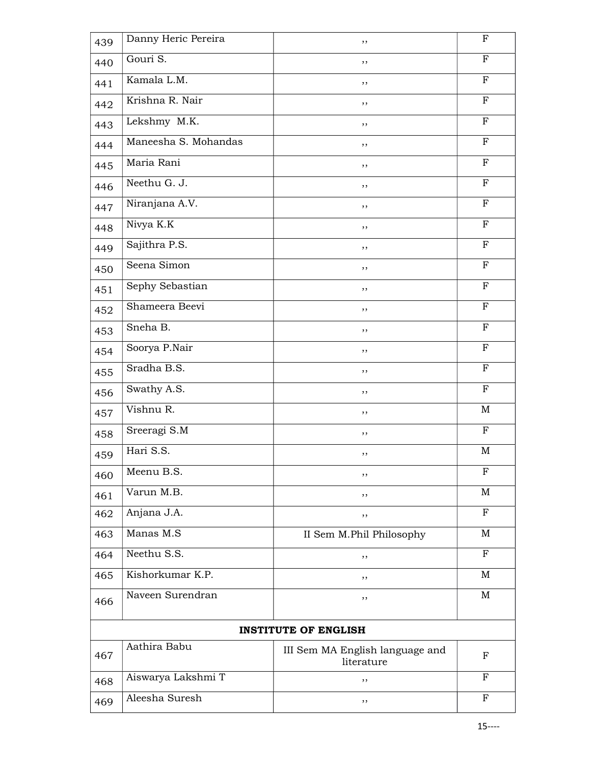| 439 | Danny Heric Pereira         | ,,                                            | $\mathbf F$ |  |
|-----|-----------------------------|-----------------------------------------------|-------------|--|
| 440 | Gouri S.                    | ,,                                            | $\mathbf F$ |  |
| 441 | Kamala L.M.                 | ,,                                            | $\mathbf F$ |  |
| 442 | Krishna R. Nair             | ,,                                            | $_{\rm F}$  |  |
| 443 | Lekshmy M.K.                | ,,                                            | $\mathbf F$ |  |
| 444 | Maneesha S. Mohandas        | ,,                                            | $_{\rm F}$  |  |
| 445 | Maria Rani                  | ,,                                            | $\mathbf F$ |  |
| 446 | Neethu G. J.                | ,,                                            | $\mathbf F$ |  |
| 447 | Niranjana A.V.              | ,,                                            | $\mathbf F$ |  |
| 448 | Nivya K.K                   | ,,                                            | $_{\rm F}$  |  |
| 449 | Sajithra P.S.               | ,,                                            | $\mathbf F$ |  |
| 450 | Seena Simon                 | ,,                                            | $\mathbf F$ |  |
| 451 | Sephy Sebastian             | ,,                                            | $_{\rm F}$  |  |
| 452 | Shameera Beevi              | ,,                                            | $\mathbf F$ |  |
| 453 | Sneha B.                    | $, \,$                                        | $\mathbf F$ |  |
| 454 | Soorya P.Nair               | ,,                                            | $\mathbf F$ |  |
| 455 | Sradha B.S.                 | ,,                                            | $\mathbf F$ |  |
| 456 | Swathy A.S.                 | ,,                                            | $\mathbf F$ |  |
| 457 | Vishnu R.                   | ,,                                            | M           |  |
| 458 | Sreeragi S.M                | ,,                                            | $_{\rm F}$  |  |
| 459 | Hari S.S.                   | ,,                                            | M           |  |
| 460 | Meenu B.S.                  | ,,                                            | F           |  |
| 461 | Varun M.B.                  | ,,                                            | M           |  |
| 462 | Anjana J.A.                 | ,,                                            | $_{\rm F}$  |  |
| 463 | Manas M.S                   | II Sem M.Phil Philosophy                      | M           |  |
| 464 | Neethu S.S.                 | ,,                                            | $_{\rm F}$  |  |
| 465 | Kishorkumar K.P.            | ,,                                            | M           |  |
| 466 | Naveen Surendran            | ,,                                            | M           |  |
|     | <b>INSTITUTE OF ENGLISH</b> |                                               |             |  |
| 467 | Aathira Babu                | III Sem MA English language and<br>literature | F           |  |
| 468 | Aiswarya Lakshmi T          | ,,                                            | F           |  |
| 469 | Aleesha Suresh              | ,,                                            | $\mathbf F$ |  |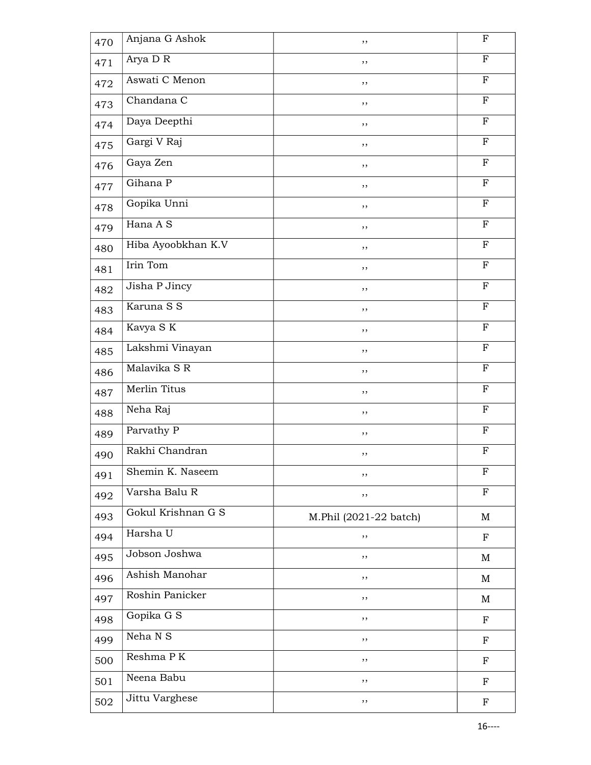| 470 | Anjana G Ashok     | ,,                     | $_{\rm F}$  |
|-----|--------------------|------------------------|-------------|
| 471 | Arya D R           | ,,                     | $\mathbf F$ |
| 472 | Aswati C Menon     | ,,                     | $\mathbf F$ |
| 473 | Chandana C         | ,,                     | F           |
| 474 | Daya Deepthi       | ,,                     | $\mathbf F$ |
| 475 | Gargi V Raj        | ,,                     | $\mathbf F$ |
| 476 | Gaya Zen           | ,,                     | $\mathbf F$ |
| 477 | Gihana P           | ,,                     | $\mathbf F$ |
| 478 | Gopika Unni        | $, \,$                 | $\mathbf F$ |
| 479 | Hana A S           | ,,                     | $\mathbf F$ |
| 480 | Hiba Ayoobkhan K.V | ,,                     | $\mathbf F$ |
| 481 | Irin Tom           | , ,                    | F           |
| 482 | Jisha P Jincy      | ,,                     | F           |
| 483 | Karuna S S         | ,,                     | $\mathbf F$ |
| 484 | Kavya S K          | ,,                     | $\mathbf F$ |
| 485 | Lakshmi Vinayan    | ,,                     | $\mathbf F$ |
| 486 | Malavika S R       | ,,                     | $\mathbf F$ |
| 487 | Merlin Titus       | $, \,$                 | ${\bf F}$   |
| 488 | Neha Raj           | $, \,$                 | $\mathbf F$ |
| 489 | Parvathy P         | ,,                     | $_{\rm F}$  |
| 490 | Rakhi Chandran     | ,,                     | F           |
| 491 | Shemin K. Naseem   | ,,                     | F           |
| 492 | Varsha Balu R      | ,,                     | $\mathbf F$ |
| 493 | Gokul Krishnan G S | M.Phil (2021-22 batch) | M           |
| 494 | Harsha U           | ,,                     | $_{\rm F}$  |
| 495 | Jobson Joshwa      | ,,                     | M           |
| 496 | Ashish Manohar     | ,,                     | M           |
| 497 | Roshin Panicker    | ,,                     | M           |
| 498 | Gopika G S         | ,,                     | $\mathbf F$ |
| 499 | Neha N S           | $, \,$                 | $\mathbf F$ |
| 500 | Reshma PK          | $, \,$                 | F           |
| 501 | Neena Babu         | ,,                     | $\mathbf F$ |
| 502 | Jittu Varghese     | ,,                     | F           |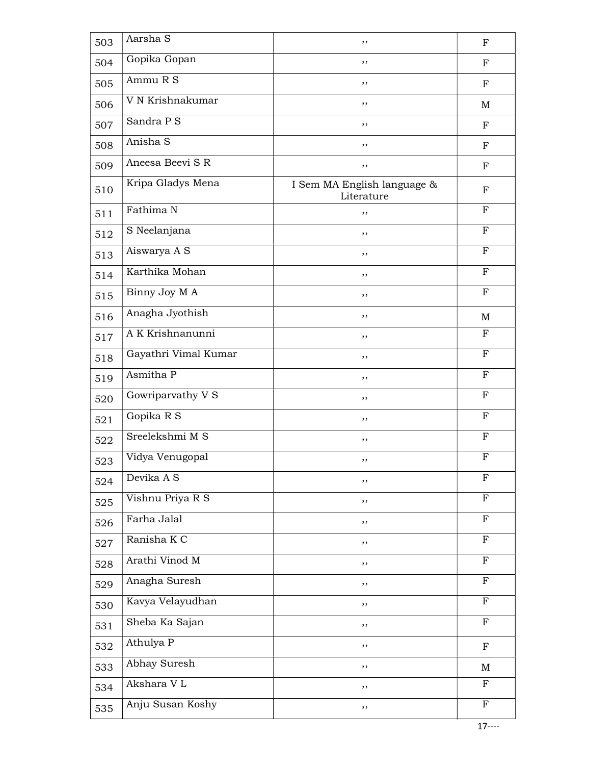| 503 | Aarsha S             | , ,                                       | $\mathbf F$ |
|-----|----------------------|-------------------------------------------|-------------|
| 504 | Gopika Gopan         | ,,                                        | ${\bf F}$   |
| 505 | Ammu R S             | ,,                                        | $_{\rm F}$  |
| 506 | V N Krishnakumar     | ,,                                        | M           |
| 507 | Sandra P S           | ,,                                        | ${\bf F}$   |
| 508 | Anisha S             | ,,                                        | ${\bf F}$   |
| 509 | Aneesa Beevi S R     | ,,                                        | $_{\rm F}$  |
| 510 | Kripa Gladys Mena    | I Sem MA English language &<br>Literature | F           |
| 511 | Fathima N            | ,,                                        | $_{\rm F}$  |
| 512 | S Neelanjana         | , ,                                       | $\mathbf F$ |
| 513 | Aiswarya A S         | ,,                                        | $_{\rm F}$  |
| 514 | Karthika Mohan       | ,,                                        | $\mathbf F$ |
| 515 | Binny Joy M A        | ,,                                        | $\mathbf F$ |
| 516 | Anagha Jyothish      | ,,                                        | M           |
| 517 | A K Krishnanunni     | ,,                                        | $_{\rm F}$  |
| 518 | Gayathri Vimal Kumar | , ,                                       | $\mathbf F$ |
| 519 | Asmitha P            | ,,                                        | $\mathbf F$ |
| 520 | Gowriparvathy V S    | ,,                                        | F           |
| 521 | Gopika R S           | ,,                                        | $\mathbf F$ |
| 522 | Sreelekshmi M S      | ,,                                        | $_{\rm F}$  |
| 523 | Vidya Venugopal      | ,,                                        | $\mathbf F$ |
| 524 | Devika A S           | ,,                                        | F           |
| 525 | Vishnu Priya R S     | , ,                                       | $\mathbf F$ |
| 526 | Farha Jalal          | ,,                                        | $_{\rm F}$  |
| 527 | Ranisha K C          | ,,                                        | $\mathbf F$ |
| 528 | Arathi Vinod M       | ,,                                        | $\mathbf F$ |
| 529 | Anagha Suresh        | ,,                                        | $_{\rm F}$  |
| 530 | Kavya Velayudhan     | ,,                                        | $\mathbf F$ |
| 531 | Sheba Ka Sajan       | ,,                                        | $_{\rm F}$  |
| 532 | Athulya P            | $, \,$                                    | $\mathbf F$ |
| 533 | Abhay Suresh         | ,,                                        | M           |
| 534 | Akshara VL           | ,,                                        | $_{\rm F}$  |
| 535 | Anju Susan Koshy     | ,,                                        | $\mathbf F$ |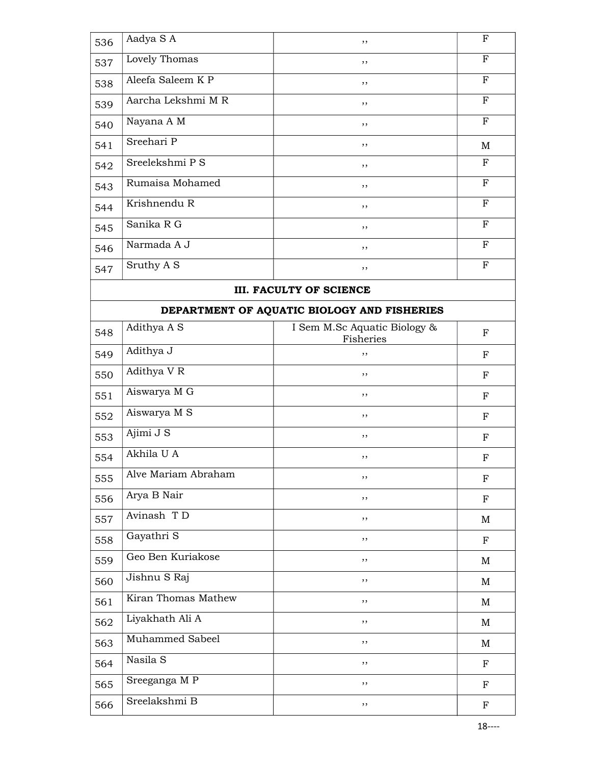| 536 | Aadya SA           | , , | F           |
|-----|--------------------|-----|-------------|
| 537 | Lovely Thomas      | , , | $\mathbf F$ |
| 538 | Aleefa Saleem K P  | , , | $_{\rm F}$  |
| 539 | Aarcha Lekshmi M R | , , | $_{\rm F}$  |
| 540 | Nayana A M         | , , | $_{\rm F}$  |
| 541 | Sreehari P         | , , | M           |
| 542 | Sreelekshmi P S    | , , | $_{\rm F}$  |
| 543 | Rumaisa Mohamed    | , , | $_{\rm F}$  |
| 544 | Krishnendu R       | , , | $_{\rm F}$  |
| 545 | Sanika R G         | , , | $_{\rm F}$  |
| 546 | Narmada A J        | ,,  | F           |
| 547 | Sruthy A S         | , , | $_{\rm F}$  |

## III. FACULTY OF SCIENCE

## DEPARTMENT OF AQUATIC BIOLOGY AND FISHERIES

| 548 | Adithya A S         | I Sem M.Sc Aquatic Biology &<br>Fisheries | $\mathbf{F}$ |
|-----|---------------------|-------------------------------------------|--------------|
| 549 | Adithya J           | ,,                                        | $_{\rm F}$   |
| 550 | Adithya V R         | ,,                                        | $\mathbf{F}$ |
| 551 | Aiswarya M G        | ,,                                        | F            |
| 552 | Aiswarya M S        | ,,                                        | F            |
| 553 | Ajimi J S           | ,,                                        | ${\bf F}$    |
| 554 | Akhila U A          | ,,                                        | F            |
| 555 | Alve Mariam Abraham | ,,                                        | $_{\rm F}$   |
| 556 | Arya B Nair         | ,,                                        | $\mathbf F$  |
| 557 | Avinash TD          | ,,                                        | M            |
| 558 | Gayathri S          | ,,                                        | ${\bf F}$    |
| 559 | Geo Ben Kuriakose   | ,,                                        | M            |
| 560 | Jishnu S Raj        | ,,                                        | M            |
| 561 | Kiran Thomas Mathew | ,,                                        | M            |
| 562 | Liyakhath Ali A     | ,,                                        | M            |
| 563 | Muhammed Sabeel     | ,,                                        | M            |
| 564 | Nasila S            | ,,                                        | F            |
| 565 | Sreeganga MP        | ,,                                        | $_{\rm F}$   |
| 566 | Sreelakshmi B       | ,,                                        | $\mathbf F$  |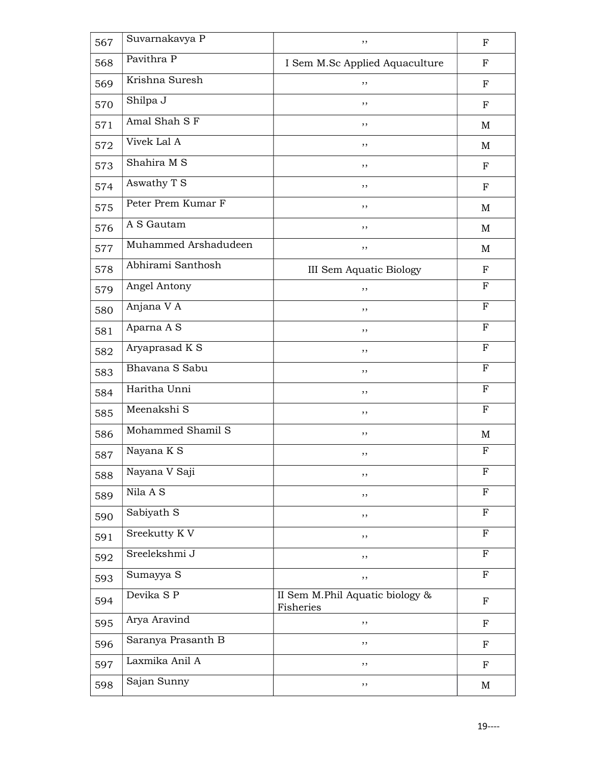| 567 | Suvarnakavya P       | ,,                                           | $_{\rm F}$  |
|-----|----------------------|----------------------------------------------|-------------|
| 568 | Pavithra P           | I Sem M.Sc Applied Aquaculture               | F           |
| 569 | Krishna Suresh       | ,,                                           | $_{\rm F}$  |
| 570 | Shilpa J             | ,,                                           | $_{\rm F}$  |
| 571 | Amal Shah S F        | , ,                                          | M           |
| 572 | Vivek Lal A          | , ,                                          | M           |
| 573 | Shahira M S          | ,,                                           | F           |
| 574 | Aswathy T S          | ,,                                           | $_{\rm F}$  |
| 575 | Peter Prem Kumar F   | ,,                                           | M           |
| 576 | A S Gautam           | , ,                                          | M           |
| 577 | Muhammed Arshadudeen | ,,                                           | M           |
| 578 | Abhirami Santhosh    | <b>III Sem Aquatic Biology</b>               | $_{\rm F}$  |
| 579 | Angel Antony         | ,,                                           | $\mathbf F$ |
| 580 | Anjana V A           | $, \,$                                       | $_{\rm F}$  |
| 581 | Aparna A S           | ,,                                           | $\mathbf F$ |
| 582 | Aryaprasad K S       | ,,                                           | F           |
| 583 | Bhavana S Sabu       | ,,                                           | $_{\rm F}$  |
| 584 | Haritha Unni         | ,,                                           | $_{\rm F}$  |
| 585 | Meenakshi S          | , ,                                          | $\mathbf F$ |
| 586 | Mohammed Shamil S    | ,,                                           | M           |
| 587 | Nayana K S           | ,,                                           | F           |
| 588 | Nayana V Saji        | ,,                                           | $_{\rm F}$  |
| 589 | Nila A S             | $, \,$                                       | $_{\rm F}$  |
| 590 | Sabiyath S           | ,,                                           | $\mathbf F$ |
| 591 | Sreekutty KV         | ,,                                           | $\mathbf F$ |
| 592 | Sreelekshmi J        | ,,                                           | $_{\rm F}$  |
| 593 | Sumayya S            | , ,                                          | $_{\rm F}$  |
| 594 | Devika S P           | II Sem M.Phil Aquatic biology &<br>Fisheries | ${\bf F}$   |
| 595 | Arya Aravind         | , ,                                          | $\mathbf F$ |
| 596 | Saranya Prasanth B   | ,,                                           | ${\bf F}$   |
| 597 | Laxmika Anil A       | ,,                                           | $_{\rm F}$  |
| 598 | Sajan Sunny          | ,,                                           | M           |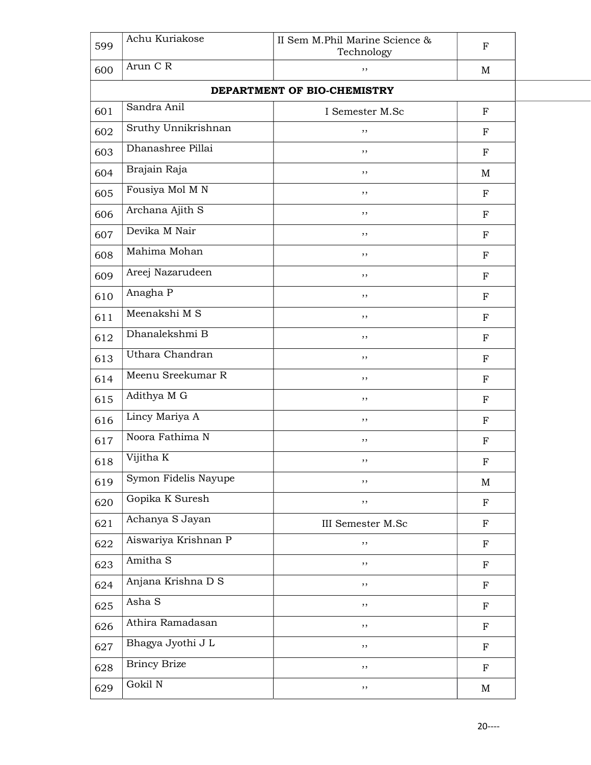| 599 | Achu Kuriakose       | II Sem M.Phil Marine Science &<br>Technology | $\mathbf F$ |  |
|-----|----------------------|----------------------------------------------|-------------|--|
| 600 | Arun C R             | ,,                                           | M           |  |
|     |                      | DEPARTMENT OF BIO-CHEMISTRY                  |             |  |
| 601 | Sandra Anil          | I Semester M.Sc                              | $\mathbf F$ |  |
| 602 | Sruthy Unnikrishnan  | ,,                                           | ${\bf F}$   |  |
| 603 | Dhanashree Pillai    | ,,                                           | ${\bf F}$   |  |
| 604 | Brajain Raja         | ,,                                           | M           |  |
| 605 | Fousiya Mol M N      | ,,                                           | $_{\rm F}$  |  |
| 606 | Archana Ajith S      | ,,                                           | $\mathbf F$ |  |
| 607 | Devika M Nair        | ,,                                           | $\mathbf F$ |  |
| 608 | Mahima Mohan         | ,,                                           | $\mathbf F$ |  |
| 609 | Areej Nazarudeen     | ,,                                           | $\mathbf F$ |  |
| 610 | Anagha <sub>P</sub>  | ,,                                           | $\mathbf F$ |  |
| 611 | Meenakshi M S        | ,,                                           | $\mathbf F$ |  |
| 612 | Dhanalekshmi B       | ,,                                           | $\mathbf F$ |  |
| 613 | Uthara Chandran      | ,,                                           | $\mathbf F$ |  |
| 614 | Meenu Sreekumar R    | ,,                                           | $_{\rm F}$  |  |
| 615 | Adithya M G          | ,,                                           | $\mathbf F$ |  |
| 616 | Lincy Mariya A       | ,,                                           | $\mathbf F$ |  |
| 617 | Noora Fathima N      | ,,                                           | $\mathbf F$ |  |
| 618 | Vijitha K            | ,,                                           | $\mathbf F$ |  |
| 619 | Symon Fidelis Nayupe | ,,                                           | M           |  |
| 620 | Gopika K Suresh      | ,,                                           | $\mathbf F$ |  |
| 621 | Achanya S Jayan      | III Semester M.Sc                            | $\mathbf F$ |  |
| 622 | Aiswariya Krishnan P | ,,                                           | $\mathbf F$ |  |
| 623 | Amitha S             | ,,                                           | $\mathbf F$ |  |
| 624 | Anjana Krishna D S   | ,,                                           | $\mathbf F$ |  |
| 625 | Asha S               | ,,                                           | ${\bf F}$   |  |
| 626 | Athira Ramadasan     | ,,                                           | ${\bf F}$   |  |
| 627 | Bhagya Jyothi J L    | ,,                                           | $\mathbf F$ |  |
| 628 | <b>Brincy Brize</b>  | ,,                                           | $\mathbf F$ |  |
| 629 | Gokil N              | ,,                                           | M           |  |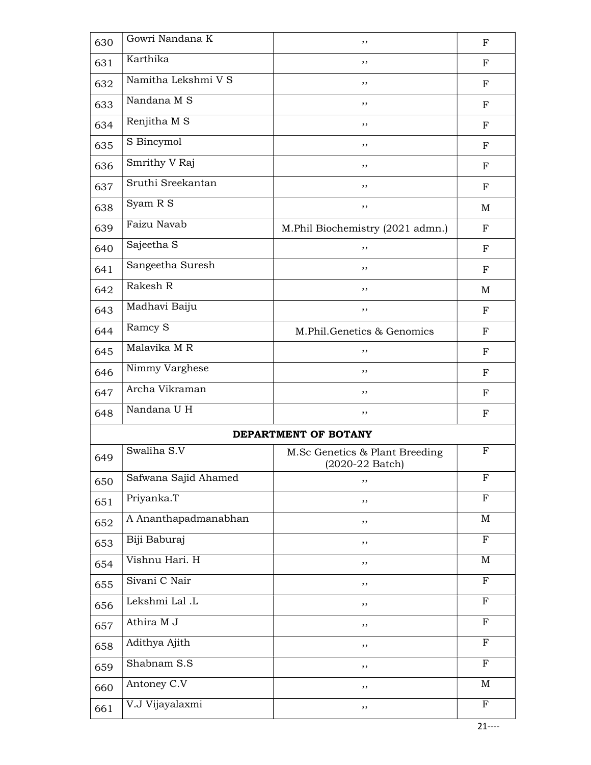| 630 | Gowri Nandana K       | ,,                                                          | $_{\rm F}$   |
|-----|-----------------------|-------------------------------------------------------------|--------------|
| 631 | Karthika              | ,,                                                          | F            |
| 632 | Namitha Lekshmi V S   | ,,                                                          | F            |
| 633 | Nandana M S           | ,,                                                          | F            |
| 634 | Renjitha M S          | ,,                                                          | F            |
| 635 | S Bincymol            | ,,                                                          | F            |
| 636 | Smrithy V Raj         | ,,                                                          | $_{\rm F}$   |
| 637 | Sruthi Sreekantan     | ,,                                                          | $_{\rm F}$   |
| 638 | Syam R S              | ,,                                                          | M            |
| 639 | Faizu Navab           | M.Phil Biochemistry (2021 admn.)                            | $_{\rm F}$   |
| 640 | Sajeetha <sub>S</sub> | ,,                                                          | F            |
| 641 | Sangeetha Suresh      | ,,                                                          | $_{\rm F}$   |
| 642 | Rakesh R              | ,,                                                          | M            |
| 643 | Madhavi Baiju         | ,,                                                          | F            |
| 644 | Ramcy S               | M.Phil.Genetics & Genomics                                  | $_{\rm F}$   |
| 645 | Malavika M R          | ,,                                                          | F            |
| 646 | Nimmy Varghese        | ,,                                                          | $_{\rm F}$   |
| 647 | Archa Vikraman        | ,,                                                          | F            |
| 648 | Nandana U H           | ,,                                                          | $_{\rm F}$   |
|     |                       | DEPARTMENT OF BOTANY                                        |              |
| 649 | Swaliha S.V           | M.Sc Genetics & Plant Breeding<br>$(2020-22 \text{ Batch})$ | F            |
| 650 | Safwana Sajid Ahamed  | ,,                                                          | $_{\rm F}$   |
| 651 | Priyanka.T            | ,,                                                          | $\mathbf{F}$ |
| 652 | A Ananthapadmanabhan  | ,,                                                          | M            |
| 653 | Biji Baburaj          | ,,                                                          | $\mathbf{F}$ |
| 654 | Vishnu Hari. H        | ,,                                                          | M            |
| 655 | Sivani C Nair         | ,,                                                          | $\mathbf{F}$ |
| 656 | Lekshmi Lal .L        | ,,                                                          | $\mathbf F$  |
| 657 | Athira M J            | ,,                                                          | $\mathbf F$  |
| 658 | Adithya Ajith         | ,,                                                          | $_{\rm F}$   |
| 659 | Shabnam S.S           | ,,                                                          | $\mathbf F$  |
| 660 | Antoney C.V           | ,,                                                          | M            |
| 661 | V.J Vijayalaxmi       | ,,                                                          | $\mathbf F$  |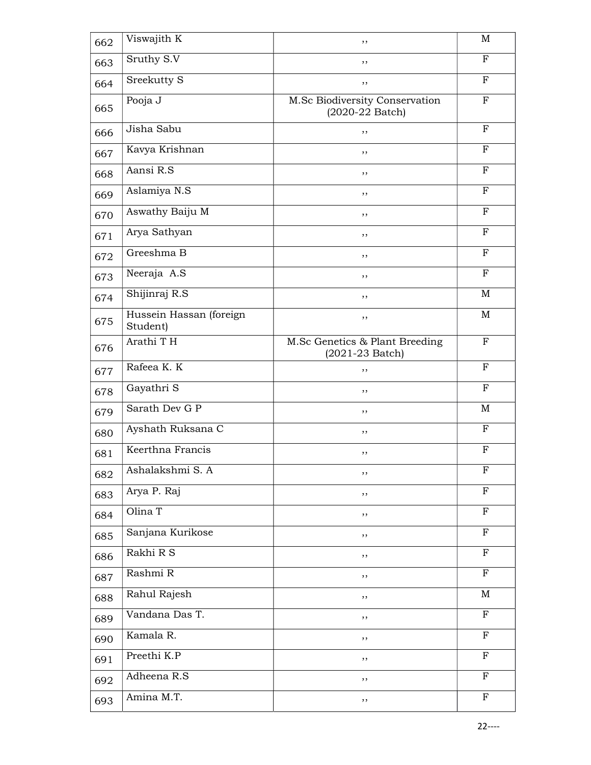| 662 | Viswajith K                         | ,,                                                          | M            |
|-----|-------------------------------------|-------------------------------------------------------------|--------------|
| 663 | Sruthy S.V                          | ,,                                                          | $\mathbf{F}$ |
| 664 | Sreekutty S                         | ,,                                                          | $\mathbf F$  |
| 665 | Pooja J                             | M.Sc Biodiversity Conservation<br>$(2020-22 \text{ Batch})$ | $_{\rm F}$   |
| 666 | Jisha Sabu                          | ,,                                                          | $_{\rm F}$   |
| 667 | Kavya Krishnan                      | ,,                                                          | $\mathbf F$  |
| 668 | Aansi R.S                           | ,,                                                          | $\mathbf F$  |
| 669 | Aslamiya N.S                        | ,,                                                          | $_{\rm F}$   |
| 670 | Aswathy Baiju M                     | , ,                                                         | $\mathbf F$  |
| 671 | Arya Sathyan                        | ,,                                                          | $_{\rm F}$   |
| 672 | Greeshma B                          | ,,                                                          | $_{\rm F}$   |
| 673 | Neeraja A.S                         | ,,                                                          | $\mathbf{F}$ |
| 674 | Shijinraj R.S                       | ,,                                                          | M            |
| 675 | Hussein Hassan (foreign<br>Student) | ,,                                                          | M            |
| 676 | Arathi TH                           | M.Sc Genetics & Plant Breeding<br>$(2021-23 \text{ Batch})$ | F            |
| 677 | Rafeea K. K                         | ,,                                                          | $\mathbf F$  |
| 678 | Gayathri S                          | ,,                                                          | $\mathbf F$  |
| 679 | Sarath Dev G P                      | , ,                                                         | M            |
| 680 | Ayshath Ruksana C                   | ,,                                                          | $\mathbf F$  |
| 681 | Keerthna Francis                    | ,,                                                          | F            |
| 682 | Ashalakshmi S. A                    | ,,                                                          | F            |
| 683 | Arya P. Raj                         | ,,                                                          | $\mathbf F$  |
| 684 | Olina T                             | ,,                                                          | $\mathbf F$  |
| 685 | Sanjana Kurikose                    | ,,                                                          | $\mathbf F$  |
| 686 | Rakhi R S                           | ,,                                                          | $\mathbf F$  |
| 687 | Rashmi R                            | ,,                                                          | $_{\rm F}$   |
| 688 | Rahul Rajesh                        | ,,                                                          | M            |
| 689 | Vandana Das T.                      | ,,                                                          | $\mathbf F$  |
| 690 | Kamala R.                           | ,,                                                          | $\mathbf F$  |
| 691 | Preethi K.P                         | ,,                                                          | F            |
| 692 | Adheena $R.\overline{S}$            | ,,                                                          | $\mathbf F$  |
| 693 | Amina M.T.                          | ,,                                                          | ${\bf F}$    |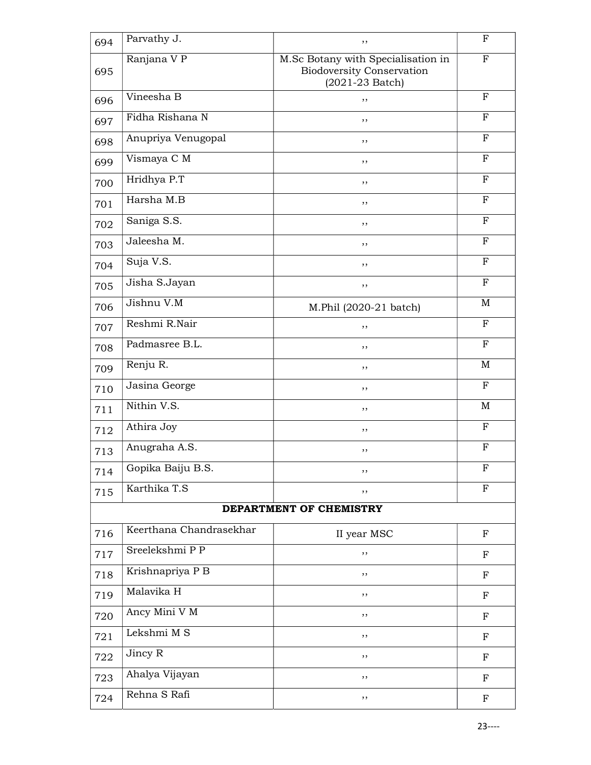| 694 | Parvathy J.             | ,,                                                                                            | F            |
|-----|-------------------------|-----------------------------------------------------------------------------------------------|--------------|
| 695 | Ranjana V P             | M.Sc Botany with Specialisation in<br><b>Biodoversity Conservation</b><br>$(2021 - 23$ Batch) | $_{\rm F}$   |
| 696 | Vineesha B              | ,,                                                                                            | $_{\rm F}$   |
| 697 | Fidha Rishana N         | ,,                                                                                            | F            |
| 698 | Anupriya Venugopal      | ,,                                                                                            | $_{\rm F}$   |
| 699 | Vismaya C M             | ,,                                                                                            | F            |
| 700 | Hridhya P.T             | ,,                                                                                            | $\mathbf{F}$ |
| 701 | Harsha M.B              | ,,                                                                                            | F            |
| 702 | Saniga S.S.             | ,,                                                                                            | $\mathbf{F}$ |
| 703 | Jaleesha M.             | ,,                                                                                            | $_{\rm F}$   |
| 704 | Suja V.S.               | ,,                                                                                            | $_{\rm F}$   |
| 705 | Jisha S.Jayan           | ,,                                                                                            | ${\bf F}$    |
| 706 | Jishnu V.M              | M.Phil (2020-21 batch)                                                                        | M            |
| 707 | Reshmi R.Nair           | ,,                                                                                            | $\mathbf F$  |
| 708 | Padmasree B.L.          | ,,                                                                                            | F            |
| 709 | Renju R.                | ,,                                                                                            | $\mathbf M$  |
| 710 | Jasina George           | ,,                                                                                            | F            |
| 711 | Nithin V.S.             | ,,                                                                                            | M            |
| 712 | Athira Joy              | ,,                                                                                            | $\mathbf F$  |
| 713 | Anugraha A.S.           | ,,                                                                                            | $_{\rm F}$   |
| 714 | Gopika Baiju B.S.       | ,,                                                                                            | F            |
| 715 | Karthika T.S            | ,,                                                                                            | F            |
|     |                         | DEPARTMENT OF CHEMISTRY                                                                       |              |
| 716 | Keerthana Chandrasekhar | II year MSC                                                                                   | $\mathbf F$  |
| 717 | Sreelekshmi P P         | ,,                                                                                            | F            |
| 718 | Krishnapriya P B        | ,,                                                                                            | F            |
| 719 | Malavika H              | ,,                                                                                            | F            |
| 720 | Ancy Mini V M           | ,,                                                                                            | $\mathbf F$  |
| 721 | Lekshmi M S             | ,,                                                                                            | F            |
| 722 | Jincy R                 | ,,                                                                                            | F            |
| 723 | Ahalya Vijayan          | ,,                                                                                            | $\mathbf{F}$ |
| 724 | Rehna S Rafi            | ,,                                                                                            | $\mathbf F$  |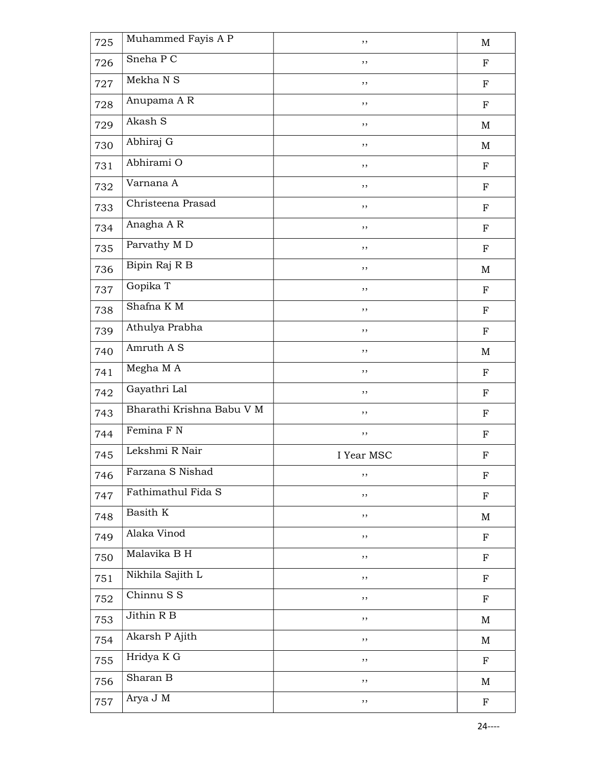| 725 | Muhammed Fayis A P        | ,,         | $\mathbf M$ |
|-----|---------------------------|------------|-------------|
| 726 | Sneha P C                 | ,,         | ${\bf F}$   |
| 727 | Mekha N S                 | , ,        | $_{\rm F}$  |
| 728 | Anupama A R               | ,,         | ${\bf F}$   |
| 729 | Akash S                   | ,,         | $\mathbf M$ |
| 730 | Abhiraj G                 | ,,         | M           |
| 731 | Abhirami O                | ,,         | ${\bf F}$   |
| 732 | Varnana A                 | ,,         | $_{\rm F}$  |
| 733 | Christeena Prasad         | ,,         | ${\bf F}$   |
| 734 | Anagha A R                | $, \,$     | ${\bf F}$   |
| 735 | Parvathy M D              | ,,         | ${\bf F}$   |
| 736 | Bipin Raj R B             | , ,        | M           |
| 737 | Gopika T                  | $, \,$     | $_{\rm F}$  |
| 738 | Shafna KM                 | ,,         | ${\bf F}$   |
| 739 | Athulya Prabha            | ,,         | ${\bf F}$   |
| 740 | Amruth A S                | ,,         | M           |
| 741 | Megha M A                 | ,,         | $_{\rm F}$  |
| 742 | Gayathri Lal              | $, \,$     | ${\bf F}$   |
| 743 | Bharathi Krishna Babu V M | ,,         | ${\bf F}$   |
| 744 | Femina F N                | ,,         | ${\bf F}$   |
| 745 | Lekshmi R Nair            | I Year MSC | $\mathbf F$ |
| 746 | Farzana S Nishad          | ,,         | $\mathbf F$ |
| 747 | Fathimathul Fida S        | ,,         | $\mathbf F$ |
| 748 | Basith K                  | ,,         | M           |
| 749 | Alaka Vinod               | ,,         | $\mathbf F$ |
| 750 | Malavika B H              | ,,         | $\mathbf F$ |
| 751 | Nikhila Sajith L          | ,,         | $\mathbf F$ |
| 752 | Chinnu S S                | ,,         | $\mathbf F$ |
| 753 | Jithin R B                | ,,         | M           |
| 754 | Akarsh P Ajith            | $, \,$     | M           |
| 755 | Hridya K G                | $, \,$     | $\mathbf F$ |
| 756 | Sharan B                  | ,,         | M           |
| 757 | Arya J M                  | ,,         | $\mathbf F$ |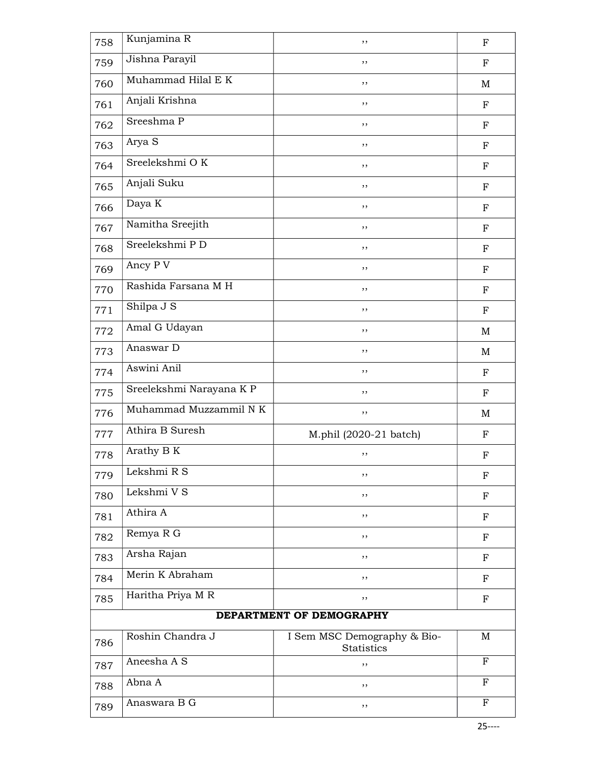| 758 | Kunjamina R              | ,,                                        | $\mathbf F$  |
|-----|--------------------------|-------------------------------------------|--------------|
| 759 | Jishna Parayil           | ,,                                        | ${\bf F}$    |
| 760 | Muhammad Hilal E K       | ,,                                        | M            |
| 761 | Anjali Krishna           | ,,                                        | $_{\rm F}$   |
| 762 | Sreeshma $\overline{P}$  | ,,                                        | ${\bf F}$    |
| 763 | Arya S                   | ,,                                        | ${\bf F}$    |
| 764 | Sreelekshmi OK           | ,,                                        | $_{\rm F}$   |
| 765 | Anjali Suku              | ,,                                        | F            |
| 766 | Daya K                   | ,,                                        | $\mathbf F$  |
| 767 | Namitha Sreejith         | ,,                                        | ${\bf F}$    |
| 768 | Sreelekshmi PD           | ,,                                        | ${\bf F}$    |
| 769 | Ancy P V                 | ,,                                        | $_{\rm F}$   |
| 770 | Rashida Farsana M H      | ,,                                        | F            |
| 771 | Shilpa J S               | ,,                                        | ${\bf F}$    |
| 772 | Amal G Udayan            | ,,                                        | M            |
| 773 | Anaswar D                | ,,                                        | M            |
| 774 | Aswini Anil              | ,,                                        | F            |
| 775 | Sreelekshmi Narayana K P | ,,                                        | $\mathbf F$  |
| 776 | Muhammad Muzzammil N K   | ,,                                        | M            |
| 777 | Athira B Suresh          | M.phil (2020-21 batch)                    | $\mathbf F$  |
| 778 | Arathy B K               | ,,                                        | $\mathbf F$  |
| 779 | Lekshmi $R S$            | ,,                                        | $\mathbf F$  |
| 780 | Lekshmi V S              | ,,                                        | ${\bf F}$    |
| 781 | Athira A                 | ,,                                        | $\mathbf F$  |
| 782 | Remya R G                | ,,                                        | $\mathbf F$  |
| 783 | Arsha Rajan              | ,,                                        | F            |
| 784 | Merin K Abraham          | ,,                                        | ${\bf F}$    |
| 785 | Haritha Priya M R        | ,,                                        | $\mathbf F$  |
|     |                          | DEPARTMENT OF DEMOGRAPHY                  |              |
| 786 | Roshin Chandra J         | I Sem MSC Demography & Bio-<br>Statistics | M            |
| 787 | Aneesha A S              | ,,                                        | $\mathbf{F}$ |
| 788 | Abna A                   | ,,                                        | $_{\rm F}$   |
| 789 | Anaswara B G             | ,,                                        | F            |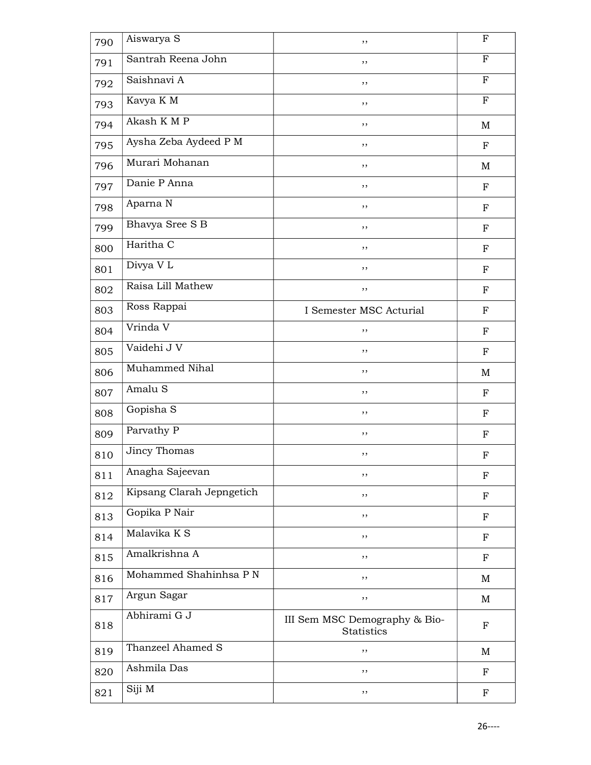| 790 | Aiswarya S                | ,,                                          | F                         |
|-----|---------------------------|---------------------------------------------|---------------------------|
| 791 | Santrah Reena John        | ,,                                          | F                         |
| 792 | Saishnavi A               | , ,                                         | $\mathbf F$               |
| 793 | Kavya K M                 | ,,                                          | $\mathbf F$               |
| 794 | Akash K M P               | ,,                                          | M                         |
| 795 | Aysha Zeba Aydeed P M     | ,,                                          | F                         |
| 796 | Murari Mohanan            | ,,                                          | M                         |
| 797 | Danie P Anna              | , ,                                         | ${\bf F}$                 |
| 798 | Aparna N                  | ,,                                          | $\mathbf F$               |
| 799 | Bhavya Sree S B           | ,,                                          | $\mathbf F$               |
| 800 | Haritha C                 | ,,                                          | $_{\rm F}$                |
| 801 | Divya V L                 | , ,                                         | $\mathbf F$               |
| 802 | Raisa Lill Mathew         | ,,                                          | $_{\rm F}$                |
| 803 | Ross Rappai               | I Semester MSC Acturial                     | $\mathbf F$               |
| 804 | Vrinda V                  | ,,                                          | ${\bf F}$                 |
| 805 | Vaidehi J V               | ,,                                          | $\mathbf F$               |
| 806 | Muhammed Nihal            | ,,                                          | M                         |
| 807 | Amalu <sub>S</sub>        | ,,                                          | $\mathbf F$               |
| 808 | Gopisha S                 | ,,                                          | ${\bf F}$                 |
| 809 | Parvathy P                | ,,                                          | F                         |
| 810 | Jincy Thomas              | ,,                                          | $\boldsymbol{\mathrm{F}}$ |
| 811 | Anagha Sajeevan           | ,,                                          | $\mathbf F$               |
| 812 | Kipsang Clarah Jepngetich | ,,                                          | $\mathbf F$               |
| 813 | Gopika P Nair             | ,,                                          | $_{\rm F}$                |
| 814 | Malavika K S              | ,,                                          | F                         |
| 815 | Amalkrishna A             | ,,                                          | ${\bf F}$                 |
| 816 | Mohammed Shahinhsa P N    | ,,                                          | M                         |
| 817 | Argun Sagar               | ,,                                          | M                         |
| 818 | Abhirami G J              | III Sem MSC Demography & Bio-<br>Statistics | $\mathbf F$               |
| 819 | Thanzeel Ahamed S         | ,,                                          | $\mathbf M$               |
| 820 | Ashmila Das               | ,,                                          | F                         |
| 821 | Siji M                    | ,,                                          | $\boldsymbol{\mathrm{F}}$ |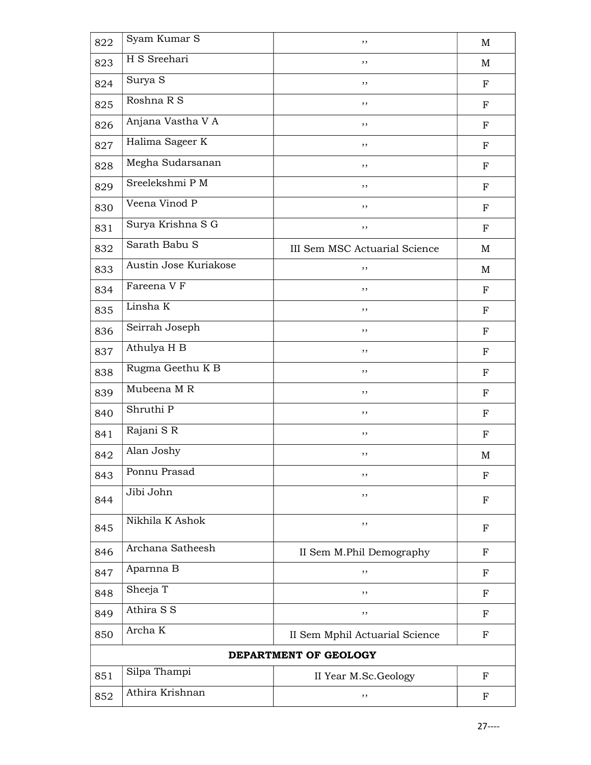| 822                   | Syam Kumar S          | ,,                             | $\mathbf M$ |
|-----------------------|-----------------------|--------------------------------|-------------|
| 823                   | H S Sreehari          | ,,                             | M           |
| 824                   | Surya S               | ,,                             | $\mathbf F$ |
| 825                   | Roshna R S            | ,,                             | F           |
| 826                   | Anjana Vastha V A     | , ,                            | F           |
| 827                   | Halima Sageer K       | ,,                             | F           |
| 828                   | Megha Sudarsanan      | ,,                             | F           |
| 829                   | Sreelekshmi P M       | ,,                             | F           |
| 830                   | Veena Vinod P         | ,,                             | $_{\rm F}$  |
| 831                   | Surya Krishna S G     | ,,                             | ${\bf F}$   |
| 832                   | Sarath Babu S         | III Sem MSC Actuarial Science  | M           |
| 833                   | Austin Jose Kuriakose | ,,                             | M           |
| 834                   | Fareena V F           | ,,                             | $_{\rm F}$  |
| 835                   | Linsha K              | ,,                             | F           |
| 836                   | Seirrah Joseph        | ,,                             | ${\bf F}$   |
| 837                   | Athulya H B           | ,,                             | F           |
| 838                   | Rugma Geethu K B      | ,,                             | F           |
| 839                   | Mubeena MR            | ,,                             | F           |
| 840                   | Shruthi P             | , ,                            | ${\bf F}$   |
| 841                   | Rajani SR             | ,,                             | F           |
| 842                   | Alan Joshy            | ,,                             | M           |
| 843                   | Ponnu Prasad          | ,,                             | F           |
| 844                   | Jibi John             | ,,                             | F           |
| 845                   | Nikhila K Ashok       | ,,                             | F           |
| 846                   | Archana Satheesh      | II Sem M.Phil Demography       | $_{\rm F}$  |
| 847                   | Aparnna B             | ,,                             | $_{\rm F}$  |
| 848                   | Sheeja T              | ,,                             | F           |
| 849                   | Athira S S            | ,,                             | F           |
| 850                   | Archa K               | II Sem Mphil Actuarial Science | $_{\rm F}$  |
| DEPARTMENT OF GEOLOGY |                       |                                |             |
| 851                   | Silpa Thampi          | II Year M.Sc.Geology           | $_{\rm F}$  |
| 852                   | Athira Krishnan       | ,,                             | $\mathbf F$ |
|                       |                       |                                |             |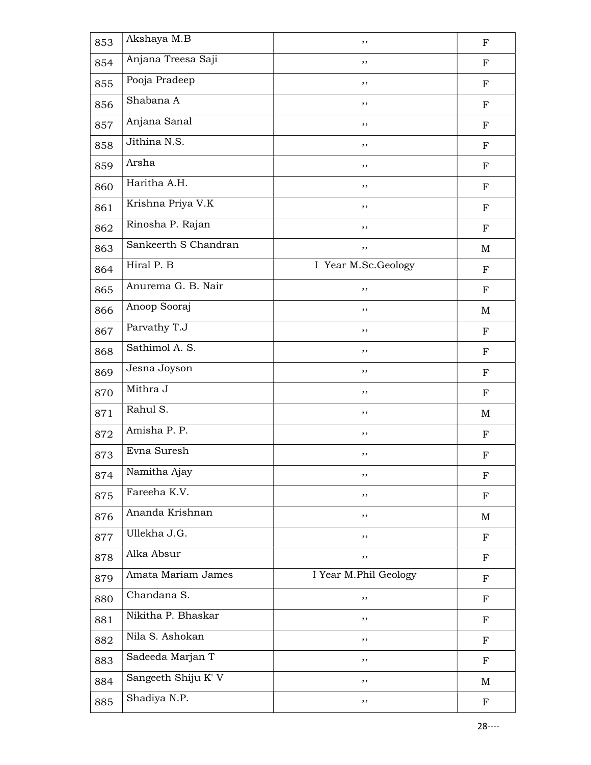| 853 | Akshaya M.B               | ,,                    | $\mathbf F$               |
|-----|---------------------------|-----------------------|---------------------------|
| 854 | Anjana Treesa Saji        | ,,                    | $_{\rm F}$                |
| 855 | Pooja Pradeep             | , ,                   | $\mathbf F$               |
| 856 | Shabana A                 | ,,                    | $_{\rm F}$                |
| 857 | Anjana Sanal              | ,,                    | $_{\rm F}$                |
| 858 | Jithina N.S.              | ,,                    | F                         |
| 859 | Arsha                     | ,,                    | $\mathbf F$               |
| 860 | Haritha A.H.              | , ,                   | ${\bf F}$                 |
| 861 | Krishna Priya V.K         | ,,                    | $\mathbf F$               |
| 862 | Rinosha P. Rajan          | , ,                   | ${\bf F}$                 |
| 863 | Sankeerth S Chandran      | ,,                    | M                         |
| 864 | Hiral P. B                | I Year M.Sc.Geology   | $\mathbf F$               |
| 865 | Anurema G. B. Nair        | ,,                    | ${\bf F}$                 |
| 866 | Anoop Sooraj              | ,,                    | M                         |
| 867 | Parvathy T.J              | ,,                    | ${\bf F}$                 |
| 868 | Sathimol A. S.            | ,,                    | $\mathbf F$               |
| 869 | Jesna Joyson              | ,,                    | ${\bf F}$                 |
| 870 | Mithra J                  | $, \,$                | $\mathbf F$               |
| 871 | Rahul S.                  | , ,                   | M                         |
| 872 | Amisha P. P.              | ,,                    | $\mathbf F$               |
| 873 | Evna Suresh               | ,,                    | $\boldsymbol{\mathrm{F}}$ |
| 874 | Namitha Ajay              | ,,                    | $\mathbf F$               |
| 875 | Fareeha K.V.              | ,,                    | $\mathbf F$               |
| 876 | Ananda Krishnan           | ,,                    | M                         |
| 877 | Ullekha J.G.              | ,,                    | F                         |
| 878 | Alka Absur                | ,,                    | ${\bf F}$                 |
| 879 | Amata Mariam James        | I Year M.Phil Geology | $\mathbf F$               |
| 880 | Chandana $\overline{S}$ . | ,,                    | ${\bf F}$                 |
| 881 | Nikitha P. Bhaskar        | ,,                    | $\mathbf F$               |
| 882 | Nila S. Ashokan           | ,,                    | ${\bf F}$                 |
| 883 | Sadeeda Marjan T          | ,,                    | ${\bf F}$                 |
| 884 | Sangeeth Shiju K' V       | ,,                    | M                         |
| 885 | Shadiya N.P.              | ,,                    | $\mathbf F$               |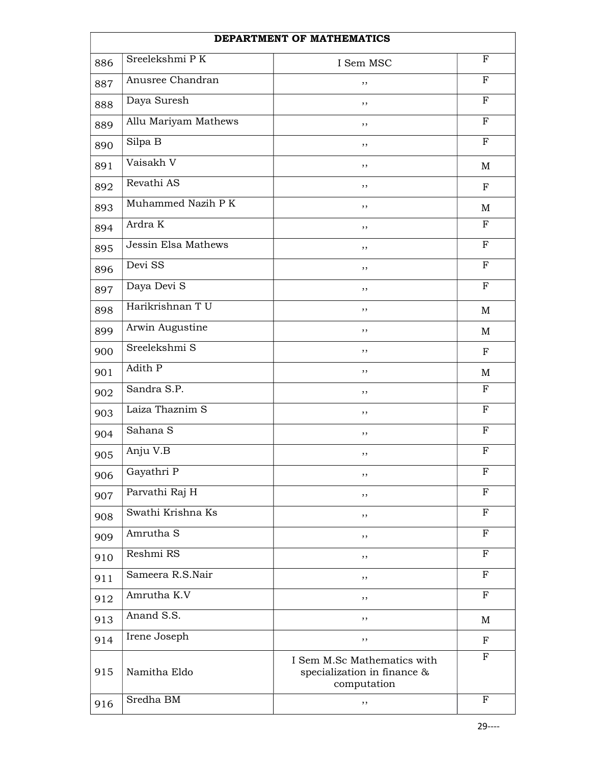|     | DEPARTMENT OF MATHEMATICS |                                                                           |              |  |
|-----|---------------------------|---------------------------------------------------------------------------|--------------|--|
| 886 | Sreelekshmi PK            | I Sem MSC                                                                 | $\mathbf F$  |  |
| 887 | Anusree Chandran          | ,,                                                                        | $\mathbf F$  |  |
| 888 | Daya Suresh               | ,,                                                                        | $_{\rm F}$   |  |
| 889 | Allu Mariyam Mathews      | , ,                                                                       | $_{\rm F}$   |  |
| 890 | Silpa B                   | ,,                                                                        | $_{\rm F}$   |  |
| 891 | Vaisakh V                 | , ,                                                                       | M            |  |
| 892 | Revathi AS                | ,,                                                                        | $_{\rm F}$   |  |
| 893 | Muhammed Nazih P K        | ,,                                                                        | M            |  |
| 894 | Ardra K                   | ,,                                                                        | $_{\rm F}$   |  |
| 895 | Jessin Elsa Mathews       | ,,                                                                        | $\mathbf{F}$ |  |
| 896 | Devi SS                   | , ,                                                                       | $\mathbf F$  |  |
| 897 | Daya Devi S               | ,,                                                                        | $_{\rm F}$   |  |
| 898 | Harikrishnan T U          | , ,                                                                       | M            |  |
| 899 | Arwin Augustine           | , ,                                                                       | M            |  |
| 900 | Sreelekshmi S             | ,,                                                                        | $_{\rm F}$   |  |
| 901 | Adith P                   | ,,                                                                        | M            |  |
| 902 | Sandra S.P.               | ,,                                                                        | $\mathbf F$  |  |
| 903 | Laiza Thaznim S           | ,,                                                                        | $_{\rm F}$   |  |
| 904 | Sahana S                  | ,,                                                                        | $_{\rm F}$   |  |
| 905 | Anju V.B                  | ,,                                                                        | $_{\rm F}$   |  |
| 906 | Gayathri P                | ,,                                                                        | $_{\rm F}$   |  |
| 907 | Parvathi Raj H            | ,,                                                                        | $_{\rm F}$   |  |
| 908 | Swathi Krishna Ks         | ,,                                                                        | F            |  |
| 909 | Amrutha S                 | ,,                                                                        | $\mathbf F$  |  |
| 910 | Reshmi RS                 | ,,                                                                        | $_{\rm F}$   |  |
| 911 | Sameera R.S.Nair          | ,,                                                                        | $_{\rm F}$   |  |
| 912 | Amrutha K.V               | ,,                                                                        | $_{\rm F}$   |  |
| 913 | Anand S.S.                | , ,                                                                       | M            |  |
| 914 | Irene Joseph              | ,,                                                                        | $_{\rm F}$   |  |
| 915 | Namitha Eldo              | I Sem M.Sc Mathematics with<br>specialization in finance &<br>computation | F            |  |
| 916 | Sredha BM                 | ,,                                                                        | $\mathbf F$  |  |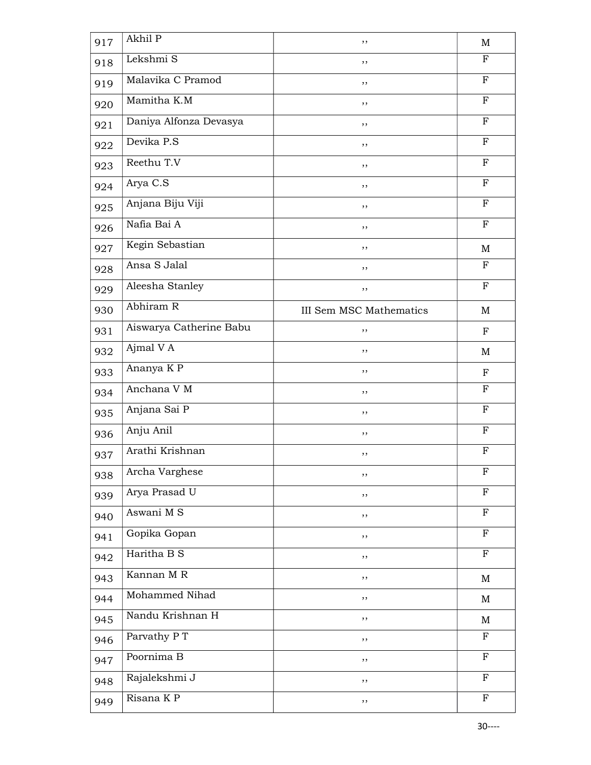| 917 | Akhil P                 | ,,                             | M            |
|-----|-------------------------|--------------------------------|--------------|
| 918 | Lekshmi S               | ,,                             | F            |
| 919 | Malavika C Pramod       | ,,                             | $_{\rm F}$   |
| 920 | Mamitha K.M             | ,,                             | $\mathbf F$  |
| 921 | Daniya Alfonza Devasya  | ,,                             | $\mathbf F$  |
| 922 | Devika P.S              | ,,                             | $_{\rm F}$   |
| 923 | Reethu T.V              | ,,                             | $\mathbf F$  |
| 924 | Arya C.S                | , ,                            | $\mathbf{F}$ |
| 925 | Anjana Biju Viji        | ,,                             | $\mathbf F$  |
| 926 | Nafia Bai A             | ,,                             | $\mathbf F$  |
| 927 | Kegin Sebastian         | ,,                             | M            |
| 928 | Ansa S Jalal            | ,,                             | $\mathbf F$  |
| 929 | Aleesha Stanley         | ,,                             | $\mathbf{F}$ |
| 930 | Abhiram R               | <b>III Sem MSC Mathematics</b> | M            |
| 931 | Aiswarya Catherine Babu | ,,                             | ${\bf F}$    |
| 932 | Ajmal V A               | ,,                             | M            |
| 933 | Ananya K P              | ,,                             | $_{\rm F}$   |
| 934 | Anchana V M             | ,,                             | $_{\rm F}$   |
| 935 | Anjana Sai P            | ,,                             | $\mathbf F$  |
| 936 | Anju Anil               | ,,                             | $_{\rm F}$   |
| 937 | Arathi Krishnan         | ,,                             | $_{\rm F}$   |
| 938 | Archa Varghese          | ,,                             | $\mathbf F$  |
| 939 | Arya Prasad U           | ,,                             | $\mathbf F$  |
| 940 | Aswani M S              | ,,                             | $\mathbf{F}$ |
| 941 | Gopika Gopan            | ,,                             | $\mathbf F$  |
| 942 | Haritha B S             | ,,                             | $\mathbf F$  |
| 943 | Kannan MR               | ,,                             | M            |
| 944 | Mohammed Nihad          | ,,                             | $\mathbf M$  |
| 945 | Nandu Krishnan H        | ,,                             | M            |
| 946 | Parvathy P T            | ,,                             | $\mathbf F$  |
| 947 | Poornima B              | ,,                             | $\mathbf F$  |
| 948 | Rajalekshmi J           | ,,                             | $\mathbf F$  |
| 949 | Risana K P              | ,,                             | $\mathbf{F}$ |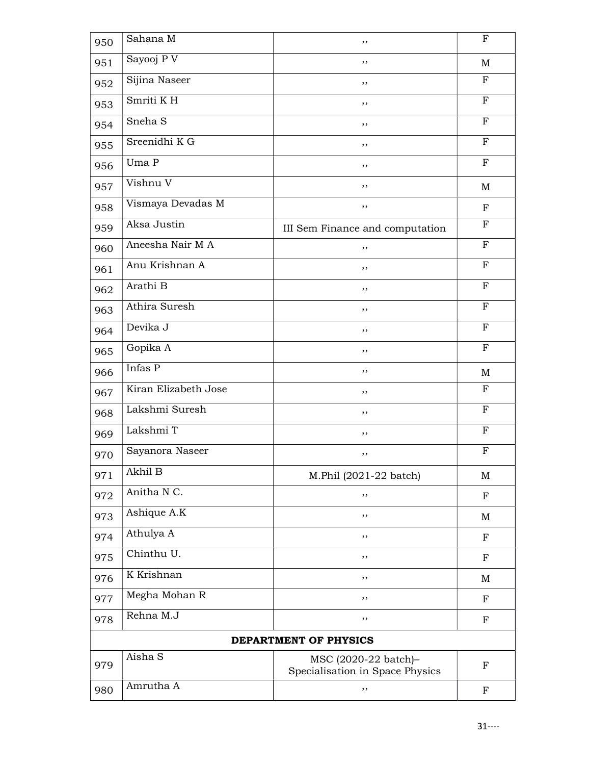| 950 | Sahana M                    | ,,                                                      | F            |  |
|-----|-----------------------------|---------------------------------------------------------|--------------|--|
| 951 | Sayooj PV                   | ,,                                                      | M            |  |
| 952 | Sijina Naseer               | ,,                                                      | $_{\rm F}$   |  |
| 953 | Smriti KH                   | ,,                                                      | $\mathbf F$  |  |
| 954 | Sneha <sub>S</sub>          | ,,                                                      | $\mathbf F$  |  |
| 955 | Sreenidhi K G               | ,,                                                      | $_{\rm F}$   |  |
| 956 | Uma P                       | ,,                                                      | $_{\rm F}$   |  |
| 957 | Vishnu V                    | , ,                                                     | $\mathbf M$  |  |
| 958 | Vismaya Devadas M           | ,,                                                      | ${\bf F}$    |  |
| 959 | Aksa Justin                 | III Sem Finance and computation                         | $_{\rm F}$   |  |
| 960 | Aneesha Nair M A            | ,,                                                      | F            |  |
| 961 | Anu Krishnan A              | ,,                                                      | $\mathbf F$  |  |
| 962 | Arathi B                    | ,,                                                      | $\mathbf F$  |  |
| 963 | Athira Suresh               | ,,                                                      | $\mathbf F$  |  |
| 964 | Devika J                    | ,,                                                      | $\mathbf{F}$ |  |
| 965 | Gopika A                    | ,,                                                      | $_{\rm F}$   |  |
| 966 | $\overline{\text{Infas}}$ P | ,,                                                      | $\mathbf M$  |  |
| 967 | Kiran Elizabeth Jose        | ,,                                                      | $_{\rm F}$   |  |
| 968 | Lakshmi Suresh              | , ,                                                     | $_{\rm F}$   |  |
| 969 | Lakshmi T                   | ,,                                                      | $_{\rm F}$   |  |
| 970 | Sayanora Naseer             | ,,                                                      | $_{\rm F}$   |  |
| 971 | Akhil B                     | M.Phil (2021-22 batch)                                  | M            |  |
| 972 | Anitha N C.                 | ,,                                                      | F            |  |
| 973 | Ashique A.K                 | ,,                                                      | M            |  |
| 974 | Athulya A                   | ,,                                                      | F            |  |
| 975 | Chinthu U.                  | ,,                                                      | F            |  |
| 976 | K Krishnan                  | ,,                                                      | M            |  |
| 977 | Megha Mohan R               | ,,                                                      | $\mathbf F$  |  |
| 978 | Rehna M.J                   | ,,                                                      | F            |  |
|     | DEPARTMENT OF PHYSICS       |                                                         |              |  |
| 979 | Aisha S                     | MSC (2020-22 batch)-<br>Specialisation in Space Physics | F            |  |
| 980 | Amrutha A                   | ,,                                                      | F            |  |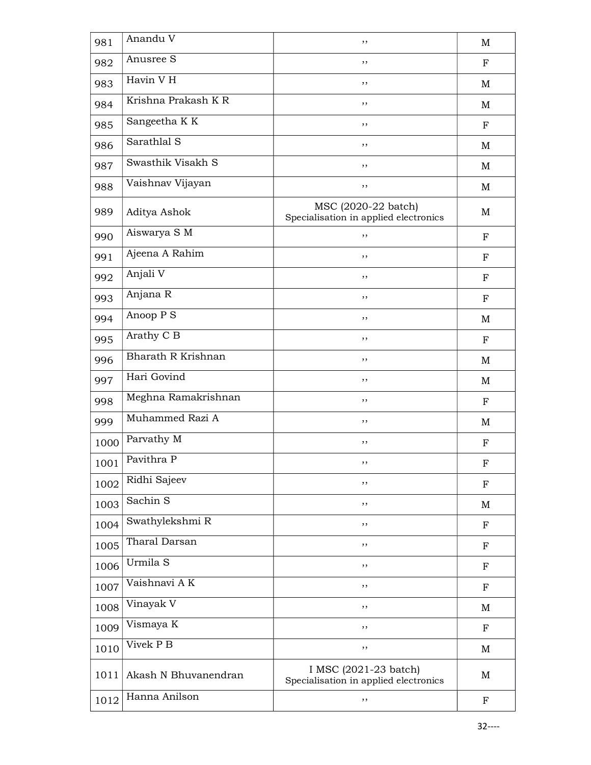| 981  | Anandu V             | ,,                                                             | $\mathbf M$ |
|------|----------------------|----------------------------------------------------------------|-------------|
| 982  | Anusree S            | ,,                                                             | ${\bf F}$   |
| 983  | Havin V H            | ,,                                                             | M           |
| 984  | Krishna Prakash K R  | ,,                                                             | M           |
| 985  | Sangeetha K K        | ,,                                                             | $_{\rm F}$  |
| 986  | Sarathlal S          | ,,                                                             | M           |
| 987  | Swasthik Visakh S    | ,,                                                             | M           |
| 988  | Vaishnav Vijayan     | ,,                                                             | M           |
| 989  | Aditya Ashok         | MSC (2020-22 batch)<br>Specialisation in applied electronics   | M           |
| 990  | Aiswarya S M         | ,,                                                             | $\mathbf F$ |
| 991  | Ajeena A Rahim       | ,,                                                             | ${\bf F}$   |
| 992  | Anjali V             | ,,                                                             | F           |
| 993  | Anjana R             | ,,                                                             | $_{\rm F}$  |
| 994  | Anoop P S            | ,,                                                             | M           |
| 995  | Arathy C B           | ,,                                                             | ${\bf F}$   |
| 996  | Bharath R Krishnan   | ,,                                                             | M           |
| 997  | Hari Govind          | ,,                                                             | M           |
| 998  | Meghna Ramakrishnan  | ,,                                                             | $_{\rm F}$  |
| 999  | Muhammed Razi A      | ,,                                                             | M           |
| 1000 | Parvathy M           | ,,                                                             | $_{\rm F}$  |
| 1001 | Pavithra P           | ,,                                                             | $_{\rm F}$  |
| 1002 | Ridhi Sajeev         | ,,                                                             | F           |
| 1003 | Sachin <sub>S</sub>  | ,,                                                             | M           |
| 1004 | Swathylekshmi R      | ,,                                                             | F           |
| 1005 | Tharal Darsan        | ,,                                                             | F           |
| 1006 | Urmila S             | ,,                                                             | F           |
| 1007 | Vaishnavi AK         | ,,                                                             | F           |
| 1008 | Vinayak V            | ,,                                                             | M           |
| 1009 | Vismaya K            | ,,                                                             | $_{\rm F}$  |
| 1010 | Vivek P B            | ,,                                                             | M           |
| 1011 | Akash N Bhuvanendran | I MSC (2021-23 batch)<br>Specialisation in applied electronics | $\mathbf M$ |
| 1012 | Hanna Anilson        | ,,                                                             | $\mathbf F$ |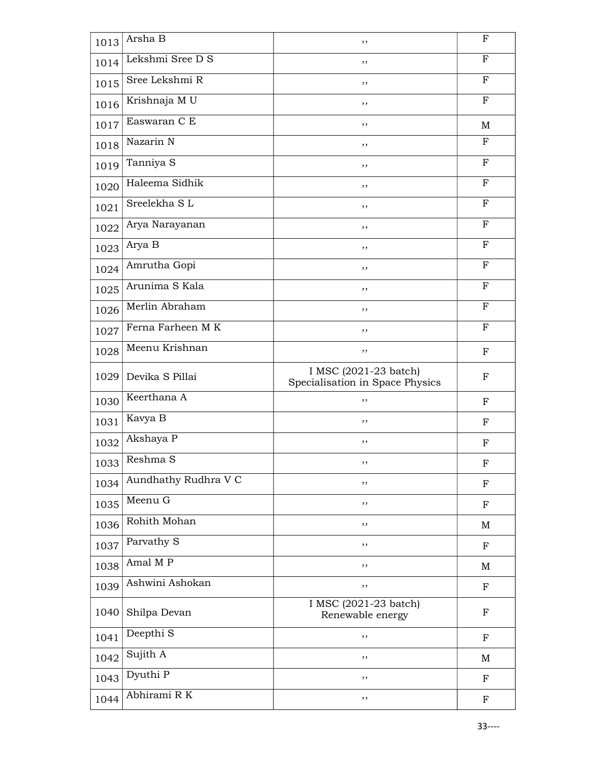| 1013 | Arsha B              | ,,                                                       | F           |
|------|----------------------|----------------------------------------------------------|-------------|
| 1014 | Lekshmi Sree D S     | ,,                                                       | F           |
| 1015 | Sree Lekshmi R       | ,,                                                       | F           |
| 1016 | Krishnaja MU         | ,,                                                       | ${\bf F}$   |
| 1017 | Easwaran C E         | ,,                                                       | M           |
| 1018 | Nazarin N            | ,,                                                       | F           |
| 1019 | Tanniya S            | ,,                                                       | F           |
| 1020 | Haleema Sidhik       | , ,                                                      | $\mathbf F$ |
| 1021 | Sreelekha SL         | ,,                                                       | F           |
| 1022 | Arya Narayanan       | ,,                                                       | $\mathbf F$ |
| 1023 | Arya B               | ,,                                                       | F           |
| 1024 | Amrutha Gopi         | ,,                                                       | $_{\rm F}$  |
| 1025 | Arunima S Kala       | ,,                                                       | $\mathbf F$ |
| 1026 | Merlin Abraham       | ,,                                                       | $\mathbf F$ |
| 1027 | Ferna Farheen MK     | ,,                                                       | F           |
| 1028 | Meenu Krishnan       | ,,                                                       | F           |
| 1029 | Devika S Pillai      | I MSC (2021-23 batch)<br>Specialisation in Space Physics | F           |
| 1030 | Keerthana A          | ,,                                                       | $_{\rm F}$  |
| 1031 | Kavya B              | ,,                                                       | $\mathbf F$ |
| 1032 | Akshaya P            | ,,                                                       | $_{\rm F}$  |
| 1033 | Reshma S             | ,,                                                       | F           |
| 1034 | Aundhathy Rudhra V C | ,,                                                       | $\mathbf F$ |
| 1035 | Meenu G              | ,,                                                       | ${\bf F}$   |
| 1036 | Rohith Mohan         | ,,                                                       | M           |
| 1037 | Parvathy S           | ,,                                                       | F           |
| 1038 | Amal M P             | ,,                                                       | M           |
| 1039 | Ashwini Ashokan      | ,,                                                       | ${\bf F}$   |
| 1040 | Shilpa Devan         | I MSC (2021-23 batch)<br>Renewable energy                | F           |
| 1041 | Deepthi <sub>S</sub> | ,,                                                       | $\mathbf F$ |
| 1042 | Sujith A             | ,,                                                       | M           |
| 1043 | Dyuthi P             | ,,                                                       | $\mathbf F$ |
| 1044 | Abhirami R K         | ,,                                                       | $\mathbf F$ |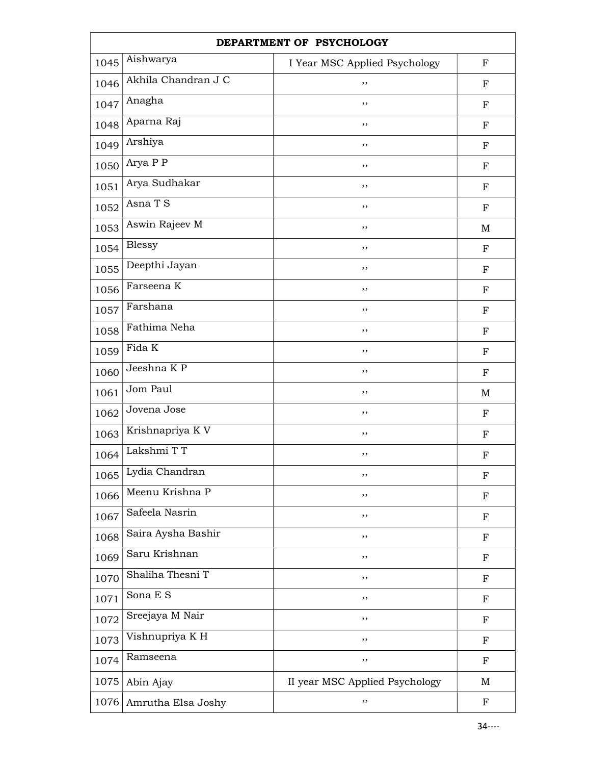|      | DEPARTMENT OF PSYCHOLOGY |                                |             |  |
|------|--------------------------|--------------------------------|-------------|--|
| 1045 | Aishwarya                | I Year MSC Applied Psychology  | $_{\rm F}$  |  |
| 1046 | Akhila Chandran J C      | ,,                             | ${\bf F}$   |  |
| 1047 | Anagha                   | ,,                             | $_{\rm F}$  |  |
| 1048 | Aparna Raj               | ,,                             | $_{\rm F}$  |  |
| 1049 | Arshiya                  | ,,                             | ${\bf F}$   |  |
| 1050 | Arya P P                 | ,,                             | ${\bf F}$   |  |
| 1051 | Arya Sudhakar            | ,,                             | ${\bf F}$   |  |
| 1052 | Asna T S                 | ,,                             | ${\bf F}$   |  |
| 1053 | Aswin Rajeev M           | ,,                             | M           |  |
| 1054 | <b>Blessy</b>            | ,,                             | ${\bf F}$   |  |
| 1055 | Deepthi Jayan            | ,,                             | F           |  |
| 1056 | Farseena $\overline{K}$  | ,,                             | ${\bf F}$   |  |
| 1057 | Farshana                 | ,,                             | $_{\rm F}$  |  |
| 1058 | Fathima Neha             | ,,                             | ${\bf F}$   |  |
| 1059 | Fida K                   | ,,                             | ${\bf F}$   |  |
| 1060 | Jeeshna KP               | ,,                             | $_{\rm F}$  |  |
| 1061 | Jom Paul                 | ,,                             | $\mathbf M$ |  |
| 1062 | Jovena Jose              | ,,                             | ${\bf F}$   |  |
| 1063 | Krishnapriya K V         | ,,                             | F           |  |
| 1064 | Lakshmi TT               | ,,                             | $\mathbf F$ |  |
| 1065 | Lydia Chandran           | ,,                             | F           |  |
| 1066 | Meenu Krishna P          | ,,                             | $_{\rm F}$  |  |
| 1067 | Safeela Nasrin           | ,,                             | $_{\rm F}$  |  |
| 1068 | Saira Aysha Bashir       | ,,                             | $_{\rm F}$  |  |
| 1069 | Saru Krishnan            | ,,                             | $_{\rm F}$  |  |
| 1070 | Shaliha Thesni T         | ,,                             | $_{\rm F}$  |  |
| 1071 | Sona E S                 | ,,                             | $\mathbf F$ |  |
| 1072 | Sreejaya M Nair          | ,,                             | $_{\rm F}$  |  |
| 1073 | Vishnupriya K H          | ,,                             | $_{\rm F}$  |  |
| 1074 | Ramseena                 | ,,                             | F           |  |
| 1075 | Abin Ajay                | II year MSC Applied Psychology | M           |  |
| 1076 | Amrutha Elsa Joshy       | ,,                             | $\mathbf F$ |  |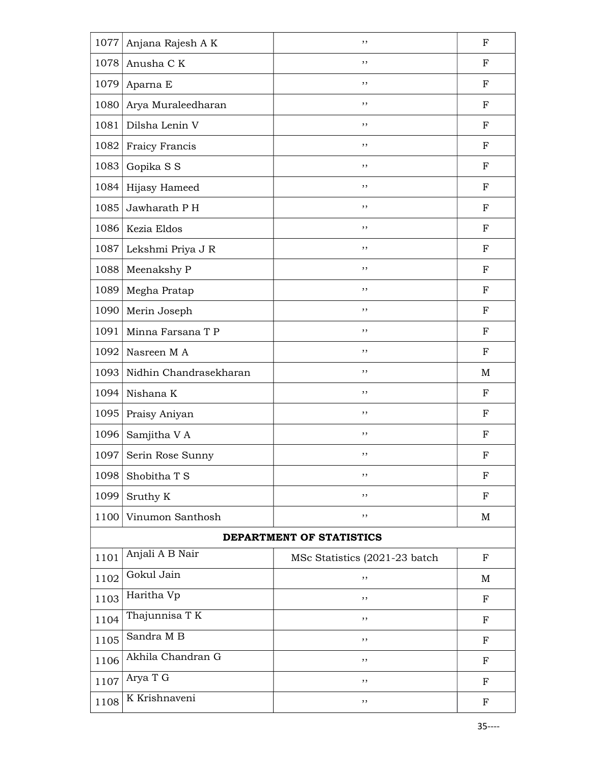| 1077 | Anjana Rajesh A K      | ,,                            | $\mathbf{F}$ |
|------|------------------------|-------------------------------|--------------|
| 1078 | Anusha C K             | ,,                            | F            |
| 1079 | Aparna E               | ,,                            | F            |
| 1080 | Arya Muraleedharan     | ,,                            | F            |
| 1081 | Dilsha Lenin V         | ,,                            | F            |
| 1082 | Fraicy Francis         | ,,                            | F            |
| 1083 | Gopika S S             | ,,                            | $_{\rm F}$   |
| 1084 | Hijasy Hameed          | ,,                            | $_{\rm F}$   |
| 1085 | Jawharath PH           | ,,                            | $_{\rm F}$   |
| 1086 | Kezia Eldos            | ,,                            | $_{\rm F}$   |
| 1087 | Lekshmi Priya J R      | ,,                            | $_{\rm F}$   |
| 1088 | Meenakshy P            | ,,                            | $_{\rm F}$   |
| 1089 | Megha Pratap           | ,,                            | F            |
| 1090 | Merin Joseph           | ,,                            | F            |
| 1091 | Minna Farsana T P      | ,,                            | $_{\rm F}$   |
| 1092 | Nasreen MA             | ,,                            | $_{\rm F}$   |
| 1093 | Nidhin Chandrasekharan | ,,                            | M            |
| 1094 | Nishana K              | ,,                            | $_{\rm F}$   |
| 1095 | Praisy Aniyan          | ,,                            | $_{\rm F}$   |
| 1096 | Samjitha V A           | ,,                            | F            |
| 1097 | Serin Rose Sunny       | ,,                            | F            |
| 1098 | Shobitha T S           | ,,                            | $\mathbf F$  |
| 1099 | Sruthy K               | ,,                            | $_{\rm F}$   |
| 1100 | Vinumon Santhosh       | ,,                            | M            |
|      |                        | DEPARTMENT OF STATISTICS      |              |
| 1101 | Anjali A B Nair        | MSc Statistics (2021-23 batch | $\mathbf F$  |
| 1102 | Gokul Jain             | ,,                            | M            |
| 1103 | Haritha Vp             | ,,                            | $\mathbf F$  |
| 1104 | Thajunnisa T K         | ,,                            | $_{\rm F}$   |
| 1105 | Sandra M B             | ,,                            | F            |
| 1106 | Akhila Chandran G      | ,,                            | F            |
| 1107 | Arya T G               | ,,                            | $_{\rm F}$   |
| 1108 | K Krishnaveni          | ,,                            | $\mathbf F$  |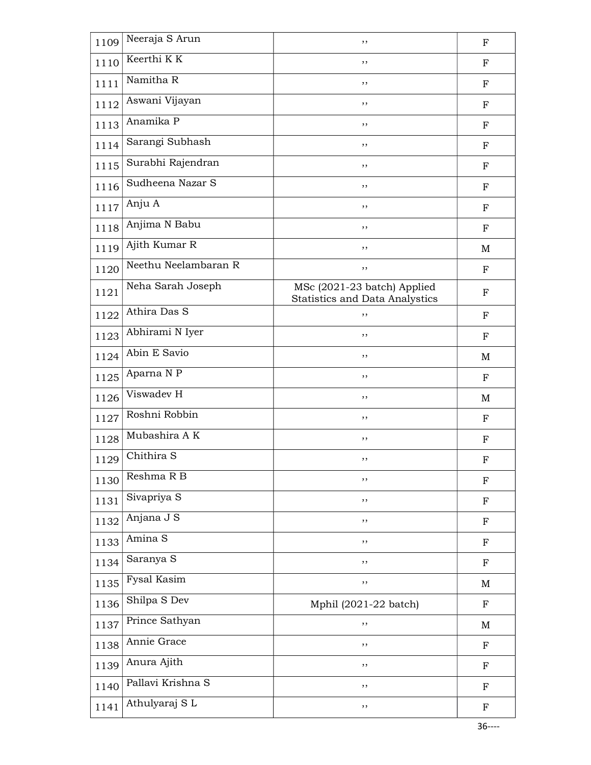| 1109 | Neeraja S Arun       | ,,                                                                   | $_{\rm F}$  |
|------|----------------------|----------------------------------------------------------------------|-------------|
| 1110 | Keerthi KK           | ,,                                                                   | $_{\rm F}$  |
| 1111 | Namitha R            | ,,                                                                   | $_{\rm F}$  |
| 1112 | Aswani Vijayan       | ,,                                                                   | $_{\rm F}$  |
| 1113 | Anamika P            | ,,                                                                   | $_{\rm F}$  |
| 1114 | Sarangi Subhash      | ,,                                                                   | $_{\rm F}$  |
| 1115 | Surabhi Rajendran    | ,,                                                                   | $_{\rm F}$  |
| 1116 | Sudheena Nazar S     | ,,                                                                   | $_{\rm F}$  |
| 1117 | Anju A               | ,,                                                                   | F           |
| 1118 | Anjima N Babu        | ,,                                                                   | $_{\rm F}$  |
| 1119 | Ajith Kumar R        | ,,                                                                   | M           |
| 1120 | Neethu Neelambaran R | ,,                                                                   | $\mathbf F$ |
| 1121 | Neha Sarah Joseph    | MSc (2021-23 batch) Applied<br><b>Statistics and Data Analystics</b> | $_{\rm F}$  |
| 1122 | Athira Das S         | ,,                                                                   | $\mathbf F$ |
| 1123 | Abhirami N Iyer      | ,,                                                                   | $_{\rm F}$  |
| 1124 | Abin E Savio         | ,,                                                                   | M           |
| 1125 | Aparna N P           | ,,                                                                   | $\mathbf F$ |
| 1126 | Viswadev H           | ,,                                                                   | M           |
| 1127 | Roshni Robbin        | ,,                                                                   | F           |
| 1128 | Mubashira AK         | ,,                                                                   | F           |
| 1129 | Chithira S           | ,,                                                                   | $\mathbf F$ |
| 1130 | Reshma R B           | ,,                                                                   | ${\bf F}$   |
| 1131 | Sivapriya S          | ,,                                                                   | $\mathbf F$ |
| 1132 | Anjana J S           | ,,                                                                   | $\mathbf F$ |
| 1133 | Amina S              | ,,                                                                   | ${\bf F}$   |
| 1134 | Saranya S            | ,,                                                                   | ${\bf F}$   |
| 1135 | <b>Fysal Kasim</b>   | ,,                                                                   | M           |
| 1136 | Shilpa S Dev         | Mphil (2021-22 batch)                                                | $\mathbf F$ |
| 1137 | Prince Sathyan       | ,,                                                                   | M           |
| 1138 | Annie Grace          | ,,                                                                   | ${\bf F}$   |
| 1139 | Anura Ajith          | ,,                                                                   | ${\bf F}$   |
| 1140 | Pallavi Krishna S    | ,,                                                                   | $\mathbf F$ |
| 1141 | Athulyaraj SL        | ,,                                                                   | $\mathbf F$ |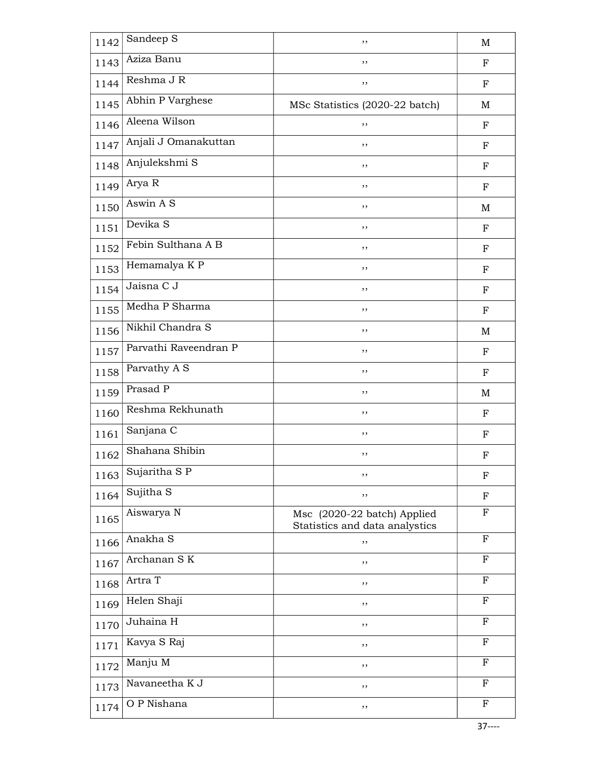| 1142 | Sandeep S             | ,,                                                            | M           |
|------|-----------------------|---------------------------------------------------------------|-------------|
| 1143 | Aziza Banu            | ,,                                                            | $_{\rm F}$  |
| 1144 | Reshma J R            | $, \,$                                                        | $_{\rm F}$  |
| 1145 | Abhin P Varghese      | MSc Statistics (2020-22 batch)                                | M           |
| 1146 | Aleena Wilson         | ,,                                                            | ${\bf F}$   |
| 1147 | Anjali J Omanakuttan  | ,,                                                            | $_{\rm F}$  |
| 1148 | Anjulekshmi S         | $, \,$                                                        | F           |
| 1149 | Arya R                | $, \,$                                                        | ${\bf F}$   |
| 1150 | Aswin A S             | ,,                                                            | M           |
| 1151 | Devika <sub>S</sub>   | ,,                                                            | $_{\rm F}$  |
| 1152 | Febin Sulthana A B    | ,,                                                            | $_{\rm F}$  |
| 1153 | Hemamalya K P         | , ,                                                           | $_{\rm F}$  |
| 1154 | Jaisna C J            | ,,                                                            | $_{\rm F}$  |
| 1155 | Medha P Sharma        | ,,                                                            | $_{\rm F}$  |
| 1156 | Nikhil Chandra S      | ,,                                                            | $\mathbf M$ |
| 1157 | Parvathi Raveendran P | ,,                                                            | $_{\rm F}$  |
| 1158 | Parvathy A S          | ,,                                                            | ${\bf F}$   |
| 1159 | Prasad P              | ,,                                                            | M           |
| 1160 | Reshma Rekhunath      | ,,                                                            | $_{\rm F}$  |
| 1161 | Sanjana C             | ,,                                                            | F           |
| 1162 | Shahana Shibin        | ,,                                                            | ${\bf F}$   |
| 1163 | Sujaritha SP          | ,,                                                            | $\mathbf F$ |
| 1164 | Sujitha S             | ,,                                                            | F           |
| 1165 | Aiswarya N            | Msc (2020-22 batch) Applied<br>Statistics and data analystics | $_{\rm F}$  |
| 1166 | Anakha <sub>S</sub>   | ,,                                                            | F           |
| 1167 | Archanan SK           | ,,                                                            | F           |
| 1168 | Artra T               | ,,                                                            | $\mathbf F$ |
| 1169 | Helen Shaji           | ,,                                                            | F           |
| 1170 | Juhaina H             | ,,                                                            | F           |
| 1171 | Kavya S Raj           | ,,                                                            | $_{\rm F}$  |
| 1172 | Manju M               | ,,                                                            | F           |
| 1173 | Navaneetha K J        | ,,                                                            | $_{\rm F}$  |
| 1174 | O P Nishana           | ,,                                                            | $\mathbf F$ |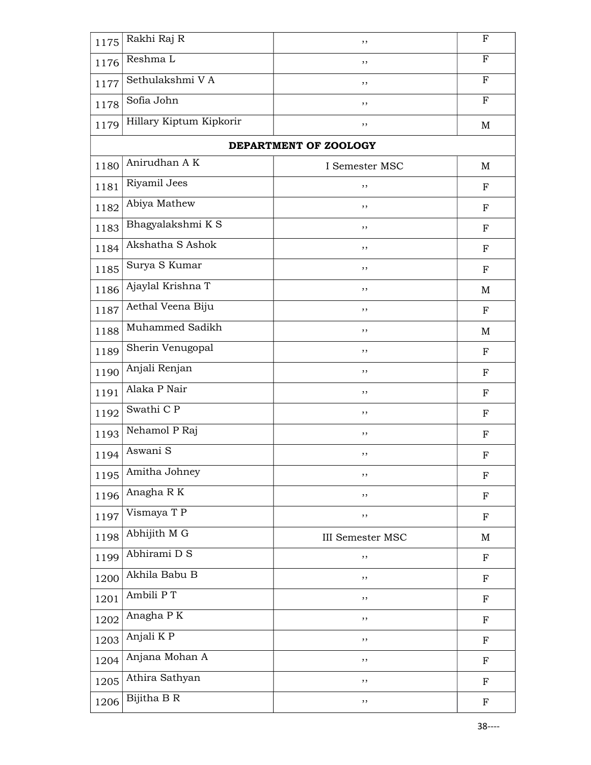| 1175 | Rakhi Raj R             | ,,                      | $\boldsymbol{\mathrm{F}}$ |
|------|-------------------------|-------------------------|---------------------------|
| 1176 | Reshma L                | ,,                      | F                         |
| 1177 | Sethulakshmi VA         | ,,                      | F                         |
| 1178 | Sofia John              | ,,                      | ${\bf F}$                 |
| 1179 | Hillary Kiptum Kipkorir | ,,                      | M                         |
|      |                         | DEPARTMENT OF ZOOLOGY   |                           |
| 1180 | Anirudhan A K           | I Semester MSC          | M                         |
| 1181 | Riyamil Jees            | ,,                      | ${\bf F}$                 |
| 1182 | Abiya Mathew            | ,,                      | $\mathbf F$               |
| 1183 | Bhagyalakshmi KS        | ,,                      | ${\bf F}$                 |
| 1184 | Akshatha S Ashok        | ,,                      | $_{\rm F}$                |
| 1185 | Surya S Kumar           | ,,                      | ${\bf F}$                 |
| 1186 | Ajaylal Krishna T       | ,,                      | M                         |
| 1187 | Aethal Veena Biju       | ,,                      | ${\bf F}$                 |
| 1188 | Muhammed Sadikh         | ,,                      | M                         |
| 1189 | Sherin Venugopal        | ,,                      | F                         |
| 1190 | Anjali Renjan           | ,,                      | ${\bf F}$                 |
| 1191 | Alaka P Nair            | ,,                      | ${\bf F}$                 |
| 1192 | Swathi C P              | ,,                      | ${\bf F}$                 |
| 1193 | Nehamol P Raj           | ,,                      | F                         |
| 1194 | Aswani S                | ,,                      | $\boldsymbol{\mathrm{F}}$ |
| 1195 | Amitha Johney           | ,,                      | $\boldsymbol{\mathrm{F}}$ |
| 1196 | Anagha RK               | ,,                      | ${\bf F}$                 |
| 1197 | Vismaya T P             | ,,                      | ${\bf F}$                 |
| 1198 | Abhijith M G            | <b>III</b> Semester MSC | M                         |
| 1199 | Abhirami D S            | ,,                      | ${\bf F}$                 |
| 1200 | Akhila Babu B           | ,,                      | $\boldsymbol{\mathrm{F}}$ |
| 1201 | Ambili PT               | ,,                      | ${\bf F}$                 |
| 1202 | Anagha P $\overline{K}$ | ,,                      | F                         |
| 1203 | Anjali $\overline{K}$ P | ,,                      | ${\bf F}$                 |
| 1204 | Anjana Mohan A          | ,,                      | ${\bf F}$                 |
| 1205 | Athira Sathyan          | ,,                      | ${\bf F}$                 |
| 1206 | Bijitha B R             | ,,                      | $\mathbf F$               |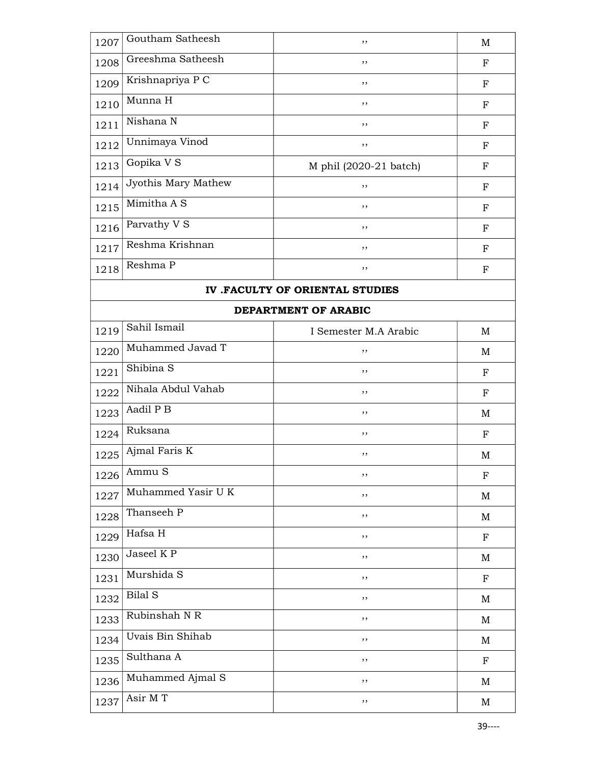| 1207 | Goutham Satheesh    | ,,                     | M          |
|------|---------------------|------------------------|------------|
| 1208 | Greeshma Satheesh   | ,,                     | F          |
| 1209 | Krishnapriya P C    | ,,                     | $_{\rm F}$ |
| 1210 | Munna H             | ,,                     | $_{\rm F}$ |
| 1211 | Nishana N           | ,,                     | $_{\rm F}$ |
| 1212 | Unnimaya Vinod      | ,,                     | $_{\rm F}$ |
| 1213 | Gopika V S          | M phil (2020-21 batch) | F          |
| 1214 | Jyothis Mary Mathew | ,,                     | F          |
| 1215 | Mimitha A S         | ,,                     | $_{\rm F}$ |
| 1216 | Parvathy V S        | ,,                     | F          |
| 1217 | Reshma Krishnan     | ,,                     | $_{\rm F}$ |
| 1218 | Reshma P            | ,,                     | $_{\rm F}$ |
|      |                     |                        |            |

## IV .FACULTY OF ORIENTAL STUDIES

## DEPARTMENT OF ARABIC

| 1219 | Sahil Ismail         | I Semester M.A Arabic | M           |
|------|----------------------|-----------------------|-------------|
| 1220 | Muhammed Javad T     | ,,                    | M           |
| 1221 | Shibina <sub>S</sub> | , ,                   | F           |
| 1222 | Nihala Abdul Vahab   | ,,                    | $_{\rm F}$  |
| 1223 | Aadil P B            | ,,                    | M           |
| 1224 | Ruksana              | ,,                    | $\mathbf F$ |
| 1225 | Ajmal Faris K        | ,,                    | M           |
| 1226 | Ammu S               | ,,                    | $_{\rm F}$  |
| 1227 | Muhammed Yasir U K   | ,,                    | M           |
| 1228 | Thanseeh P           | ,,                    | M           |
| 1229 | Hafsa H              | ,,                    | $_{\rm F}$  |
| 1230 | Jaseel KP            | ,,                    | $\mathbf M$ |
| 1231 | Murshida S           | ,,                    | $_{\rm F}$  |
| 1232 | <b>Bilal S</b>       | , ,                   | M           |
| 1233 | Rubinshah N R        | ,,                    | M           |
| 1234 | Uvais Bin Shihab     | ,,                    | M           |
| 1235 | Sulthana A           | ,,                    | $_{\rm F}$  |
| 1236 | Muhammed Ajmal S     | ,,                    | M           |
| 1237 | Asir M T             | ,,                    | M           |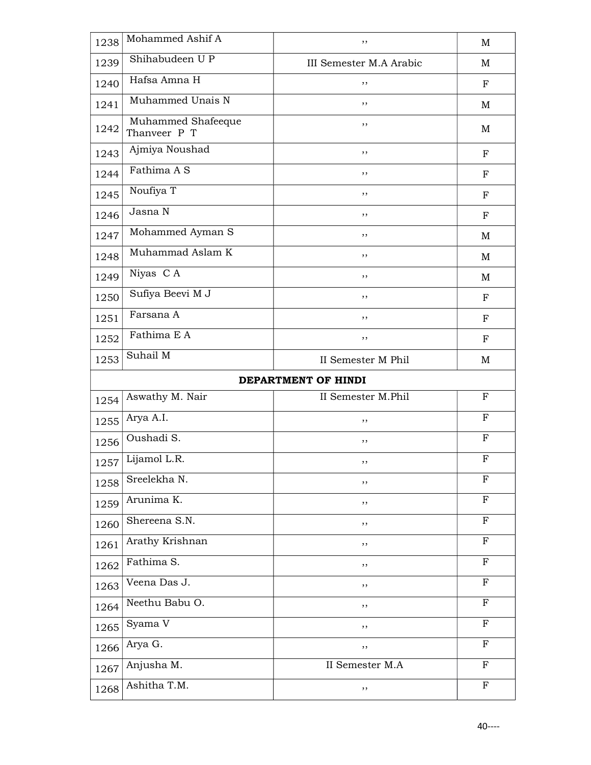| 1238 | Mohammed Ashif A                   | ,,                      | M            |
|------|------------------------------------|-------------------------|--------------|
| 1239 | Shihabudeen U P                    | III Semester M.A Arabic | M            |
| 1240 | Hafsa Amna H                       | ,,                      | $_{\rm F}$   |
| 1241 | Muhammed Unais N                   | , ,                     | M            |
| 1242 | Muhammed Shafeeque<br>Thanveer P T | ,,                      | M            |
| 1243 | Ajmiya Noushad                     | , ,                     | ${\bf F}$    |
| 1244 | Fathima A S                        | ,,                      | $_{\rm F}$   |
| 1245 | Noufiya T                          | ,,                      | $_{\rm F}$   |
| 1246 | Jasna N                            | ,,                      | $_{\rm F}$   |
| 1247 | Mohammed Ayman S                   | , ,                     | M            |
| 1248 | Muhammad Aslam K                   | , ,                     | M            |
| 1249 | Niyas CA                           | ,,                      | M            |
| 1250 | Sufiya Beevi M J                   | , ,                     | $_{\rm F}$   |
| 1251 | Farsana A                          | ,,                      | $_{\rm F}$   |
| 1252 | Fathima E A                        | ,,                      | $_{\rm F}$   |
| 1253 | Suhail M                           | II Semester M Phil      | M            |
|      |                                    |                         |              |
|      |                                    | DEPARTMENT OF HINDI     |              |
| 1254 | Aswathy M. Nair                    | II Semester M.Phil      | $_{\rm F}$   |
| 1255 | Arya A.I.                          | ,,                      | $_{\rm F}$   |
| 1256 | Oushadi S.                         | , ,                     | $\mathbf{F}$ |
| 1257 | Lijamol L.R.                       | ,,                      | ${\bf F}$    |
| 1258 | Sreelekha N.                       | $, \,$                  | $\mathbf F$  |
| 1259 | Arunima K.                         | ,,                      | F            |
| 1260 | Shereena S.N.                      | ,,                      | $\mathbf F$  |
| 1261 | Arathy Krishnan                    | ,,                      | $\mathbf F$  |
| 1262 | Fathima S.                         | ,,                      | $_{\rm F}$   |
| 1263 | Veena Das J.                       | ,,                      | $_{\rm F}$   |
| 1264 | Neethu Babu O.                     | ,,                      | $_{\rm F}$   |
| 1265 | Syama V                            | ,,                      | $\mathbf{F}$ |
| 1266 | Arya G.                            | ,,                      | F            |
| 1267 | Anjusha M.                         | II Semester M.A         | F            |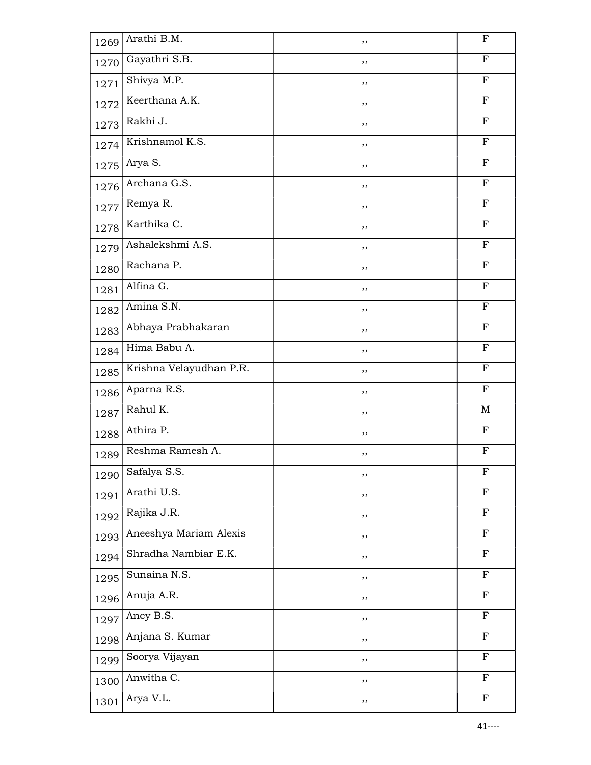| 1269 | Arathi B.M.             | ,,  | $\mathbf F$  |
|------|-------------------------|-----|--------------|
| 1270 | Gayathri S.B.           | ,,  | $\mathbf{F}$ |
| 1271 | Shivya M.P.             | ,,  | $_{\rm F}$   |
| 1272 | Keerthana A.K.          | ,,  | $\mathbf F$  |
| 1273 | Rakhi J.                | ,,  | $\mathbf F$  |
| 1274 | Krishnamol K.S.         | ,,  | $\mathbf F$  |
| 1275 | Arya S.                 | ,,  | $_{\rm F}$   |
| 1276 | Archana G.S.            | ,,  | $_{\rm F}$   |
| 1277 | Remya R.                | , , | $\mathbf F$  |
| 1278 | Karthika C.             | ,,  | $\mathbf F$  |
| 1279 | Ashalekshmi A.S.        | ,,  | $\mathbf{F}$ |
| 1280 | Rachana P.              | ,,  | $_{\rm F}$   |
| 1281 | Alfina G.               | ,,  | $_{\rm F}$   |
| 1282 | Amina S.N.              | ,,  | $\mathbf F$  |
| 1283 | Abhaya Prabhakaran      | ,,  | $_{\rm F}$   |
| 1284 | Hima Babu A.            | ,,  | $_{\rm F}$   |
| 1285 | Krishna Velayudhan P.R. | ,,  | $_{\rm F}$   |
| 1286 | Aparna R.S.             | , , | $\mathbf F$  |
| 1287 | Rahul K.                | ,,  | M            |
| 1288 | Athira P.               | ,,  | F            |
| 1289 | Reshma Ramesh A.        | ,,  | F            |
| 1290 | Safalya S.S.            | ,,  | $\mathbf F$  |
| 1291 | Arathi U.S.             | ,,  | $\mathbf F$  |
| 1292 | Rajika J.R.             | ,,  | $\mathbf F$  |
| 1293 | Aneeshya Mariam Alexis  | ,,  | $\mathbf F$  |
| 1294 | Shradha Nambiar E.K.    | ,,  | $\mathbf F$  |
| 1295 | Sunaina N.S.            | ,,  | ${\bf F}$    |
| 1296 | Anuja A.R.              | ,,  | $\mathbf F$  |
| 1297 | Ancy B.S.               | ,,  | F            |
| 1298 | Anjana S. Kumar         | ,,  | $\mathbf F$  |
| 1299 | Soorya Vijayan          | ,,  | $_{\rm F}$   |
| 1300 | Anwitha C.              | ,,  | $\mathbf F$  |
| 1301 | Arya V.L.               | ,,  | $\mathbf F$  |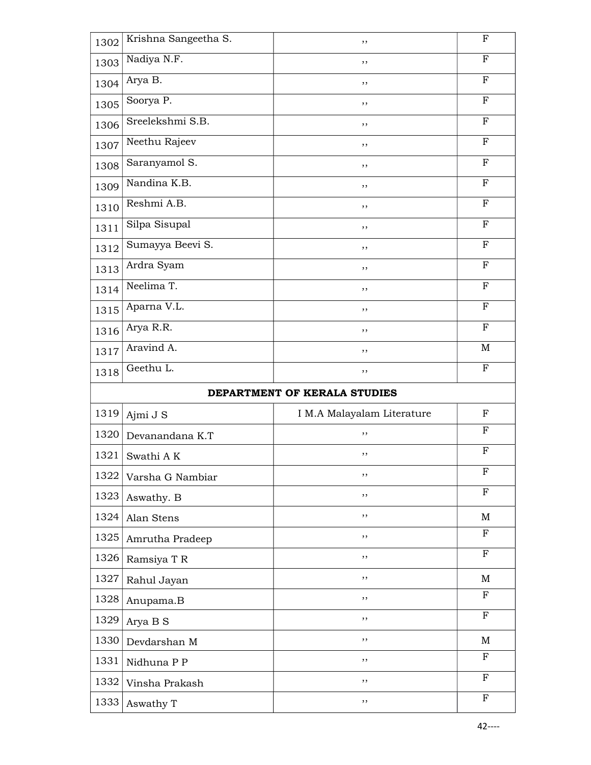| 1302 | Krishna Sangeetha S. | ,,                           | $\mathbf F$  |
|------|----------------------|------------------------------|--------------|
| 1303 | Nadiya N.F.          | , ,                          | ${\bf F}$    |
| 1304 | Arya B.              | ,,                           | $\mathbf F$  |
| 1305 | Soorya P.            | ,,                           | F            |
| 1306 | Sreelekshmi S.B.     | ,,                           | $\mathbf{F}$ |
| 1307 | Neethu Rajeev        | , ,                          | $\mathbf F$  |
| 1308 | Saranyamol S.        | ,,                           | ${\bf F}$    |
| 1309 | Nandina K.B.         | ,,                           | $\mathbf F$  |
| 1310 | Reshmi A.B.          | ,,                           | $\mathbf{F}$ |
| 1311 | Silpa Sisupal        | ,,                           | F            |
| 1312 | Sumayya Beevi S.     | , ,                          | $\mathbf F$  |
| 1313 | Ardra Syam           | ,,                           | ${\bf F}$    |
| 1314 | Neelima T.           | ,,                           | F            |
| 1315 | Aparna V.L.          | ,,                           | $\mathbf F$  |
| 1316 | Arya R.R.            | ,,                           | $\mathbf F$  |
| 1317 | Aravind A.           | ,,                           | $\mathbf M$  |
| 1318 | Geethu L.            | ,,                           | $\mathbf F$  |
|      |                      |                              |              |
|      |                      |                              |              |
|      |                      | DEPARTMENT OF KERALA STUDIES |              |
| 1319 | Ajmi J S             | I M.A Malayalam Literature   | $_{\rm F}$   |
| 1320 | Devanandana K.T      | $, \,$                       | F            |
| 1321 | Swathi AK            | ,,                           | $_{\rm F}$   |
| 1322 | Varsha G Nambiar     | , ,                          | F            |
| 1323 | Aswathy. B           | ,,                           | $\mathbf{F}$ |
| 1324 | Alan Stens           | $, \,$                       | $\mathbf M$  |
| 1325 | Amrutha Pradeep      | ,,                           | $\mathbf{F}$ |
| 1326 | Ramsiya T R          | ,,                           | $\mathbf F$  |
| 1327 | Rahul Jayan          | ,,                           | M            |
| 1328 | Anupama.B            | ,,                           | $\mathbf F$  |
| 1329 | Arya B S             | $, \,$                       | $\mathbf{F}$ |
| 1330 | Devdarshan M         | $, \,$                       | M            |
| 1331 | Nidhuna P P          | $, \,$                       | $_{\rm F}$   |
| 1332 | Vinsha Prakash       | ,,                           | F            |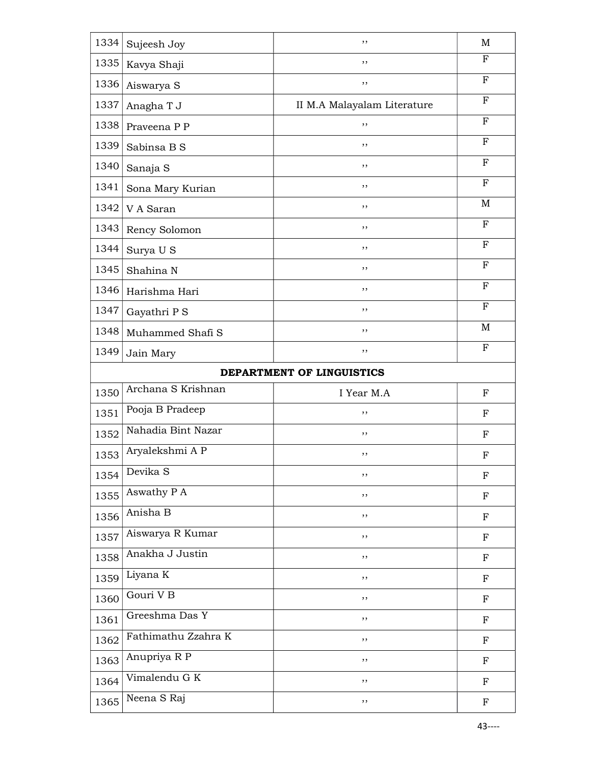| 1334                      | Sujeesh Joy                | ,,                          | $\mathbf M$  |
|---------------------------|----------------------------|-----------------------------|--------------|
| 1335                      | Kavya Shaji                | , ,                         | F            |
| 1336                      | Aiswarya S                 | ,,                          | F            |
| 1337                      | Anagha T J                 | II M.A Malayalam Literature | $\mathbf{F}$ |
| 1338                      | Praveena P P               | ,,                          | F            |
| 1339                      | Sabinsa B S                | ,,                          | F            |
| 1340                      | Sanaja S                   | ,,                          | F            |
| 1341                      | Sona Mary Kurian           | ,,                          | $\mathbf{F}$ |
| 1342                      | V A Saran                  | ,,                          | $\mathbf M$  |
| 1343                      | Rency Solomon              | , ,                         | ${\bf F}$    |
| 1344                      | Surya U S                  | ,,                          | $_{\rm F}$   |
| 1345                      | Shahina N                  | ,,                          | F            |
| 1346                      | Harishma Hari              | ,,                          | $\mathbf{F}$ |
| 1347                      | Gayathri P S               | , ,                         | F            |
| 1348                      | Muhammed Shafi S           | ,,                          | M            |
| 1349                      | Jain Mary                  | ,,                          | F            |
| DEPARTMENT OF LINGUISTICS |                            |                             |              |
|                           |                            |                             |              |
| 1350                      | Archana S Krishnan         | I Year M.A                  | F            |
| 1351                      | Pooja B Pradeep            | ,,                          | $_{\rm F}$   |
| 1352                      | Nahadia Bint Nazar         | ,,                          | $_{\rm F}$   |
| 1353                      | Aryalekshmi A P            | ,,                          | $_{\rm F}$   |
| 1354                      | Devika <sub>S</sub>        | ,,                          | ${\bf F}$    |
| 1355                      | Aswathy P A                | ,,                          | ${\bf F}$    |
| 1356                      | Anisha B                   | ,,                          | $_{\rm F}$   |
| 1357                      | Aiswarya R Kumar           | ,,                          | ${\bf F}$    |
| 1358                      | Anakha J Justin            | ,,                          | $_{\rm F}$   |
| 1359                      | Liyana K                   | ,,                          | ${\bf F}$    |
| 1360                      | Gouri V <sub>B</sub>       | ,,                          | ${\bf F}$    |
| 1361                      | Greeshma Das Y             | ,,                          | ${\bf F}$    |
| 1362                      | Fathimathu Zzahra K        | ,,                          | ${\bf F}$    |
| 1363                      | Anupriya R P               | ,,                          | $\mathbf F$  |
| 1364                      | Vimalendu G $\overline{K}$ | ,,                          | ${\bf F}$    |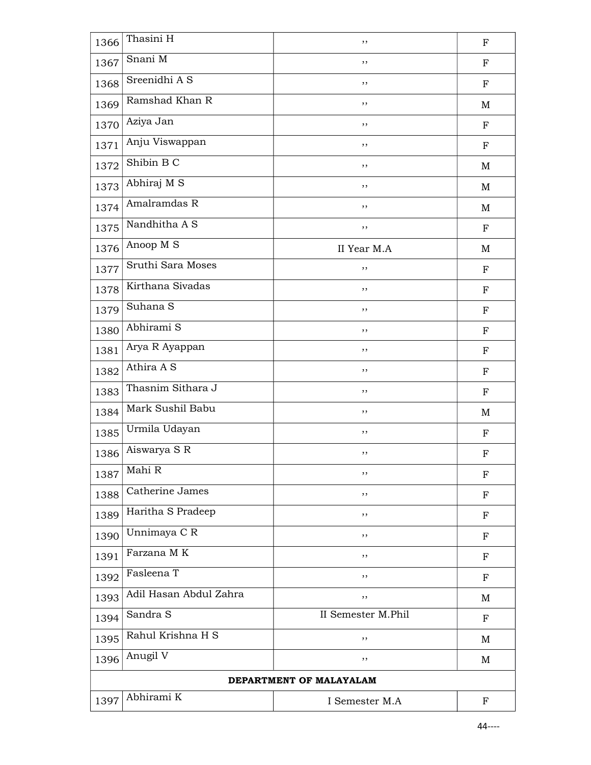| 1366 | Thasini H              | ,,                      | $_{\rm F}$  |
|------|------------------------|-------------------------|-------------|
| 1367 | Snani M                | ,,                      | $\mathbf F$ |
| 1368 | Sreenidhi A S          | ,,                      | $_{\rm F}$  |
| 1369 | Ramshad Khan R         | ,,                      | M           |
| 1370 | Aziya Jan              | ,,                      | $_{\rm F}$  |
| 1371 | Anju Viswappan         | ,,                      | ${\bf F}$   |
| 1372 | Shibin B C             | ,,                      | M           |
| 1373 | Abhiraj M S            | ,,                      | M           |
| 1374 | Amalramdas R           | ,,                      | M           |
| 1375 | Nandhitha A S          | ,,                      | ${\bf F}$   |
| 1376 | Anoop M S              | II Year M.A             | M           |
| 1377 | Sruthi Sara Moses      | ,,                      | $\mathbf F$ |
| 1378 | Kirthana Sivadas       | ,,                      | $_{\rm F}$  |
| 1379 | Suhana S               | ,,                      | $_{\rm F}$  |
| 1380 | Abhirami S             | ,,                      | ${\bf F}$   |
| 1381 | Arya R Ayappan         | ,,                      | $_{\rm F}$  |
| 1382 | Athira A S             | ,,                      | $_{\rm F}$  |
| 1383 | Thasnim Sithara J      | ,,                      | ${\bf F}$   |
| 1384 | Mark Sushil Babu       | ,,                      | M           |
| 1385 | Urmila Udayan          | ,,                      | F           |
| 1386 | Aiswarya S R           | ,,                      | $_{\rm F}$  |
| 1387 | Mahi R                 | ,,                      | F           |
| 1388 | Catherine James        | , ,                     | ${\bf F}$   |
| 1389 | Haritha S Pradeep      | ,,                      | ${\bf F}$   |
| 1390 | Unnimaya C R           | ,,                      | $_{\rm F}$  |
| 1391 | Farzana MK             | ,,                      | F           |
| 1392 | Fasleena T             | ,,                      | $_{\rm F}$  |
| 1393 | Adil Hasan Abdul Zahra | ,,                      | M           |
| 1394 | Sandra S               | II Semester M.Phil      | $_{\rm F}$  |
| 1395 | Rahul Krishna H S      | ,,                      | M           |
| 1396 | Anugil V               | ,,                      | M           |
|      |                        | DEPARTMENT OF MALAYALAM |             |
|      |                        |                         |             |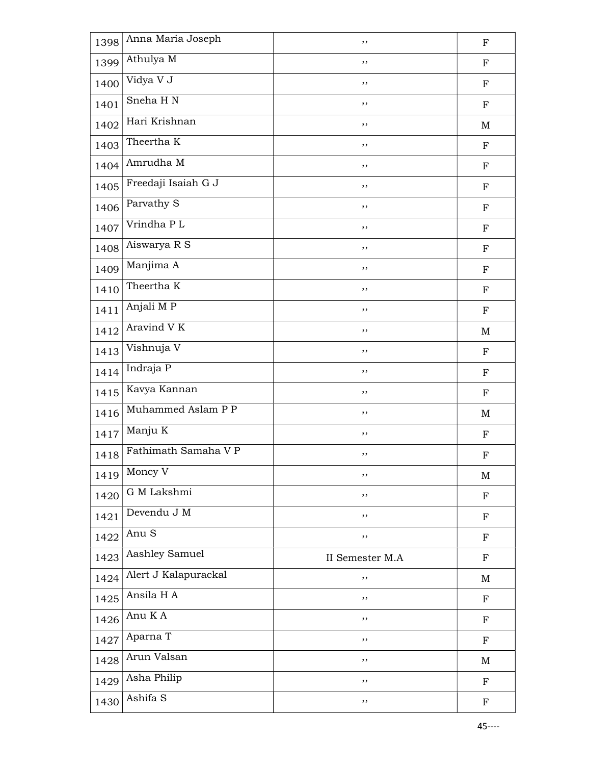| 1398 | Anna Maria Joseph    | ,,              | $\mathbf F$ |
|------|----------------------|-----------------|-------------|
| 1399 | Athulya M            | ,,              | $\mathbf F$ |
| 1400 | Vidya V J            | ,,              | $\mathbf F$ |
| 1401 | Sneha HN             | ,,              | $\mathbf F$ |
| 1402 | Hari Krishnan        | ,,              | $\mathbf M$ |
| 1403 | Theertha K           | ,,              | $\mathbf F$ |
| 1404 | Amrudha M            | ,,              | $\mathbf F$ |
| 1405 | Freedaji Isaiah G J  | ,,              | $\mathbf F$ |
| 1406 | Parvathy S           | ,,              | $\mathbf F$ |
| 1407 | Vrindha PL           | ,,              | $\mathbf F$ |
| 1408 | Aiswarya R S         | ,,              | $\mathbf F$ |
| 1409 | Manjima A            | ,,              | $\mathbf F$ |
| 1410 | Theertha K           | ,,              | $\mathbf F$ |
| 1411 | Anjali MP            | ,,              | $\mathbf F$ |
| 1412 | Aravind V K          | ,,              | $\mathbf M$ |
| 1413 | Vishnuja V           | ,,              | $\mathbf F$ |
| 1414 | Indraja P            | ,,              | $\mathbf F$ |
| 1415 | Kavya Kannan         | ,,              | $\mathbf F$ |
| 1416 | Muhammed Aslam P P   | ,,              | $\mathbf M$ |
| 1417 | Manju K              | ,,              | $\mathbf F$ |
| 1418 | Fathimath Samaha V P | ,,              | $\rm F$     |
| 1419 | Moncy V              | ,,              | M           |
| 1420 | G M Lakshmi          | ,,              | $\mathbf F$ |
| 1421 | Devendu J M          | ,,              | ${\bf F}$   |
| 1422 | Anu S                | ,,              | $\mathbf F$ |
| 1423 | Aashley Samuel       | II Semester M.A | $\mathbf F$ |
| 1424 | Alert J Kalapurackal | ,,              | M           |
| 1425 | Ansila H A           | ,,              | ${\bf F}$   |
| 1426 | Anu K A              | ,,              | ${\bf F}$   |
| 1427 | Aparna T             | ,,              | $\mathbf F$ |
| 1428 | Arun Valsan          | ,,              | $\mathbf M$ |
| 1429 | Asha Philip          | $, \,$          | ${\bf F}$   |
|      | Ashifa S             |                 |             |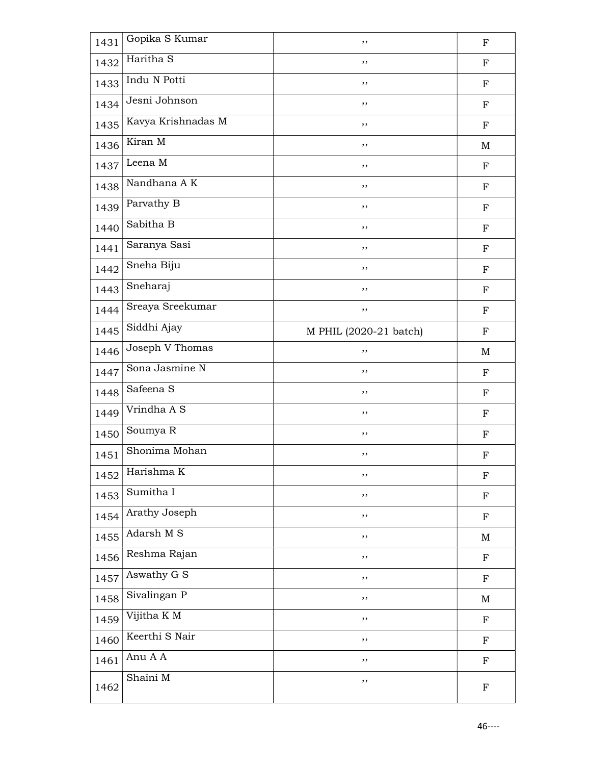| 1431 | Gopika S Kumar          | ,,                     | ${\bf F}$                 |
|------|-------------------------|------------------------|---------------------------|
| 1432 | Haritha S               | ,,                     | ${\bf F}$                 |
| 1433 | Indu N Potti            | $, \,$                 | $\mathbf F$               |
| 1434 | Jesni Johnson           | ,,                     | $\mathbf F$               |
| 1435 | Kavya Krishnadas M      | ,,                     | $\mathbf F$               |
| 1436 | Kiran M                 | ,,                     | M                         |
| 1437 | Leena M                 | ,,                     | $\mathbf F$               |
| 1438 | Nandhana AK             | ,,                     | $\mathbf F$               |
| 1439 | Parvathy B              | ,,                     | $\mathbf F$               |
| 1440 | Sabitha B               | ,,                     | $\mathbf F$               |
| 1441 | Saranya Sasi            | ,,                     | $\mathbf F$               |
| 1442 | Sneha Biju              | ,,                     | $\mathbf F$               |
| 1443 | Sneharaj                | ,,                     | $\mathbf F$               |
| 1444 | Sreaya Sreekumar        | ,,                     | $\mathbf F$               |
| 1445 | Siddhi Ajay             | M PHIL (2020-21 batch) | $\mathbf F$               |
| 1446 | Joseph V Thomas         | ,,                     | M                         |
| 1447 | Sona Jasmine N          | ,,                     | F                         |
| 1448 | Safeena <sub>S</sub>    | ,,                     | $\mathbf F$               |
| 1449 | Vrindha A S             | ,,                     | $\mathbf F$               |
| 1450 | Soumya R                | ,,                     | $\mathbf F$               |
| 1451 | Shonima Mohan           | ,,                     | $\boldsymbol{\mathrm{F}}$ |
| 1452 | Harishma K              | ,,                     | $\mathbf F$               |
| 1453 | Sumitha I               | ,,                     | $\mathbf F$               |
| 1454 | Arathy Joseph           | ,,                     | ${\bf F}$                 |
| 1455 | Adarsh $M \overline{S}$ | ,,                     | $\mathbf M$               |
| 1456 | Reshma Rajan            | ,,                     | $\mathbf F$               |
| 1457 | Aswathy G S             | ,,                     | ${\bf F}$                 |
| 1458 | Sivalingan P            | ,,                     | M                         |
| 1459 | Vijitha KM              | $, \,$                 | $\mathbf F$               |
| 1460 | Keerthi S Nair          | ,,                     | $\mathbf F$               |
| 1461 | Anu A A                 | ,,                     | $\mathbf F$               |
| 1462 | Shaini M                | ,,                     | $\mathbf F$               |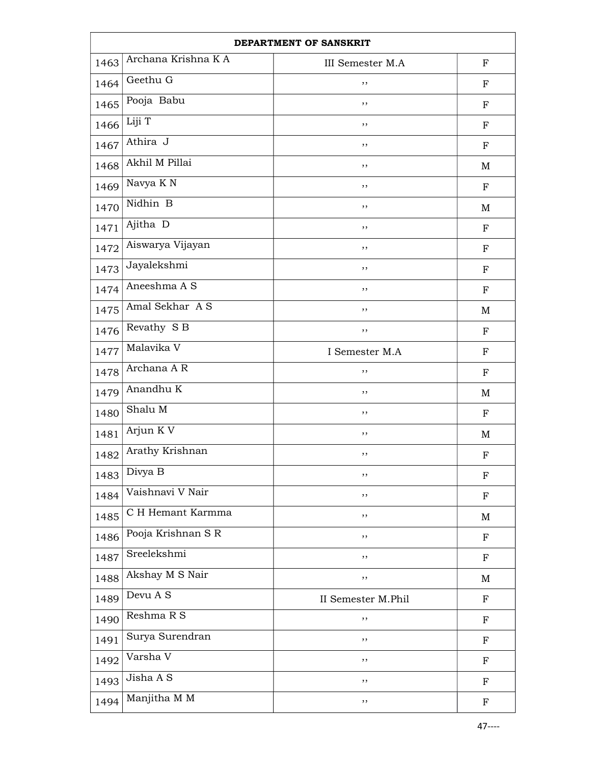| DEPARTMENT OF SANSKRIT |                       |                    |             |
|------------------------|-----------------------|--------------------|-------------|
| 1463                   | Archana Krishna KA    | III Semester M.A   | $\mathbf F$ |
| 1464                   | Geethu G              | ,,                 | $_{\rm F}$  |
| 1465                   | Pooja Babu            | ,,                 | $_{\rm F}$  |
| 1466                   | Liji T                | ,,                 | $_{\rm F}$  |
| 1467                   | Athira J              | ,,                 | $_{\rm F}$  |
| 1468                   | Akhil M Pillai        | ,,                 | M           |
| 1469                   | Navya K <sub>N</sub>  | ,,                 | $_{\rm F}$  |
| 1470                   | Nidhin B              | ,,                 | M           |
| 1471                   | Ajitha $\overline{D}$ | ,,                 | $_{\rm F}$  |
| 1472                   | Aiswarya Vijayan      | ,,                 | ${\bf F}$   |
| 1473                   | Jayalekshmi           | ,,                 | $_{\rm F}$  |
| 1474                   | Aneeshma A S          | ,,                 | $_{\rm F}$  |
| 1475                   | Amal Sekhar AS        | ,,                 | M           |
| 1476                   | Revathy S B           | ,,                 | $_{\rm F}$  |
| 1477                   | Malavika V            | I Semester M.A     | $\mathbf F$ |
| 1478                   | Archana A R           | ,,                 | F           |
| 1479                   | Anandhu K             | ,,                 | M           |
| 1480                   | Shalu M               | ,,                 | ${\bf F}$   |
| 1481                   | Arjun K V             | ,,                 | M           |
| 1482                   | Arathy Krishnan       | ,,                 | $\mathbf F$ |
| 1483                   | Divya B               | ,,                 | ${\bf F}$   |
| 1484                   | Vaishnavi V Nair      | ,,                 | ${\bf F}$   |
| 1485                   | C H Hemant Karmma     | ,,                 | M           |
| 1486                   | Pooja Krishnan S R    | ,,                 | ${\bf F}$   |
| 1487                   | Sreelekshmi           | ,,                 | ${\bf F}$   |
| 1488                   | Akshay M S Nair       | ,,                 | M           |
| 1489                   | Devu A S              | II Semester M.Phil | $\mathbf F$ |
| 1490                   | Reshma R S            | ,,                 | ${\bf F}$   |
| 1491                   | Surya Surendran       | ,,                 | ${\bf F}$   |
| 1492                   | Varsha V              | ,,                 | ${\bf F}$   |
| 1493                   | Jisha A S             | ,,                 | ${\bf F}$   |
| 1494                   | Manjitha M M          | $, \,$             | ${\bf F}$   |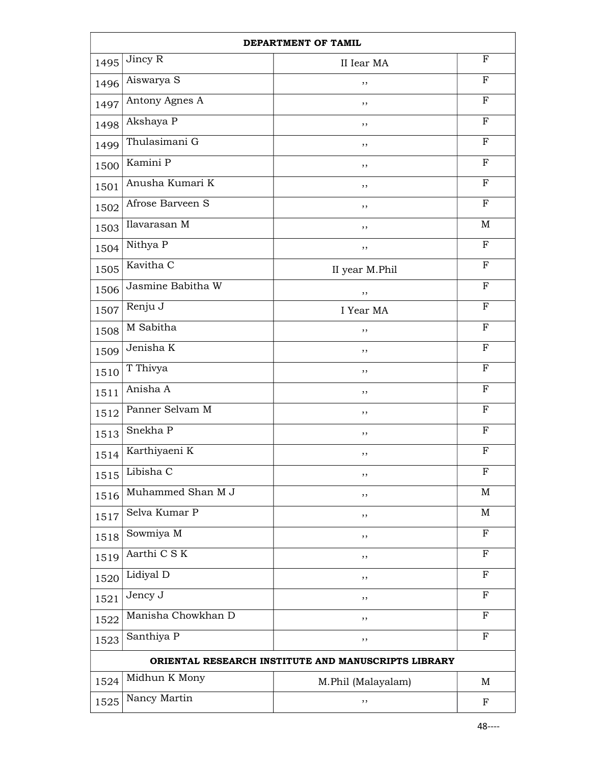|      |                      | DEPARTMENT OF TAMIL                                 |              |
|------|----------------------|-----------------------------------------------------|--------------|
| 1495 | Jincy R              | II Iear MA                                          | $\mathbf F$  |
| 1496 | Aiswarya S           | ,,                                                  | $_{\rm F}$   |
| 1497 | Antony Agnes A       | ,,                                                  | F            |
| 1498 | Akshaya P            | ,,                                                  | $_{\rm F}$   |
| 1499 | Thulasimani G        | ,,                                                  | $\mathbf F$  |
| 1500 | Kamini P             | ,,                                                  | $\mathbf F$  |
| 1501 | Anusha Kumari K      | ,,                                                  | $\mathbf F$  |
| 1502 | Afrose Barveen S     | ,,                                                  | $\mathbf F$  |
| 1503 | Ilavarasan M         | ,,                                                  | M            |
| 1504 | Nithya P             | ,,                                                  | $\mathbf F$  |
| 1505 | Kavitha <sub>C</sub> | II year M.Phil                                      | ${\bf F}$    |
| 1506 | Jasmine Babitha W    | ,,                                                  | $\mathbf{F}$ |
| 1507 | Renju J              | I Year MA                                           | $_{\rm F}$   |
| 1508 | M Sabitha            | ,,                                                  | F            |
| 1509 | Jenisha K            | ,,                                                  | $\mathbf F$  |
| 1510 | T Thivya             | ,,                                                  | $_{\rm F}$   |
| 1511 | Anisha A             | ,,                                                  | $\mathbf F$  |
| 1512 | Panner Selvam M      | ,,                                                  | $\mathbf F$  |
| 1513 | Snekha P             | ,,                                                  | F            |
| 1514 | Karthiyaeni K        | ,,                                                  | F            |
| 1515 | Libisha C            | ,,                                                  | $\mathbf F$  |
| 1516 | Muhammed Shan M J    | ,,                                                  | M            |
| 1517 | Selva Kumar P        | ,,                                                  | M            |
| 1518 | Sowmiya M            | ,,                                                  | $\mathbf F$  |
| 1519 | Aarthi C S K         | ,,                                                  | $_{\rm F}$   |
| 1520 | Lidiyal D            | ,,                                                  | $_{\rm F}$   |
| 1521 | Jency J              | ,,                                                  | $\mathbf F$  |
| 1522 | Manisha Chowkhan D   | ,,                                                  | $\mathbf F$  |
| 1523 | Santhiya P           | ,,                                                  | $_{\rm F}$   |
|      |                      | ORIENTAL RESEARCH INSTITUTE AND MANUSCRIPTS LIBRARY |              |
| 1524 | Midhun K Mony        | M.Phil (Malayalam)                                  | M            |
| 1525 | Nancy Martin         | ,,                                                  | F            |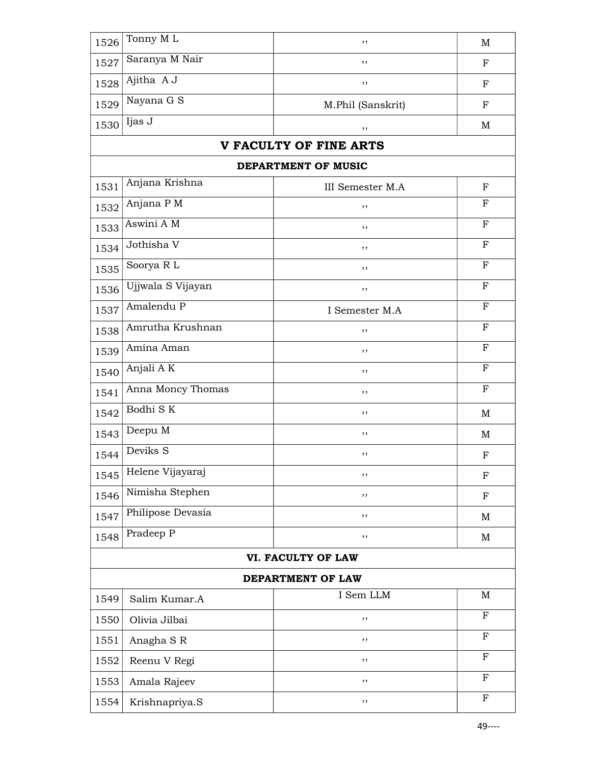| 1526 | Tonny ML            | ,,                            | $\mathbf M$               |
|------|---------------------|-------------------------------|---------------------------|
| 1527 | Saranya M Nair      | ,,                            | F                         |
| 1528 | Ajitha A J          | ,,                            | ${\bf F}$                 |
| 1529 | Nayana G S          | M.Phil (Sanskrit)             | $\mathbf F$               |
| 1530 | Ijas J              | ,,                            | M                         |
|      |                     | <b>V FACULTY OF FINE ARTS</b> |                           |
|      |                     | DEPARTMENT OF MUSIC           |                           |
| 1531 | Anjana Krishna      | <b>III</b> Semester M.A       | $_{\rm F}$                |
| 1532 | Anjana P M          | ,,                            | F                         |
| 1533 | Aswini A M          | ,,                            | F                         |
| 1534 | Jothisha V          | ,,                            | ${\bf F}$                 |
| 1535 | Soorya RL           | , ,                           | $\mathbf F$               |
| 1536 | Ujjwala S Vijayan   | ,,                            | $\mathbf{F}$              |
| 1537 | Amalendu P          | I Semester M.A                | $_{\rm F}$                |
| 1538 | Amrutha Krushnan    | ,,                            | F                         |
| 1539 | Amina Aman          | ,,                            | $\mathbf F$               |
| 1540 | Anjali AK           | ,,                            | ${\bf F}$                 |
| 1541 | Anna Moncy Thomas   | , ,                           | ${\bf F}$                 |
| 1542 | Bodhi SK            | ,,                            | M                         |
| 1543 | Deepu M             | ,,                            | M                         |
| 1544 | Deviks <sub>S</sub> | ,,                            | $\mathbf F$               |
| 1545 | Helene Vijayaraj    | ,,                            | $\boldsymbol{\mathrm{F}}$ |
| 1546 | Nimisha Stephen     | ,,                            | ${\bf F}$                 |
| 1547 | Philipose Devasia   | ,,                            | M                         |
| 1548 | Pradeep P           | ,,                            | M                         |
|      |                     | VI. FACULTY OF LAW            |                           |
|      |                     | DEPARTMENT OF LAW             |                           |
| 1549 | Salim Kumar.A       | I Sem LLM                     | M                         |
| 1550 | Olivia Jilbai       | ,,                            | F                         |
| 1551 | Anagha SR           | ,,                            | F                         |
| 1552 | Reenu V Regi        | ,,                            | F                         |
| 1553 | Amala Rajeev        | ,,                            | F                         |
| 1554 | Krishnapriya.S      | $, \,$                        | F                         |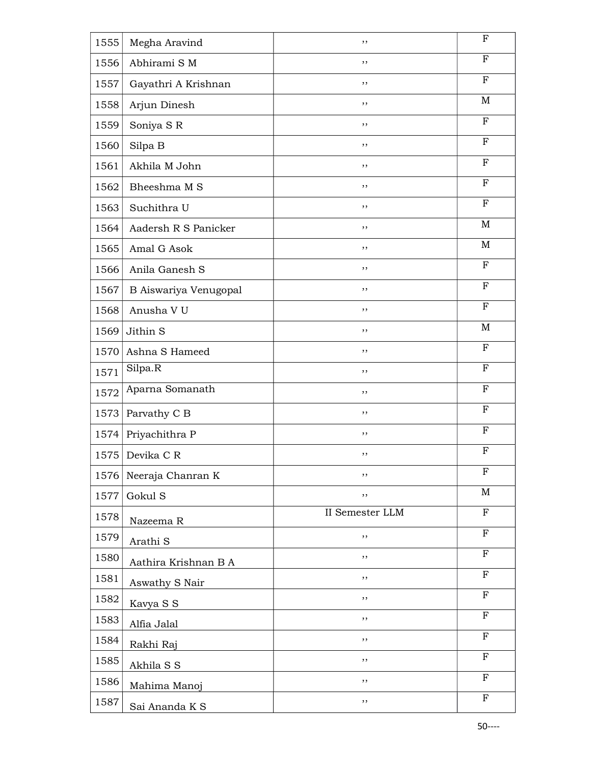| 1555 | Megha Aravind         | ,,              | $\boldsymbol{\mathrm{F}}$ |
|------|-----------------------|-----------------|---------------------------|
| 1556 | Abhirami S M          | ,,              | $_{\rm F}$                |
| 1557 | Gayathri A Krishnan   | ,,              | F                         |
| 1558 | Arjun Dinesh          | ,,              | M                         |
| 1559 | Soniya SR             | ,,              | F                         |
| 1560 | Silpa B               | ,,              | F                         |
| 1561 | Akhila M John         | ,,              | $\mathbf F$               |
| 1562 | Bheeshma M S          | ,,              | ${\bf F}$                 |
| 1563 | Suchithra U           | ,,              | $_{\rm F}$                |
| 1564 | Aadersh R S Panicker  | ,,              | M                         |
| 1565 | Amal G Asok           | ,,              | M                         |
| 1566 | Anila Ganesh S        | ,,              | F                         |
| 1567 | B Aiswariya Venugopal | ,,              | $\mathbf{F}$              |
| 1568 | Anusha V U            | ,,              | ${\bf F}$                 |
| 1569 | Jithin S              | , ,             | M                         |
| 1570 | Ashna S Hameed        | ,,              | $_{\rm F}$                |
| 1571 | Silpa.R               | ,,              | $_{\rm F}$                |
| 1572 | Aparna Somanath       | ,,              | $_{\rm F}$                |
| 1573 | Parvathy C B          | ,,              | ${\bf F}$                 |
| 1574 | Priyachithra P        | ,,              | $_{\rm F}$                |
| 1575 | Devika C R            | ,,              | $\boldsymbol{\mathrm{F}}$ |
| 1576 | Neeraja Chanran K     | ,,              | F                         |
| 1577 | Gokul S               | ,,              | M                         |
| 1578 | Nazeema R             | II Semester LLM | $\mathbf F$               |
| 1579 | Arathi <sub>S</sub>   | ,,              | $\mathbf F$               |
| 1580 | Aathira Krishnan B A  | ,,              | F                         |
| 1581 | Aswathy S Nair        | , ,             | $\mathbf F$               |
| 1582 | Kavya S S             | , ,             | $\mathbf{F}$              |
| 1583 | Alfia Jalal           | $, \,$          | $\mathbf F$               |
| 1584 | Rakhi Raj             | ,,              | ${\bf F}$                 |
| 1585 | Akhila S S            | ,,              | F                         |
| 1586 | Mahima Manoj          | , ,             | F                         |
| 1587 | Sai Ananda K S        | $, \,$          | $\mathbf F$               |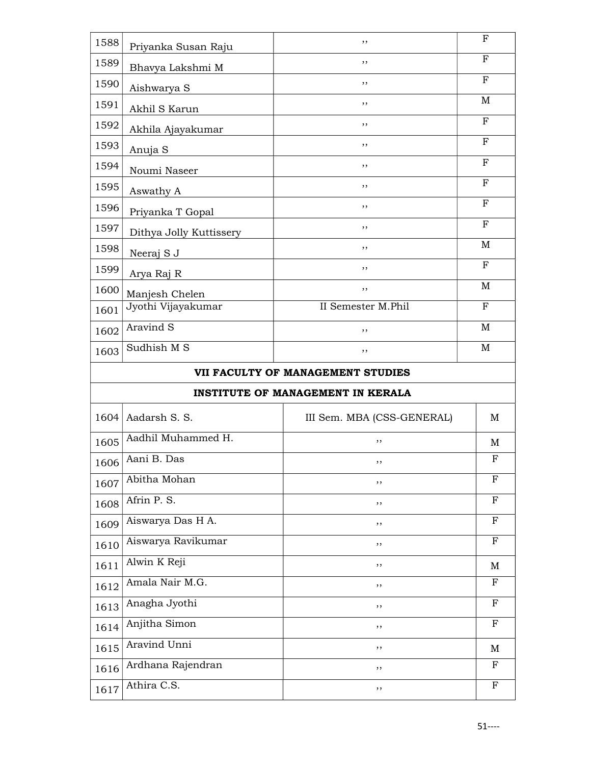| 1601<br>1602 | Jyothi Vijayakumar<br>Aravind S | II Semester M.Phil<br>,, | $\mathbf{F}$<br>M |
|--------------|---------------------------------|--------------------------|-------------------|
| 1600         | Manjesh Chelen                  | ,,                       | M                 |
| 1599         | Arya Raj R                      | ,,                       | $\mathbf{F}$      |
| 1598         | Neeraj S J                      | ,,                       | M                 |
| 1597         | Dithya Jolly Kuttissery         | ,,                       | F                 |
| 1596         | Priyanka T Gopal                | ,,                       | $\mathbf{F}$      |
| 1595         | Aswathy A                       | ,,                       | $\mathbf F$       |
| 1594         | Noumi Naseer                    | ,,                       | $\mathbf F$       |
| 1593         | Anuja S                         | ,,                       | $\mathbf F$       |
| 1592         | Akhila Ajayakumar               | ,,                       | F                 |
| 1591         | Akhil S Karun                   | ,,                       | M                 |
| 1590         | Aishwarya S                     | ,,                       | $\mathbf{F}$      |
| 1589         | Bhavya Lakshmi M                | ,,                       | F                 |
| 1588         | Priyanka Susan Raju             | ,,                       | F                 |

## INSTITUTE OF MANAGEMENT IN KERALA

| 1604 | Aadarsh S. S.      | III Sem. MBA (CSS-GENERAL) | M            |
|------|--------------------|----------------------------|--------------|
| 1605 | Aadhil Muhammed H. | ,,                         | M            |
| 1606 | Aani B. Das        | ,,                         | F            |
| 1607 | Abitha Mohan       | ,,                         | $_{\rm F}$   |
| 1608 | Afrin P. S.        | ,,                         | $_{\rm F}$   |
| 1609 | Aiswarya Das H A.  | ,,                         | $_{\rm F}$   |
| 1610 | Aiswarya Ravikumar | ,,                         | $_{\rm F}$   |
| 1611 | Alwin K Reji       | ,,                         | M            |
| 1612 | Amala Nair M.G.    | ,,                         | $_{\rm F}$   |
| 1613 | Anagha Jyothi      | ,,                         | $_{\rm F}$   |
| 1614 | Anjitha Simon      | ,,                         | F            |
| 1615 | Aravind Unni       | ,,                         | M            |
| 1616 | Ardhana Rajendran  | ,,                         | F            |
| 1617 | Athira C.S.        | ,,                         | $\mathbf{F}$ |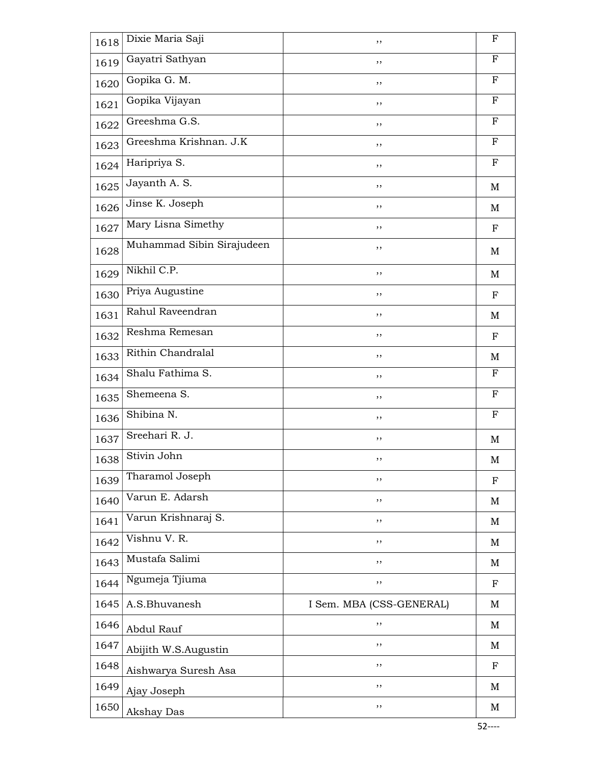| 1618 | Dixie Maria Saji          | ,,                       | F            |
|------|---------------------------|--------------------------|--------------|
| 1619 | Gayatri Sathyan           | ,,                       | $\mathbf{F}$ |
| 1620 | Gopika G. M.              | ,,                       | F            |
| 1621 | Gopika Vijayan            | ,,                       | $_{\rm F}$   |
| 1622 | Greeshma G.S.             | ,,                       | $\mathbf F$  |
| 1623 | Greeshma Krishnan. J.K    | ,,                       | $_{\rm F}$   |
| 1624 | Haripriya S.              | ,,                       | $_{\rm F}$   |
| 1625 | Jayanth A. S.             | ,,                       | M            |
| 1626 | Jinse K. Joseph           | ,,                       | M            |
| 1627 | Mary Lisna Simethy        | ,,                       | $\mathbf F$  |
| 1628 | Muhammad Sibin Sirajudeen | ,,                       | M            |
| 1629 | Nikhil C.P.               | ,,                       | M            |
| 1630 | Priya Augustine           | ,,                       | $\mathbf F$  |
| 1631 | Rahul Raveendran          | ,,                       | M            |
| 1632 | Reshma Remesan            | ,,                       | F            |
| 1633 | Rithin Chandralal         | ,,                       | M            |
| 1634 | Shalu Fathima S.          | ,,                       | F            |
| 1635 | Shemeena S.               | ,,                       | F            |
| 1636 | Shibina N.                | ,,                       | F            |
| 1637 | Sreehari R. J.            | ,,                       | M            |
| 1638 | Stivin John               | ,,                       | M            |
| 1639 | Tharamol Joseph           | ,,                       | F            |
| 1640 | Varun E. Adarsh           | ,,                       | M            |
| 1641 | Varun Krishnaraj S.       | ,,                       | M            |
| 1642 | Vishnu V. R.              | ,,                       | M            |
| 1643 | Mustafa Salimi            | ,,                       | M            |
| 1644 | Ngumeja Tjiuma            | ,,                       | $_{\rm F}$   |
| 1645 | A.S.Bhuvanesh             | I Sem. MBA (CSS-GENERAL) | M            |
| 1646 | Abdul Rauf                | ,,                       | М            |
| 1647 | Abijith W.S.Augustin      | ,,                       | M            |
| 1648 | Aishwarya Suresh Asa      | ,,                       | $_{\rm F}$   |
| 1649 | Ajay Joseph               | ,,                       | M            |
| 1650 | Akshay Das                | ,,                       | M            |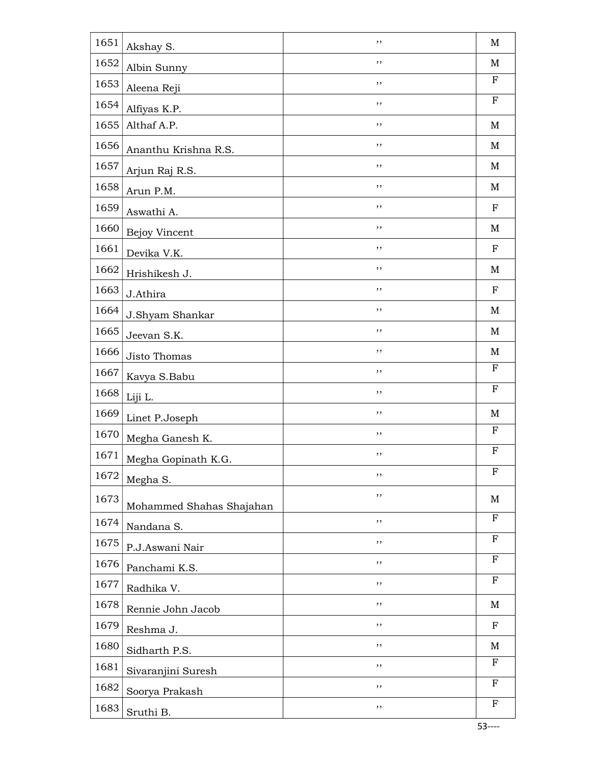| 1651 | Akshay S.                              | ,,  | $\mathbf M$               |
|------|----------------------------------------|-----|---------------------------|
| 1652 | Albin Sunny                            | ,,  | M                         |
| 1653 | Aleena Reji                            | ,,  | $\boldsymbol{\mathrm{F}}$ |
| 1654 | Alfiyas K.P.                           | ,,  | $_{\rm F}$                |
| 1655 | Althaf A.P.                            | ,,  | M                         |
| 1656 | Ananthu Krishna R.S.                   | ,,  | M                         |
| 1657 | Arjun Raj R.S.                         | ,,  | M                         |
| 1658 | Arun P.M.                              | ,,  | M                         |
| 1659 | Aswathi A.                             | ,,  | $\mathbf F$               |
| 1660 | Bejoy Vincent                          | ,,  | M                         |
| 1661 | Devika V.K.                            | ,,  | ${\bf F}$                 |
| 1662 | Hrishikesh J.                          | ,,  | M                         |
| 1663 | J.Athira                               | ,,  | $\mathbf F$               |
| 1664 | J.Shyam Shankar                        | ,,  | M                         |
| 1665 | Jeevan S.K.                            | ,,  | M                         |
| 1666 | Jisto Thomas                           | ,,  | M                         |
| 1667 | Kavya S.Babu                           | ,,  | $_{\rm F}$                |
| 1668 | Liji L.                                | , , | ${\bf F}$                 |
| 1669 | Linet P.Joseph                         | ,,  | $\mathbf M$               |
| 1670 | Megha Ganesh K.                        | ,,  | F                         |
| 1671 | Megha Gopinath K.G.                    | ,,  | F                         |
| 1672 | Megha S.                               | ,,  | F                         |
| 1673 |                                        | ,,  | M                         |
| 1674 | Mohammed Shahas Shajahan<br>Nandana S. | ,,  | F                         |
| 1675 | P.J.Aswani Nair                        | ,,  | ${\bf F}$                 |
| 1676 | Panchami K.S.                          | ,,  | ${\bf F}$                 |
| 1677 | Radhika V.                             | , , | ${\bf F}$                 |
| 1678 | Rennie John Jacob                      | ,,  | $\mathbf M$               |
| 1679 | Reshma J.                              | ,,  | ${\bf F}$                 |
| 1680 | Sidharth P.S.                          | ,,  | M                         |
| 1681 |                                        | ,,  | $_{\rm F}$                |
| 1682 | Sivaranjini Suresh                     | ,,  | F                         |
| 1683 | Soorya Prakash                         | , , | F                         |
|      | Sruthi B.                              |     |                           |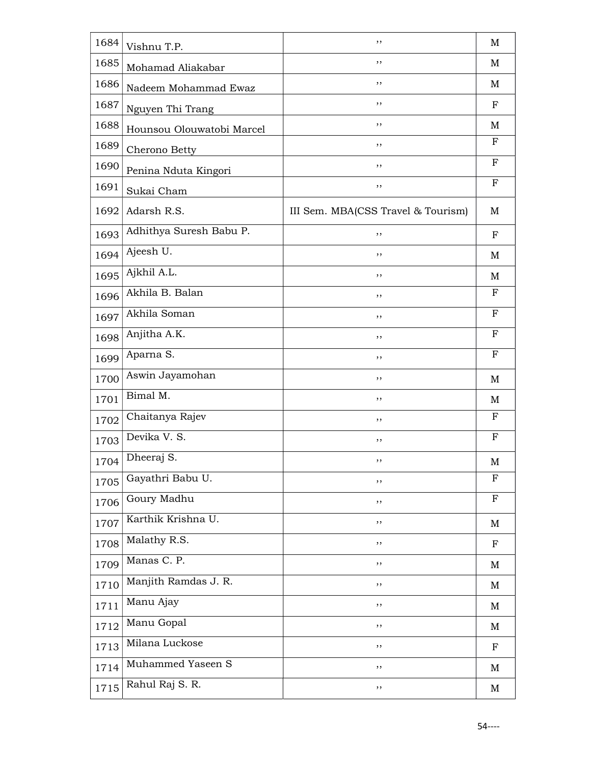| 1684 | Vishnu T.P.               | ,,                                 | M            |
|------|---------------------------|------------------------------------|--------------|
| 1685 | Mohamad Aliakabar         | ,,                                 | M            |
| 1686 | Nadeem Mohammad Ewaz      | ,,                                 | M            |
| 1687 | Nguyen Thi Trang          | ,,                                 | $\mathbf F$  |
| 1688 | Hounsou Olouwatobi Marcel | ,,                                 | M            |
| 1689 | Cherono Betty             | ,,                                 | $_{\rm F}$   |
| 1690 | Penina Nduta Kingori      | ,,                                 | F            |
| 1691 | Sukai Cham                | ,,                                 | $\mathbf{F}$ |
| 1692 | Adarsh R.S.               | III Sem. MBA(CSS Travel & Tourism) | М            |
| 1693 | Adhithya Suresh Babu P.   | ,,                                 | $_{\rm F}$   |
| 1694 | Ajeesh U.                 | ,,                                 | M            |
| 1695 | Ajkhil A.L.               | ,,                                 | M            |
| 1696 | Akhila B. Balan           | ,,                                 | F            |
| 1697 | Akhila Soman              | ,,                                 | $\mathbf F$  |
| 1698 | Anjitha A.K.              | ,,                                 | $_{\rm F}$   |
| 1699 | Aparna S.                 | ,,                                 | $\mathbf F$  |
| 1700 | Aswin Jayamohan           | ,,                                 | M            |
| 1701 | Bimal M.                  | ,,                                 | M            |
| 1702 | Chaitanya Rajev           | ,,                                 | F            |
| 1703 | Devika V. S.              | ,,                                 | $_{\rm F}$   |
| 1704 | Dheeraj S.                | ,,                                 | M            |
| 1705 | Gayathri Babu U.          | ,,                                 | F            |
| 1706 | Goury Madhu               | ,,                                 | $\mathbf F$  |
| 1707 | Karthik Krishna U.        | ,,                                 | M            |
| 1708 | Malathy R.S.              | ,,                                 | $\mathbf F$  |
| 1709 | Manas C. P.               | ,,                                 | M            |
| 1710 | Manjith Ramdas J. R.      | ,,                                 | M            |
| 1711 | Manu Ajay                 | ,,                                 | M            |
| 1712 | Manu Gopal                | ,,                                 | M            |
| 1713 | Milana Luckose            | ,,                                 | $\mathbf F$  |
| 1714 | Muhammed Yaseen S         | ,,                                 | M            |
| 1715 | Rahul Raj S. R.           | ,,                                 | M            |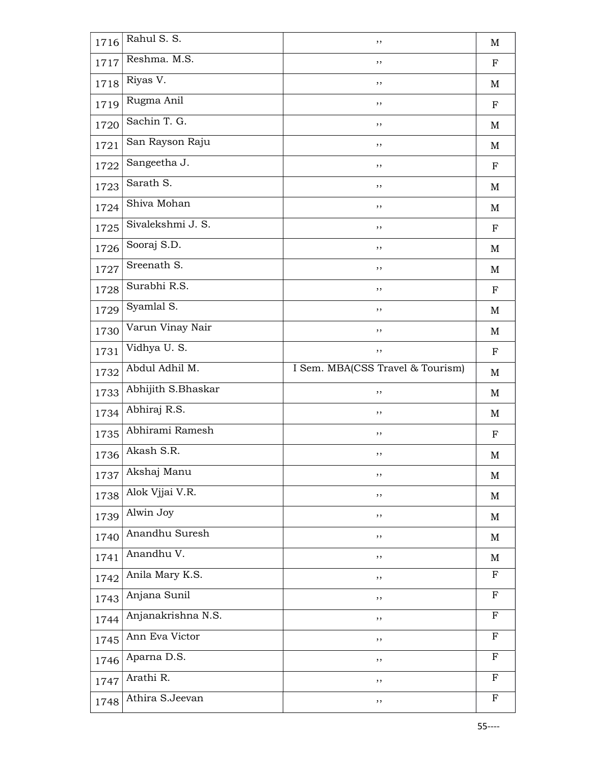| 1716 | Rahul S. S.        | ,,                               | M                         |
|------|--------------------|----------------------------------|---------------------------|
| 1717 | Reshma. M.S.       | ,,                               | $_{\rm F}$                |
| 1718 | Riyas V.           | ,,                               | M                         |
| 1719 | Rugma Anil         | ,,                               | ${\bf F}$                 |
| 1720 | Sachin T. G.       | ,,                               | M                         |
| 1721 | San Rayson Raju    | ,,                               | M                         |
| 1722 | Sangeetha J.       | ,,                               | ${\bf F}$                 |
| 1723 | Sarath S.          | ,,                               | M                         |
| 1724 | Shiva Mohan        | ,,                               | M                         |
| 1725 | Sivalekshmi J. S.  | ,,                               | ${\bf F}$                 |
| 1726 | Sooraj S.D.        | ,,                               | M                         |
| 1727 | Sreenath S.        | ,,                               | M                         |
| 1728 | Surabhi R.S.       | ,,                               | ${\bf F}$                 |
| 1729 | Syamlal S.         | ,,                               | M                         |
| 1730 | Varun Vinay Nair   | ,,                               | M                         |
| 1731 | Vidhya U.S.        | ,,                               | ${\bf F}$                 |
| 1732 | Abdul Adhil M.     | I Sem. MBA(CSS Travel & Tourism) | M                         |
| 1733 | Abhijith S.Bhaskar | ,,                               | M                         |
| 1734 | Abhiraj R.S.       | ,,                               | M                         |
| 1735 | Abhirami Ramesh    | ,,                               | $_{\rm F}$                |
| 1736 | Akash S.R.         | ,,                               | M                         |
| 1737 | Akshaj Manu        | ,,                               | $\mathbf M$               |
| 1738 | Alok Vjjai V.R.    | ,,                               | M                         |
| 1739 | Alwin Joy          | ,,                               | M                         |
| 1740 | Anandhu Suresh     | ,,                               | M                         |
| 1741 | Anandhu V.         | ,,                               | M                         |
| 1742 | Anila Mary K.S.    | ,,                               | F                         |
| 1743 | Anjana Sunil       | ,,                               | F                         |
| 1744 | Anjanakrishna N.S. | ,,                               | $_{\rm F}$                |
| 1745 | Ann Eva Victor     | ,,                               | $\boldsymbol{\mathrm{F}}$ |
| 1746 | Aparna D.S.        | ,,                               | ${\bf F}$                 |
| 1747 | Arathi R.          | ,,                               | F                         |
| 1748 | Athira S.Jeevan    | ,,                               | F                         |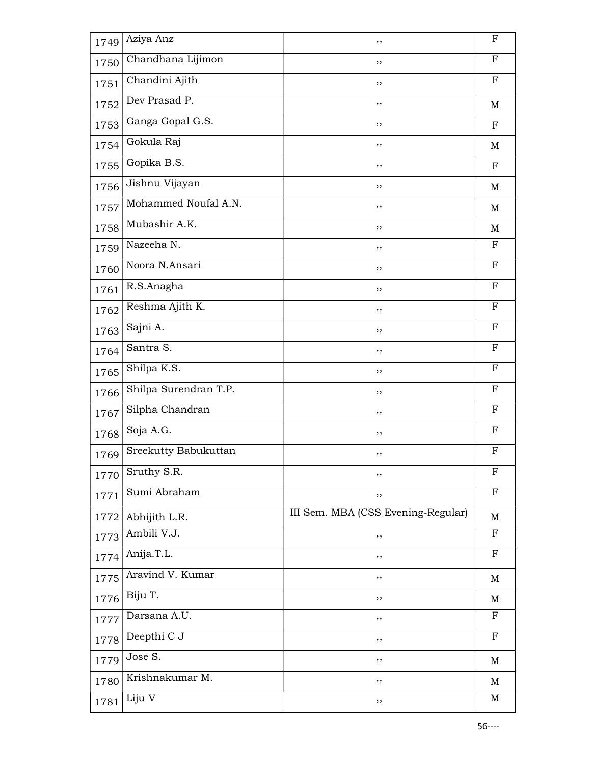| 1749 | Aziya Anz             | ,,                                 | $\mathbf F$ |
|------|-----------------------|------------------------------------|-------------|
| 1750 | Chandhana Lijimon     | ,,                                 | ${\bf F}$   |
| 1751 | Chandini Ajith        | ,,                                 | F           |
| 1752 | Dev Prasad P.         | ,,                                 | M           |
| 1753 | Ganga Gopal G.S.      | ,,                                 | $\mathbf F$ |
| 1754 | Gokula Raj            | ,,                                 | M           |
| 1755 | Gopika B.S.           | ,,                                 | $\mathbf F$ |
| 1756 | Jishnu Vijayan        | ,,                                 | M           |
| 1757 | Mohammed Noufal A.N.  | ,,                                 | M           |
| 1758 | Mubashir A.K.         | ,,                                 | M           |
| 1759 | Nazeeha N.            | ,,                                 | $\mathbf F$ |
| 1760 | Noora N.Ansari        | ,,                                 | F           |
| 1761 | R.S.Anagha            | ,,                                 | $_{\rm F}$  |
| 1762 | Reshma Ajith K.       | ,,                                 | $\mathbf F$ |
| 1763 | Sajni A.              | ,,                                 | $_{\rm F}$  |
| 1764 | Santra S.             | ,,                                 | $\mathbf F$ |
| 1765 | Shilpa K.S.           | ,,                                 | $_{\rm F}$  |
| 1766 | Shilpa Surendran T.P. | ,,                                 | ${\bf F}$   |
| 1767 | Silpha Chandran       | ,,                                 | $\mathbf F$ |
| 1768 | Soja A.G.             | ,,                                 | $_{\rm F}$  |
| 1769 | Sreekutty Babukuttan  | ,,                                 | F           |
| 1770 | Sruthy S.R.           | ,,                                 | F           |
| 1771 | Sumi Abraham          | ,,                                 | F           |
| 1772 | Abhijith L.R.         | III Sem. MBA (CSS Evening-Regular) | M           |
| 1773 | Ambili V.J.           | ,,                                 | ${\bf F}$   |
| 1774 | Anija.T.L.            | ,,                                 | $\mathbf F$ |
| 1775 | Aravind V. Kumar      | ,,                                 | M           |
| 1776 | Biju T.               | ,,                                 | M           |
| 1777 | Darsana A.U.          | ,,                                 | $_{\rm F}$  |
| 1778 | Deepthi C J           | ,,                                 | F           |
| 1779 | Jose S.               | ,,                                 | M           |
| 1780 | Krishnakumar M.       | ,,                                 | M           |
| 1781 | Liju V                | ,,                                 | M           |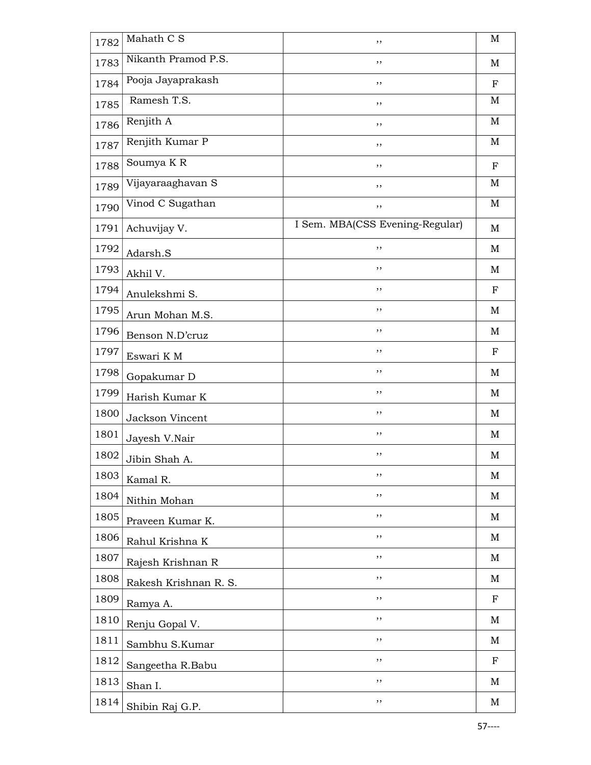| 1782 | Mahath $C\overline{S}$ | ,,                              | $\mathbf M$ |
|------|------------------------|---------------------------------|-------------|
| 1783 | Nikanth Pramod P.S.    | ,,                              | M           |
| 1784 | Pooja Jayaprakash      | ,,                              | $_{\rm F}$  |
| 1785 | Ramesh T.S.            | ,,                              | M           |
| 1786 | Renjith A              | ,,                              | M           |
| 1787 | Renjith Kumar P        | ,,                              | M           |
| 1788 | Soumya K R             | ,,                              | ${\bf F}$   |
| 1789 | Vijayaraaghavan S      | ,,                              | $\mathbf M$ |
| 1790 | Vinod C Sugathan       | ,,                              | $\mathbf M$ |
| 1791 | Achuvijay V.           | I Sem. MBA(CSS Evening-Regular) | M           |
| 1792 | Adarsh.S               | ,,                              | M           |
| 1793 | Akhil V.               | ,,                              | M           |
| 1794 | Anulekshmi S.          | ,,                              | F           |
| 1795 | Arun Mohan M.S.        | ,,                              | M           |
| 1796 | Benson N.D'cruz        | ,,                              | M           |
| 1797 | Eswari K M             | ,,                              | ${\bf F}$   |
| 1798 | Gopakumar D            | ,,                              | M           |
| 1799 | Harish Kumar K         | ,,                              | M           |
| 1800 | Jackson Vincent        | ,,                              | M           |
| 1801 | Jayesh V.Nair          | ,,                              | M           |
| 1802 | Jibin Shah A.          | ,,                              | M           |
| 1803 | Kamal R.               | ,,                              | M           |
| 1804 | Nithin Mohan           | ,,                              | M           |
| 1805 | Praveen Kumar K.       | ,,                              | M           |
| 1806 | Rahul Krishna K        | ,,                              | M           |
| 1807 | Rajesh Krishnan R      | ,,                              | M           |
| 1808 | Rakesh Krishnan R. S.  | ,,                              | M           |
| 1809 | Ramya A.               | ,,                              | $\mathbf F$ |
| 1810 | Renju Gopal V.         | ,,                              | M           |
| 1811 | Sambhu S.Kumar         | ,,                              | M           |
| 1812 | Sangeetha R.Babu       | ,,                              | $_{\rm F}$  |
| 1813 | Shan I.                | ,,                              | M           |
| 1814 | Shibin Raj G.P.        | ,,                              | M           |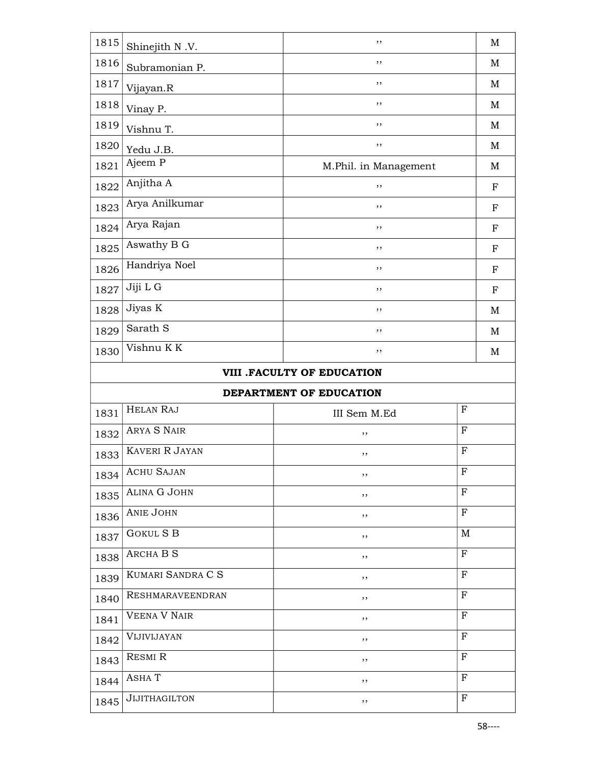| 1815 | Shinejith N.V.        | ,,                         | $\mathbf M$  |
|------|-----------------------|----------------------------|--------------|
| 1816 | Subramonian P.        | ,,                         | M            |
| 1817 | Vijayan.R             | ,,                         | M            |
| 1818 | Vinay P.              | ,,                         | M            |
| 1819 | Vishnu T.             | ,,                         | M            |
| 1820 | Yedu J.B.             | ,,                         | $\mathbf M$  |
| 1821 | Ajeem P               | M.Phil. in Management      | M            |
| 1822 | Anjitha A             | ,,                         | $_{\rm F}$   |
| 1823 | Arya Anilkumar        | ,,                         | $\mathbf F$  |
| 1824 | Arya Rajan            | ,,                         | ${\bf F}$    |
| 1825 | Aswathy B G           | ,,                         | $\mathbf F$  |
| 1826 | Handriya Noel         | ,,                         | $_{\rm F}$   |
| 1827 | Jiji L G              | ,,                         | $_{\rm F}$   |
| 1828 | Jiyas K               | ,,                         | M            |
| 1829 | Sarath S              | ,,                         | $\mathbf M$  |
| 1830 | Vishnu KK             | ,,                         | M            |
|      |                       | VIII .FACULTY OF EDUCATION |              |
|      |                       | DEPARTMENT OF EDUCATION    |              |
|      |                       |                            |              |
| 1831 | <b>HELAN RAJ</b>      | III Sem M.Ed               | $\mathbf{F}$ |
| 1832 | <b>ARYA S NAIR</b>    | ,,                         | $\mathbf{F}$ |
| 1833 | <b>KAVERI R JAYAN</b> | ,,                         | $\mathbf F$  |
| 1834 | <b>ACHU SAJAN</b>     | ,,                         | $_{\rm F}$   |
| 1835 | ALINA G JOHN          | $, \,$                     | $_{\rm F}$   |
| 1836 | <b>ANIE JOHN</b>      | $, \,$                     | $\mathbf F$  |
| 1837 | <b>GOKUL S B</b>      | ,,                         | M            |
| 1838 | <b>ARCHA B S</b>      | ,,                         | $_{\rm F}$   |
| 1839 | KUMARI SANDRA C S     | $, \,$                     | $_{\rm F}$   |
| 1840 | RESHMARAVEENDRAN      | $, \,$                     | $_{\rm F}$   |
| 1841 | <b>VEENA V NAIR</b>   | ,,                         | $\mathbf{F}$ |
| 1842 | VIJIVIJAYAN           | ,,                         | ${\bf F}$    |
| 1843 | <b>RESMI R</b>        | ,,                         | $\mathbf{F}$ |
| 1844 | ASHAT                 | ,,                         | $_{\rm F}$   |
| 1845 | <b>JIJITHAGILTON</b>  | $, \,$                     | $\mathbf{F}$ |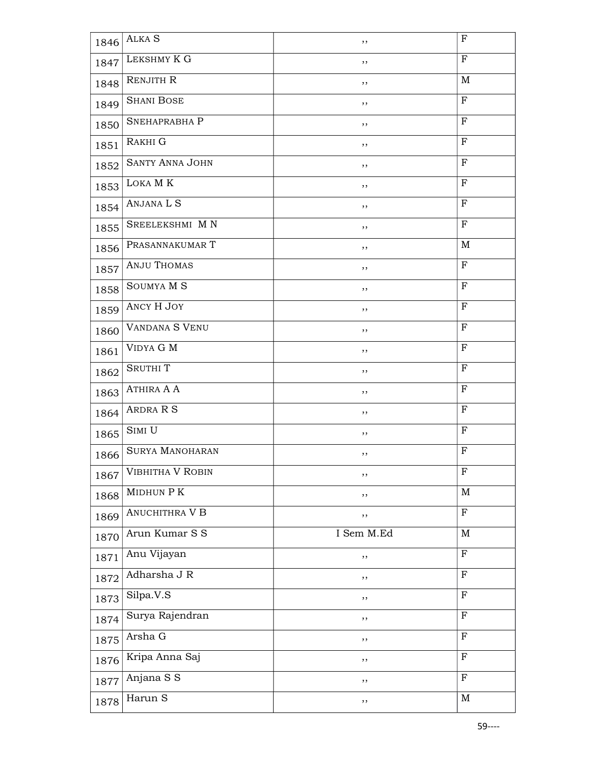| 1846 | ALKA S                 | , ,        | $\mathbf F$  |
|------|------------------------|------------|--------------|
| 1847 | LEKSHMY K G            | , ,        | $\mathbf{F}$ |
| 1848 | RENJITH R              | $, \,$     | M            |
| 1849 | <b>SHANI BOSE</b>      | , ,        | F            |
| 1850 | SNEHAPRABHA P          | ,,         | ${\bf F}$    |
| 1851 | RAKHI G                | ,,         | F            |
| 1852 | <b>SANTY ANNA JOHN</b> | ,,         | $_{\rm F}$   |
| 1853 | LOKA MK                | ,,         | $\mathbf{F}$ |
| 1854 | ANJANA L S             | $, \,$     | F            |
| 1855 | SREELEKSHMI MN         | $, \,$     | $\mathbf F$  |
| 1856 | PRASANNAKUMAR T        | ,,         | $\mathbf M$  |
| 1857 | <b>ANJU THOMAS</b>     | $, \,$     | $_{\rm F}$   |
| 1858 | SOUMYA M S             | $, \,$     | F            |
| 1859 | ANCY H JOY             | ,,         | $_{\rm F}$   |
| 1860 | <b>VANDANA S VENU</b>  | ,,         | F            |
| 1861 | VIDYA G M              | ,,         | $_{\rm F}$   |
| 1862 | <b>SRUTHIT</b>         | ,,         | F            |
| 1863 | ATHIRA A A             | , ,        | F            |
| 1864 | ARDRA R S              | $, \,$     | F            |
| 1865 | SIMI U                 | ,,         | $_{\rm F}$   |
| 1866 | <b>SURYA MANOHARAN</b> | ,,         | F            |
| 1867 | VIBHITHA V ROBIN       | $, \,$     | $\mathbf F$  |
| 1868 | MIDHUN P K             | ,,         | M            |
| 1869 | <b>ANUCHITHRA V B</b>  | ,,         | $\mathbf F$  |
| 1870 | Arun Kumar S S         | I Sem M.Ed | M            |
| 1871 | Anu Vijayan            | $, \,$     | ${\bf F}$    |
| 1872 | Adharsha J R           | ,,         | $\mathbf F$  |
| 1873 | Silpa.V.S              | $, \,$     | $\mathbf F$  |
| 1874 | Surya Rajendran        | ,,         | ${\bf F}$    |
| 1875 | Arsha G                | ,,         | $_{\rm F}$   |
| 1876 | Kripa Anna Saj         | ,,         | $_{\rm F}$   |
| 1877 | Anjana S S             | $, \,$     | $\mathbf F$  |
| 1878 | Harun S                | ,,         | M            |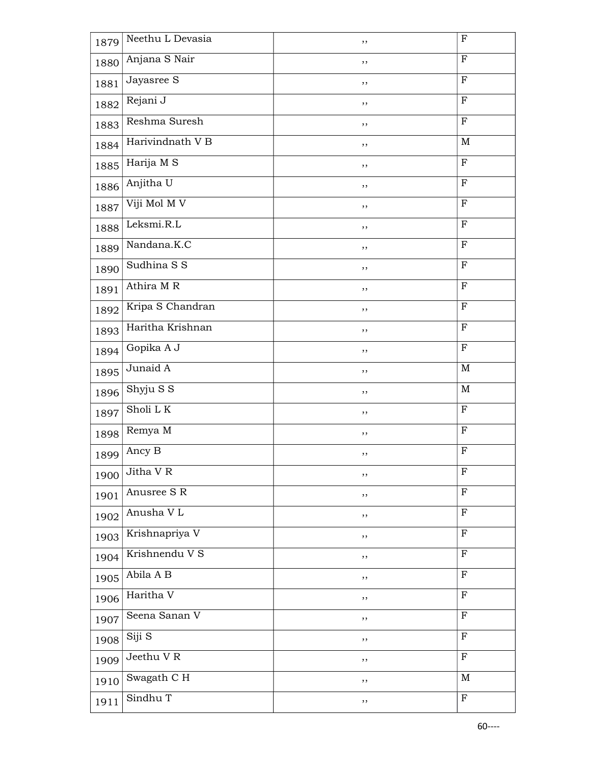| 1879 | Neethu L Devasia | ,,     | $\mathbf F$  |
|------|------------------|--------|--------------|
| 1880 | Anjana S Nair    | ,,     | $\mathbf F$  |
| 1881 | Jayasree S       | ,,     | $\mathbf F$  |
| 1882 | Rejani J         | ,,     | ${\bf F}$    |
| 1883 | Reshma Suresh    | ,,     | $\mathbf F$  |
| 1884 | Harivindnath V B | ,,     | M            |
| 1885 | Harija M S       | ,,     | $\mathbf F$  |
| 1886 | Anjitha U        | ,,     | $\mathbf F$  |
| 1887 | Viji Mol M V     | ,,     | $\mathbf F$  |
| 1888 | Leksmi.R.L       | ,,     | $\rm F$      |
| 1889 | Nandana.K.C      | ,,     | $\mathbf F$  |
| 1890 | Sudhina S S      | ,,     | $\mathbf F$  |
| 1891 | Athira M R       | ,,     | $\mathbf F$  |
| 1892 | Kripa S Chandran | ,,     | $\mathbf F$  |
| 1893 | Haritha Krishnan | ,,     | $\mathbf{F}$ |
| 1894 | Gopika A J       | ,,     | $\mathbf F$  |
| 1895 | Junaid A         | ,,     | M            |
| 1896 | Shyju S S        | ,,     | M            |
| 1897 | Sholi LK         | ,,     | $\mathbf F$  |
| 1898 | Remya M          | ,,     | $\mathbf F$  |
| 1899 | Ancy B           | ,,     | $\mathbf F$  |
| 1900 | Jitha V R        | ,,     | F            |
| 1901 | Anusree S R      | $, \,$ | $\mathbf F$  |
| 1902 | Anusha V L       | ,,     | $\mathbf{F}$ |
| 1903 | Krishnapriya V   | ,,     | $\mathbf F$  |
| 1904 | Krishnendu V S   | ,,     | $\mathbf{F}$ |
| 1905 | Abila A B        | ,,     | $\mathbf F$  |
| 1906 | Haritha V        | ,,     | $\mathbf{F}$ |
| 1907 | Seena Sanan V    | ,,     | $\rm F$      |
| 1908 | Siji S           | ,,     | $\rm F$      |
| 1909 | Jeethu VR        | ,,     | ${\bf F}$    |
| 1910 | Swagath C H      | ,,     | M            |
| 1911 | Sindhu T         | ,,     | $\mathbf F$  |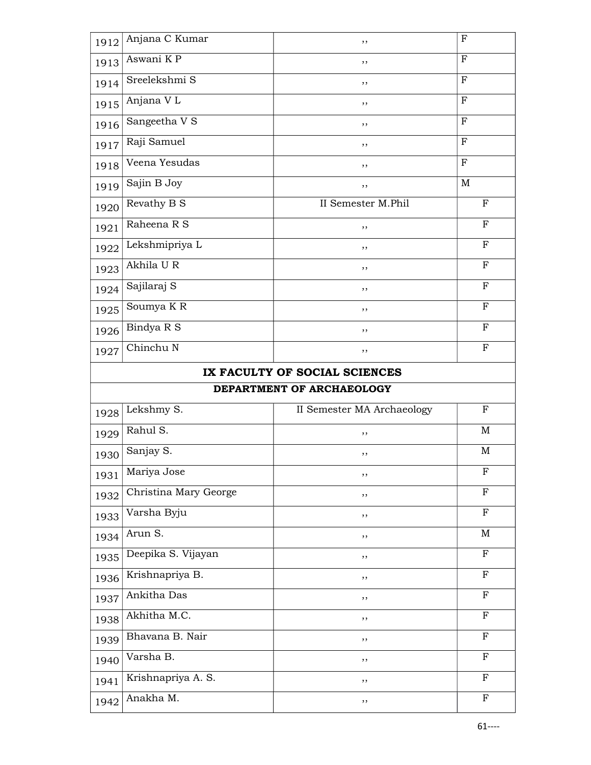| 1912 | Anjana C Kumar         | ,,                            | $_{\rm F}$   |
|------|------------------------|-------------------------------|--------------|
| 1913 | Aswani $K\overline{P}$ | ,,                            | F            |
| 1914 | Sreelekshmi S          | ,,                            | $_{\rm F}$   |
| 1915 | Anjana VL              | ,,                            | $\mathbf F$  |
| 1916 | Sangeetha V S          | ,,                            | ${\bf F}$    |
| 1917 | Raji Samuel            | ,,                            | $_{\rm F}$   |
| 1918 | Veena Yesudas          | ,,                            | F            |
| 1919 | Sajin B Joy            | ,,                            | M            |
| 1920 | Revathy B S            | II Semester M.Phil            | $\mathbf F$  |
| 1921 | Raheena R S            | ,,                            | $\mathbf{F}$ |
| 1922 | Lekshmipriya L         | ,,                            | F            |
| 1923 | Akhila U R             | ,,                            | F            |
| 1924 | Sajilaraj S            | ,,                            | $\mathbf F$  |
| 1925 | Soumya K R             | ,,                            | $\mathbf F$  |
| 1926 | Bindya R S             | ,,                            | $\mathbf{F}$ |
| 1927 | Chinchu N              | ,,                            | $_{\rm F}$   |
|      |                        | IX FACULTY OF SOCIAL SCIENCES |              |
|      |                        | DEPARTMENT OF ARCHAEOLOGY     |              |
| 1928 | Lekshmy S.             | II Semester MA Archaeology    | ${\bf F}$    |
| 1929 | Rahul S.               | ,,                            | M            |
| 1930 | Sanjay S.              | ,,                            | $\mathbf M$  |
| 1931 | Mariya Jose            | ,,                            | $\mathbf F$  |
| 1932 | Christina Mary George  | ,,                            | $\mathbf F$  |
| 1933 | Varsha Byju            | ,,                            | $\mathbf{F}$ |
| 1934 | Arun S.                | ,,                            | $\mathbf M$  |
| 1935 | Deepika S. Vijayan     | ,,                            | $\mathbf F$  |
| 1936 | Krishnapriya B.        | ,,                            | $\mathbf F$  |
| 1937 | Ankitha Das            | ,,                            | ${\bf F}$    |
| 1938 | Akhitha M.C.           | ,,                            | $\mathbf F$  |
| 1939 | Bhavana B. Nair        | ,,                            | $\mathbf F$  |
| 1940 | Varsha B.              | ,,                            | $\mathbf F$  |
| 1941 | Krishnapriya A. S.     | ,,                            | $_{\rm F}$   |
| 1942 | Anakha M.              | ,,                            | $\mathbf F$  |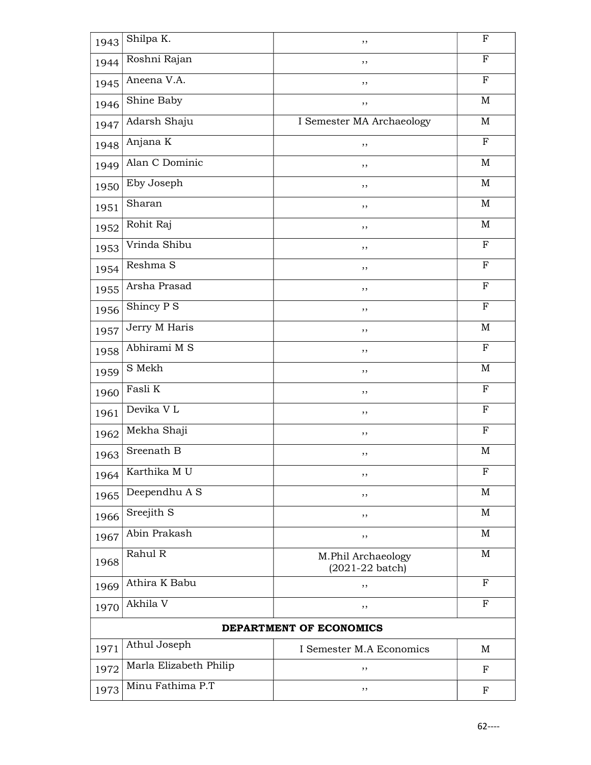| 1943                    | Shilpa K.               | ,,                                                | ${\bf F}$    |
|-------------------------|-------------------------|---------------------------------------------------|--------------|
| 1944                    | Roshni Rajan            | ,,                                                | $_{\rm F}$   |
| 1945                    | Aneena V.A.             | ,,                                                | $_{\rm F}$   |
| 1946                    | Shine Baby              | ,,                                                | $\mathbf M$  |
| 1947                    | Adarsh Shaju            | I Semester MA Archaeology                         | M            |
| 1948                    | Anjana K                | ,,                                                | F            |
| 1949                    | Alan C Dominic          | ,,                                                | M            |
| 1950                    | Eby Joseph              | ,,                                                | $\mathbf M$  |
| 1951                    | Sharan                  | ,,                                                | $\mathbf M$  |
| 1952                    | Rohit Raj               | ,,                                                | $\mathbf M$  |
| 1953                    | Vrinda Shibu            | ,,                                                | $_{\rm F}$   |
| 1954                    | Reshma S                | ,,                                                | F            |
| 1955                    | Arsha Prasad            | ,,                                                | $\mathbf{F}$ |
| 1956                    | Shincy P S              | ,,                                                | $\mathbf F$  |
| 1957                    | Jerry M Haris           | ,,                                                | $\mathbf M$  |
| 1958                    | Abhirami M S            | ,,                                                | $\mathbf F$  |
| 1959                    | S Mekh                  | ,,                                                | $\mathbf M$  |
| 1960                    | Fasli K                 | ,,                                                | F            |
| 1961                    | Devika VL               | ,,                                                | ${\bf F}$    |
| 1962                    | Mekha Shaji             | ,,                                                | F            |
| 1963                    | Sreenath $\overline{B}$ | ,,                                                | M            |
| 1964                    | Karthika MU             | ,,                                                | F            |
| 1965                    | Deependhu A S           | ,,                                                | M            |
| 1966                    | Sreejith S              | ,,                                                | $\mathbf M$  |
| 1967                    | Abin Prakash            | ,,                                                | M            |
| 1968                    | Rahul R                 | M.Phil Archaeology<br>$(2021 - 22 \text{ batch})$ | $\mathbf M$  |
| 1969                    | Athira K Babu           | ,,                                                | F            |
| 1970                    | Akhila V                | ,,                                                | F            |
| DEPARTMENT OF ECONOMICS |                         |                                                   |              |
| 1971                    | Athul Joseph            | I Semester M.A Economics                          | M            |
| 1972                    | Marla Elizabeth Philip  | ,,                                                | ${\bf F}$    |
| 1973                    | Minu Fathima P.T        | ,,                                                | F            |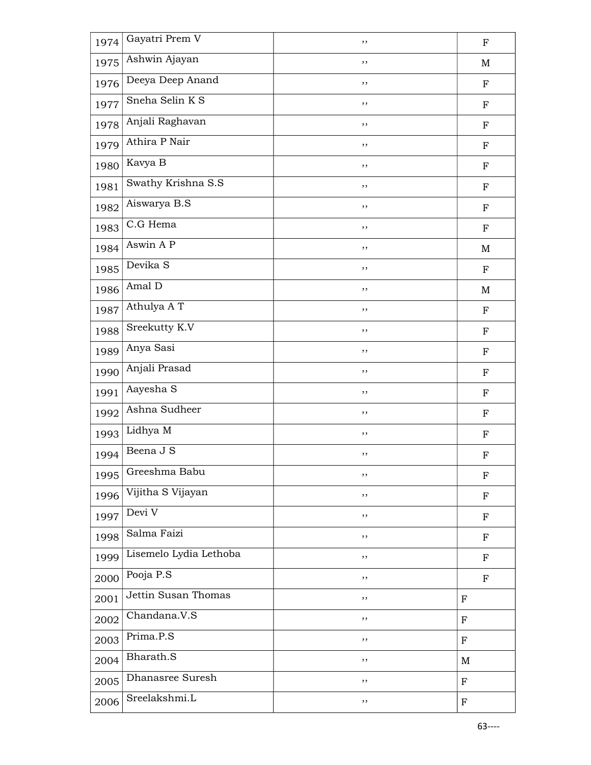| 1974 | Gayatri Prem V         | ,,     | $\mathbf F$               |
|------|------------------------|--------|---------------------------|
| 1975 | Ashwin Ajayan          | ,,     | $\mathbf M$               |
| 1976 | Deeya Deep Anand       | , ,    | $\mathbf F$               |
| 1977 | Sneha Selin K S        | ,,     | ${\bf F}$                 |
| 1978 | Anjali Raghavan        | ,,     | $\mathbf F$               |
| 1979 | Athira P Nair          | ,,     | ${\bf F}$                 |
| 1980 | Kavya B                | ,,     | $\mathbf F$               |
| 1981 | Swathy Krishna S.S     | ,,     | ${\bf F}$                 |
| 1982 | Aiswarya B.S           | $, \,$ | ${\bf F}$                 |
| 1983 | C.G Hema               | ,,     | $\mathbf F$               |
| 1984 | Aswin A P              | ,,     | $\mathbf M$               |
| 1985 | Devika S               | ,,     | $\mathbf F$               |
| 1986 | Amal D                 | $, \,$ | M                         |
| 1987 | Athulya A T            | $, \,$ | $\mathbf F$               |
| 1988 | Sreekutty K.V          | ,,     | ${\bf F}$                 |
| 1989 | Anya Sasi              | ,,     | $\mathbf F$               |
| 1990 | Anjali Prasad          | ,,     | $\mathbf F$               |
| 1991 | Aayesha S              | $, \,$ | ${\bf F}$                 |
| 1992 | Ashna Sudheer          | ,,     | $\mathbf F$               |
| 1993 | Lidhya M               | ,,     | $\mathbf F$               |
| 1994 | Beena J S              | ,,     | $\boldsymbol{\mathrm{F}}$ |
| 1995 | Greeshma Babu          | ,,     | $\mathbf F$               |
| 1996 | Vijitha S Vijayan      | ,,     | ${\bf F}$                 |
| 1997 | Devi V                 | ,,     | ${\bf F}$                 |
| 1998 | Salma Faizi            | ,,     | $\mathbf F$               |
| 1999 | Lisemelo Lydia Lethoba | ,,     | $_{\rm F}$                |
| 2000 | Pooja P.S              | ,,     | ${\bf F}$                 |
| 2001 | Jettin Susan Thomas    | ,,     | $\mathbf F$               |
| 2002 | Chandana.V.S           | ,,     | $_{\rm F}$                |
| 2003 | Prima.P.S              | ,,     | F                         |
| 2004 | Bharath.S              | ,,     | M                         |
| 2005 | Dhanasree Suresh       | ,,     | $\mathbf F$               |
| 2006 | Sreelakshmi.L          | ,,     | $\mathbf F$               |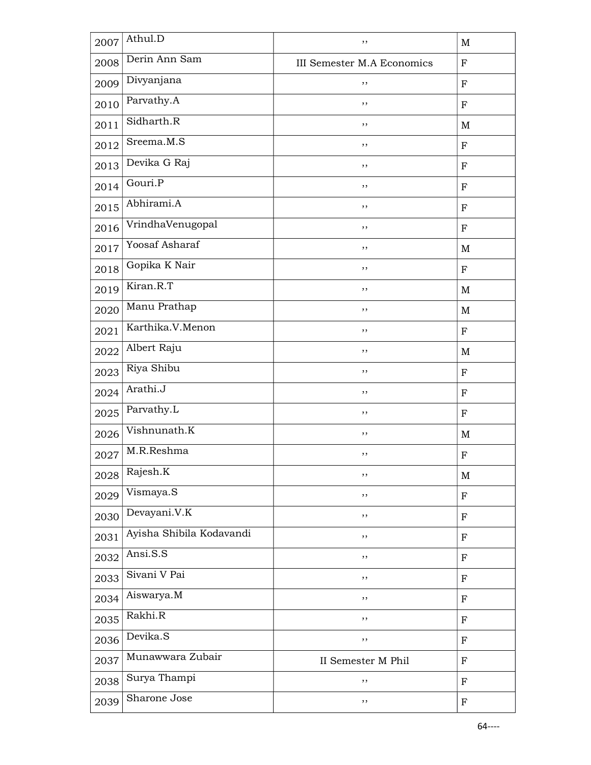| 2007 | Athul.D                  | ,,                         | $\mathbf M$               |
|------|--------------------------|----------------------------|---------------------------|
| 2008 | Derin Ann Sam            | III Semester M.A Economics | ${\bf F}$                 |
| 2009 | Divyanjana               | ,,                         | ${\bf F}$                 |
| 2010 | Parvathy.A               | ,,                         | $_{\rm F}$                |
| 2011 | Sidharth.R               | ,,                         | $\mathbf M$               |
| 2012 | Sreema.M.S               | ,,                         | F                         |
| 2013 | Devika G Raj             | ,,                         | $\mathbf F$               |
| 2014 | Gouri.P                  | ,,                         | F                         |
| 2015 | Abhirami.A               | ,,                         | F                         |
| 2016 | VrindhaVenugopal         | ,,                         | ${\bf F}$                 |
| 2017 | Yoosaf Asharaf           | ,,                         | $\mathbf M$               |
| 2018 | Gopika K Nair            | ,,                         | ${\bf F}$                 |
| 2019 | Kiran.R.T                | ,,                         | $\mathbf M$               |
| 2020 | Manu Prathap             | ,,                         | $\mathbf M$               |
| 2021 | Karthika.V.Menon         | ,,                         | ${\bf F}$                 |
| 2022 | Albert Raju              | ,,                         | M                         |
| 2023 | Riya Shibu               | ,,                         | F                         |
| 2024 | Arathi.J                 | ,,                         | F                         |
| 2025 | Parvathy.L               | ,,                         | ${\bf F}$                 |
| 2026 | Vishnunath.K             | ,,                         | $\mathbf M$               |
| 2027 | M.R.Reshma               | ,,                         | $\boldsymbol{\mathrm{F}}$ |
| 2028 | Rajesh.K                 | ,,                         | $\mathbf M$               |
| 2029 | Vismaya.S                | ,,                         | $\mathbf F$               |
| 2030 | Devayani.V.K             | ,,                         | $_{\rm F}$                |
| 2031 | Ayisha Shibila Kodavandi | ,,                         | $\mathbf F$               |
| 2032 | Ansi.S.S                 | ,,                         | ${\bf F}$                 |
| 2033 | Sivani V Pai             | ,,                         | $\mathbf F$               |
| 2034 | Aiswarya.M               | ,,                         | $\mathbf F$               |
| 2035 | Rakhi.R                  | ,,                         | $\mathbf F$               |
| 2036 | Devika.S                 | ,,                         | ${\bf F}$                 |
| 2037 | Munawwara Zubair         | II Semester M Phil         | ${\bf F}$                 |
| 2038 | Surya Thampi             | ,,                         | $\mathbf F$               |
| 2039 | Sharone Jose             | ,,                         | $\mathbf F$               |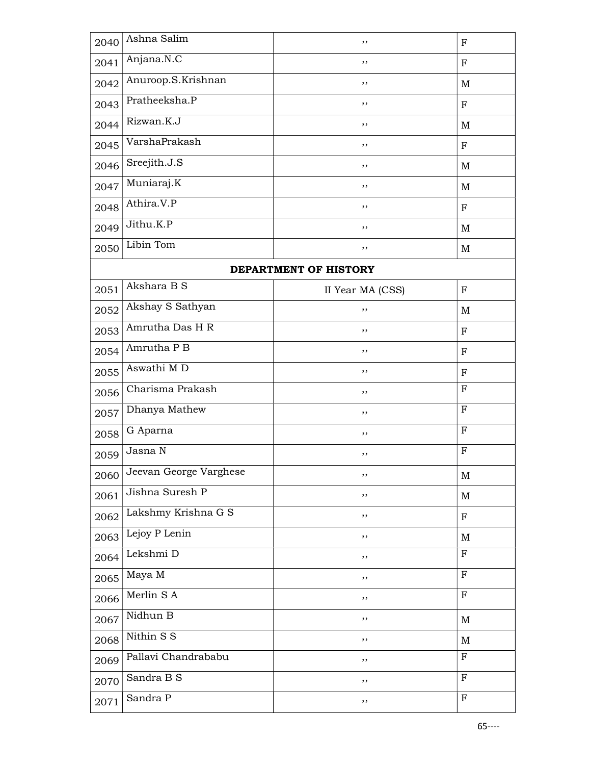| 2040 | Ashna Salim            | ,,                    | F                         |
|------|------------------------|-----------------------|---------------------------|
| 2041 | Anjana.N.C             | ,,                    | $\mathbf F$               |
| 2042 | Anuroop.S.Krishnan     | ,,                    | M                         |
| 2043 | Pratheeksha.P          | ,,                    | $_{\rm F}$                |
| 2044 | Rizwan.K.J             | ,,                    | M                         |
| 2045 | VarshaPrakash          | ,,                    | F                         |
| 2046 | Sreejith.J.S           | ,,                    | M                         |
| 2047 | Muniaraj.K             | ,,                    | M                         |
| 2048 | Athira.V.P             | ,,                    | $\mathbf F$               |
| 2049 | Jithu.K.P              | ,,                    | $\mathbf M$               |
| 2050 | Libin Tom              | ,,                    | $\mathbf M$               |
|      |                        | DEPARTMENT OF HISTORY |                           |
| 2051 | Akshara B S            | II Year MA (CSS)      | F                         |
| 2052 | Akshay S Sathyan       | ,,                    | M                         |
| 2053 | Amrutha Das H R        | ,,                    | F                         |
| 2054 | Amrutha P B            | ,,                    | $\mathbf F$               |
| 2055 | Aswathi M D            | ,,                    | F                         |
| 2056 | Charisma Prakash       | ,,                    | ${\bf F}$                 |
| 2057 | Dhanya Mathew          | ,,                    | $\boldsymbol{\mathrm{F}}$ |
| 2058 | G Aparna               | ,,                    | $_{\rm F}$                |
| 2059 | Jasna N                | ,,                    | F                         |
| 2060 | Jeevan George Varghese | ,,                    | $\mathbf M$               |
| 2061 | Jishna Suresh P        | ,,                    | M                         |
| 2062 | Lakshmy Krishna G S    | ,,                    | $\mathbf F$               |
| 2063 | Lejoy P Lenin          | ,,                    | M                         |
| 2064 | Lekshmi D              | ,,                    | $\boldsymbol{\mathrm{F}}$ |
| 2065 | Maya M                 | ,,                    | $\mathbf F$               |
| 2066 | Merlin S A             | ,,                    | $\mathbf F$               |
| 2067 | Nidhun B               | ,,                    | M                         |
| 2068 | Nithin S S             | ,,                    | $\mathbf M$               |
| 2069 | Pallavi Chandrababu    | ,,                    | $\boldsymbol{\mathrm{F}}$ |
| 2070 | Sandra B S             | ,,                    | $\mathbf F$               |
| 2071 | Sandra P               | ,,                    | $\mathbf F$               |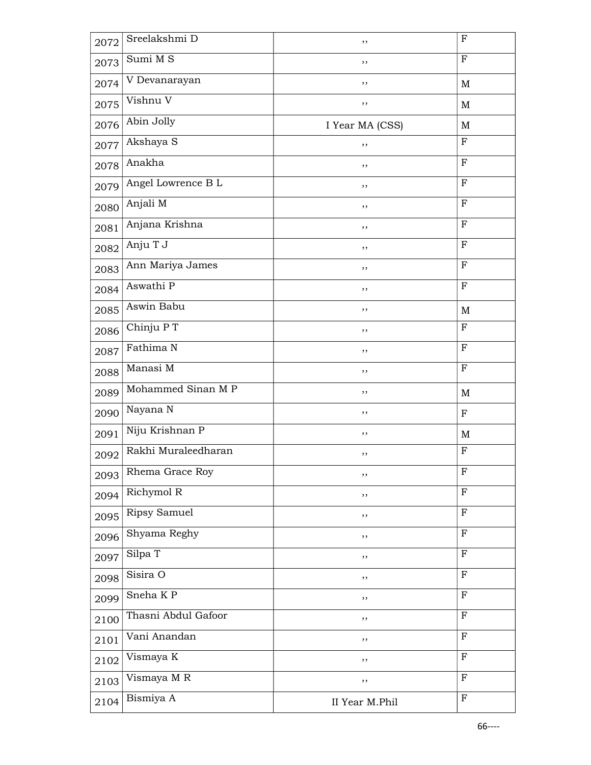| 2072 | Sreelakshmi D          | ,,              | $\mathbf F$               |
|------|------------------------|-----------------|---------------------------|
| 2073 | Sumi $\overline{M}$ S  | ,,              | $\mathbf{F}$              |
| 2074 | V Devanarayan          | ,,              | $\mathbf M$               |
| 2075 | Vishnu V               | ,,              | $\mathbf M$               |
| 2076 | Abin Jolly             | I Year MA (CSS) | $\mathbf M$               |
| 2077 | Akshaya S              | ,,              | $\mathbf F$               |
| 2078 | Anakha                 | ,,              | $_{\rm F}$                |
| 2079 | Angel Lowrence B L     | ,,              | ${\bf F}$                 |
| 2080 | Anjali M               | ,,              | ${\bf F}$                 |
| 2081 | Anjana Krishna         | ,,              | $\boldsymbol{\mathrm{F}}$ |
| 2082 | Anju T J               | ,,              | $\mathbf{F}$              |
| 2083 | Ann Mariya James       | ,,              | $_{\rm F}$                |
| 2084 | Aswathi P              | ,,              | F                         |
| 2085 | Aswin Babu             | ,,              | $\mathbf M$               |
| 2086 | Chinju P T             | ,,              | $\mathbf F$               |
| 2087 | Fathima N              | ,,              | $_{\rm F}$                |
| 2088 | Manasi M               | ,,              | ${\bf F}$                 |
| 2089 | Mohammed Sinan M P     | ,,              | $\mathbf M$               |
| 2090 | Nayana N               | ,,              | $\mathbf F$               |
| 2091 | Niju Krishnan P        | ,,              | $\mathbf M$               |
| 2092 | Rakhi Muraleedharan    | ,,              | F                         |
| 2093 | Rhema Grace Roy        | ,,              | F                         |
| 2094 | Richymol R             | ,,              | $\mathbf F$               |
| 2095 | Ripsy Samuel           | ,,              | ${\bf F}$                 |
| 2096 | Shyama Reghy           | ,,              | ${\bf F}$                 |
| 2097 | Silpa T                | ,,              | $\mathbf{F}$              |
| 2098 | Sisira O               | ,,              | ${\bf F}$                 |
| 2099 | Sneha $\overline{K}$ P | ,,              | $\mathbf F$               |
| 2100 | Thasni Abdul Gafoor    | ,,              | $\mathbf{F}$              |
| 2101 | Vani Anandan           | ,,              | F                         |
| 2102 | Vismaya K              | ,,              | $_{\rm F}$                |
| 2103 | Vismaya M R            | ,,              | $\mathbf F$               |
| 2104 | Bismiya A              | II Year M.Phil  | ${\bf F}$                 |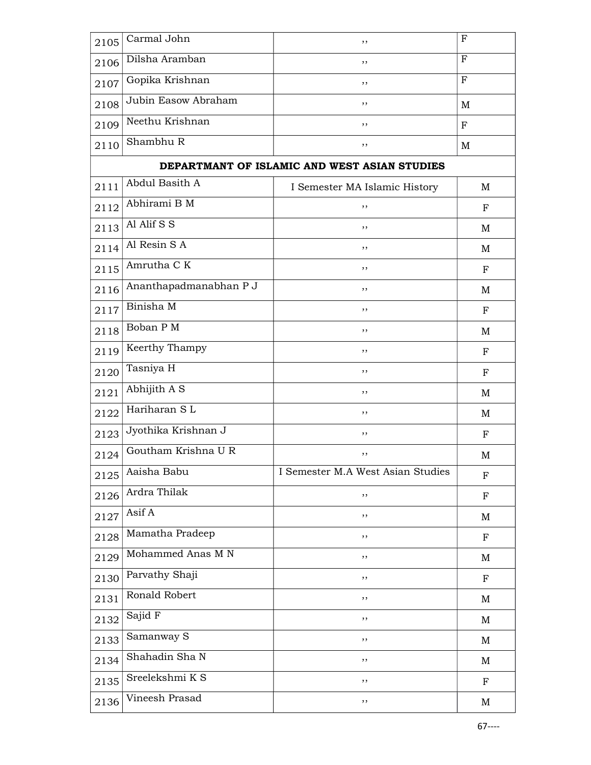| 2105 | Carmal John                           | ,,                                           | $\mathbf F$ |
|------|---------------------------------------|----------------------------------------------|-------------|
| 2106 | Dilsha Aramban                        | ,,                                           | $_{\rm F}$  |
| 2107 | Gopika Krishnan                       | ,,                                           | F           |
| 2108 | Jubin Easow Abraham                   | ,,                                           | M           |
| 2109 | Neethu Krishnan                       | ,,                                           | $\mathbf F$ |
| 2110 | Shambhu R                             | ,,                                           | M           |
|      |                                       | DEPARTMANT OF ISLAMIC AND WEST ASIAN STUDIES |             |
| 2111 | Abdul Basith A                        | I Semester MA Islamic History                | М           |
| 2112 | Abhirami B M                          | ,,                                           | F           |
| 2113 | Al Alif $\overline{S}$ $\overline{S}$ | ,,                                           | M           |
| 2114 | Al Resin $S\overline{A}$              | ,,                                           | M           |
| 2115 | Amrutha C K                           | ,,                                           | $_{\rm F}$  |
| 2116 | Ananthapadmanabhan P J                | ,,                                           | M           |
| 2117 | Binisha M                             | ,,                                           | $_{\rm F}$  |
| 2118 | Boban P M                             | ,,                                           | M           |
| 2119 | Keerthy Thampy                        | ,,                                           | F           |
| 2120 | Tasniya H                             | ,,                                           | F           |
| 2121 | Abhijith A S                          | ,,                                           | M           |
| 2122 | Hariharan SL                          | ,,                                           | M           |
| 2123 | Jyothika Krishnan J                   | ,,                                           | $\mathbf F$ |
| 2124 | Goutham Krishna U R                   | ,,                                           | M           |
| 2125 | Aaisha Babu                           | I Semester M.A West Asian Studies            | ${\bf F}$   |
| 2126 | Ardra Thilak                          | ,,                                           | ${\bf F}$   |
| 2127 | Asif A                                | ,,                                           | M           |
| 2128 | Mamatha Pradeep                       | ,,                                           | $_{\rm F}$  |
| 2129 | Mohammed Anas M N                     | ,,                                           | $\mathbf M$ |
| 2130 | Parvathy Shaji                        | ,,                                           | $_{\rm F}$  |
| 2131 | Ronald Robert                         | ,,                                           | $\mathbf M$ |
| 2132 | Sajid F                               | ,,                                           | M           |
| 2133 | Samanway S                            | ,,                                           | $\mathbf M$ |
| 2134 | Shahadin Sha N                        | ,,                                           | M           |
| 2135 | Sreelekshmi K S                       | , ,                                          | $_{\rm F}$  |
| 2136 | Vineesh Prasad                        | ,,                                           | M           |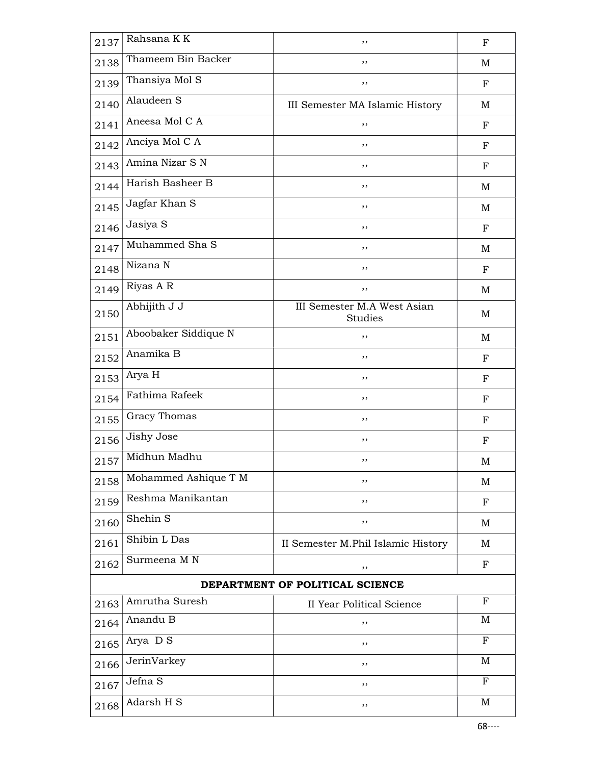| 2137                            | Rahsana KK           | ,,                                            | $_{\rm F}$  |
|---------------------------------|----------------------|-----------------------------------------------|-------------|
| 2138                            | Thameem Bin Backer   | ,,                                            | M           |
| 2139                            | Thansiya Mol S       | ,,                                            | $_{\rm F}$  |
| 2140                            | Alaudeen S           | III Semester MA Islamic History               | M           |
| 2141                            | Aneesa Mol C A       | ,,                                            | $_{\rm F}$  |
| 2142                            | Anciya Mol C A       | ,,                                            | F           |
| 2143                            | Amina Nizar S N      | ,,                                            | F           |
| 2144                            | Harish Basheer B     | ,,                                            | M           |
| 2145                            | Jagfar Khan S        | , ,                                           | M           |
| 2146                            | Jasiya S             | , ,                                           | $_{\rm F}$  |
| 2147                            | Muhammed Sha S       | ,,                                            | M           |
| 2148                            | Nizana N             | ,,                                            | $_{\rm F}$  |
| 2149                            | Riyas A R            | ,,                                            | M           |
| 2150                            | Abhijith J J         | III Semester M.A West Asian<br><b>Studies</b> | M           |
| 2151                            | Aboobaker Siddique N | ,,                                            | M           |
| 2152                            | Anamika B            | , ,                                           | F           |
| 2153                            | Arya H               | ,,                                            | $_{\rm F}$  |
| 2154                            | Fathima Rafeek       | ,,                                            | F           |
| 2155                            | Gracy Thomas         | ,,                                            | $_{\rm F}$  |
| 2156                            | Jishy Jose           | ,,                                            | F           |
| 2157                            | Midhun Madhu         | ,,                                            | M           |
| 2158                            | Mohammed Ashique T M | ,,                                            | M           |
| 2159                            | Reshma Manikantan    | ,,                                            | $_{\rm F}$  |
| 2160                            | Shehin S             | ,,                                            | M           |
| 2161                            | Shibin L Das         | II Semester M.Phil Islamic History            | M           |
| 2162                            | Surmeena M N         | ,,                                            | $\mathbf F$ |
| DEPARTMENT OF POLITICAL SCIENCE |                      |                                               |             |
| 2163                            | Amrutha Suresh       | <b>II Year Political Science</b>              | $_{\rm F}$  |
| 2164                            | Anandu B             | ,,                                            | M           |
| 2165                            | Arya D S             | ,,                                            | $_{\rm F}$  |
| 2166                            | JerinVarkey          | ,,                                            | M           |
| 2167                            | Jefna S              | ,,                                            | $_{\rm F}$  |
| 2168                            | Adarsh H S           | ,,                                            | $\mathbf M$ |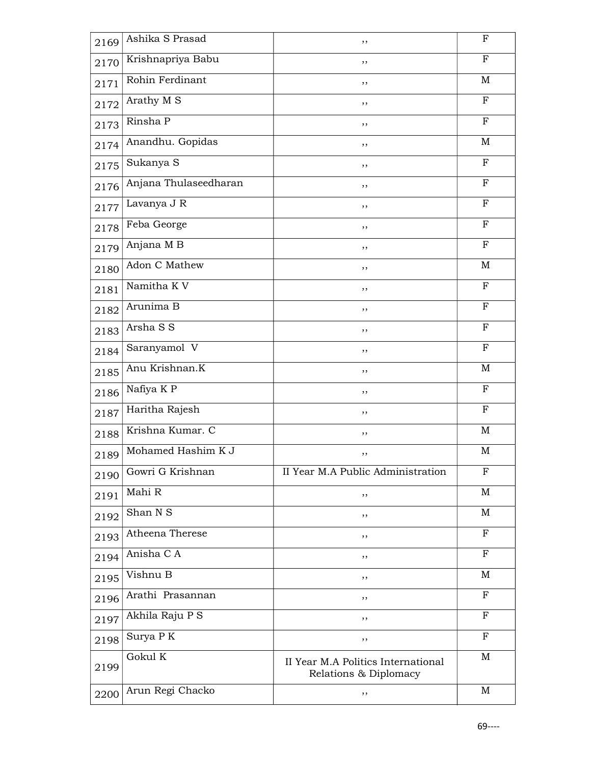| 2169 | Ashika S Prasad                | ,,                                                          | F            |
|------|--------------------------------|-------------------------------------------------------------|--------------|
| 2170 | Krishnapriya Babu              | ,,                                                          | F            |
| 2171 | Rohin Ferdinant                | ,,                                                          | M            |
| 2172 | Arathy M S                     | ,,                                                          | $\mathbf{F}$ |
| 2173 | Rinsha P                       | ,,                                                          | $\mathbf F$  |
| 2174 | Anandhu. Gopidas               | ,,                                                          | M            |
| 2175 | Sukanya S                      | ,,                                                          | $\mathbf F$  |
| 2176 | Anjana Thulaseedharan          | ,,                                                          | $\mathbf{F}$ |
| 2177 | Lavanya J R                    | ,,                                                          | $_{\rm F}$   |
| 2178 | Feba George                    | ,,                                                          | $\mathbf F$  |
| 2179 | Anjana MB                      | ,,                                                          | F            |
| 2180 | Adon C Mathew                  | ,,                                                          | M            |
| 2181 | Namitha K V                    | ,,                                                          | $\mathbf{F}$ |
| 2182 | Arunima B                      | ,,                                                          | F            |
| 2183 | Arsha S S                      | ,,                                                          | ${\bf F}$    |
| 2184 | Saranyamol V                   | ,,                                                          | $_{\rm F}$   |
| 2185 | Anu Krishnan.K                 | ,,                                                          | M            |
| 2186 | Nafiya K P                     | ,,                                                          | F            |
| 2187 | Haritha Rajesh                 | ,,                                                          | $\mathbf F$  |
| 2188 | Krishna Kumar. C               | ,,                                                          | M            |
| 2189 | Mohamed Hashim $\overline{KJ}$ | ,,                                                          | $\mathbf M$  |
| 2190 | Gowri G Krishnan               | II Year M.A Public Administration                           | F            |
| 2191 | Mahi R                         | ,,                                                          | M            |
| 2192 | Shan N S                       | ,,                                                          | M            |
| 2193 | Atheena Therese                | ,,                                                          | $_{\rm F}$   |
| 2194 | Anisha C A                     | ,,                                                          | $_{\rm F}$   |
| 2195 | Vishnu B                       | , ,                                                         | M            |
| 2196 | Arathi Prasannan               | ,,                                                          | $\mathbf F$  |
| 2197 | Akhila Raju P S                | ,,                                                          | $_{\rm F}$   |
| 2198 | Surya P K                      | ,,                                                          | $\mathbf F$  |
| 2199 | Gokul K                        | II Year M.A Politics International<br>Relations & Diplomacy | $\mathbf M$  |
| 2200 | Arun Regi Chacko               | ,,                                                          | M            |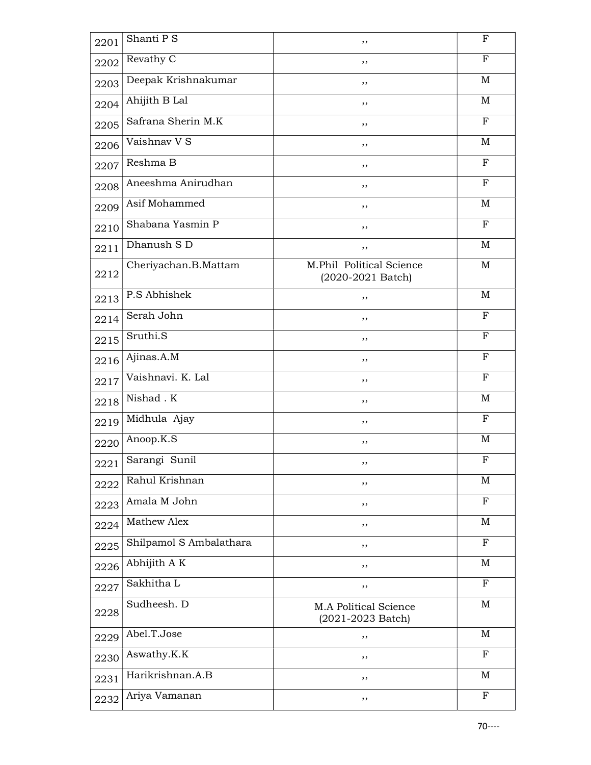| 2201 | Shanti P S                 | ,,                                              | $_{\rm F}$   |
|------|----------------------------|-------------------------------------------------|--------------|
| 2202 | Revathy $\overline{C}$     | ,,                                              | F            |
| 2203 | Deepak Krishnakumar        | ,,                                              | M            |
| 2204 | Ahijith B Lal              | ,,                                              | M            |
| 2205 | Safrana Sherin M.K         | ,,                                              | $\mathbf F$  |
| 2206 | Vaishnav V S               | ,,                                              | M            |
| 2207 | Reshma B                   | ,,                                              | $_{\rm F}$   |
| 2208 | Aneeshma Anirudhan         | ,,                                              | $\mathbf{F}$ |
| 2209 | Asif Mohammed              | ,,                                              | M            |
| 2210 | Shabana Yasmin P           | ,,                                              | $\mathbf F$  |
| 2211 | Dhanush $S$ $\overline{D}$ | ,,                                              | M            |
| 2212 | Cheriyachan.B.Mattam       | M.Phil Political Science<br>$(2020-2021$ Batch) | M            |
| 2213 | P.S Abhishek               | ,,                                              | M            |
| 2214 | Serah John                 | ,,                                              | F            |
| 2215 | Sruthi.S                   | ,,                                              | $_{\rm F}$   |
| 2216 | Ajinas.A.M                 | , ,                                             | $\mathbf F$  |
| 2217 | Vaishnavi. K. Lal          | ,,                                              | $\mathbf{F}$ |
| 2218 | Nishad . K                 | , ,                                             | M            |
| 2219 | Midhula Ajay               | ,,                                              | F            |
| 2220 | Anoop.K.S                  | ,,                                              | M            |
| 2221 | Sarangi Sunil              | ,,                                              | $\mathbf F$  |
| 2222 | Rahul Krishnan             | ,,                                              | M            |
| 2223 | Amala M John               | ,,                                              | $_{\rm F}$   |
| 2224 | Mathew Alex                | ,,                                              | $\mathbf M$  |
| 2225 | Shilpamol S Ambalathara    | ,,                                              | $\mathbf{F}$ |
| 2226 | Abhijith A K               | ,,                                              | M            |
| 2227 | Sakhitha L                 | ,,                                              | $_{\rm F}$   |
| 2228 | Sudheesh. D                | M.A Political Science<br>$(2021 - 2023$ Batch)  | M            |
| 2229 | Abel.T.Jose                | ,,                                              | M            |
| 2230 | Aswathy.K.K                | ,,                                              | $\mathbf F$  |
| 2231 | Harikrishnan.A.B           | ,,                                              | $\mathbf M$  |
| 2232 | Ariya Vamanan              | ,,                                              | $_{\rm F}$   |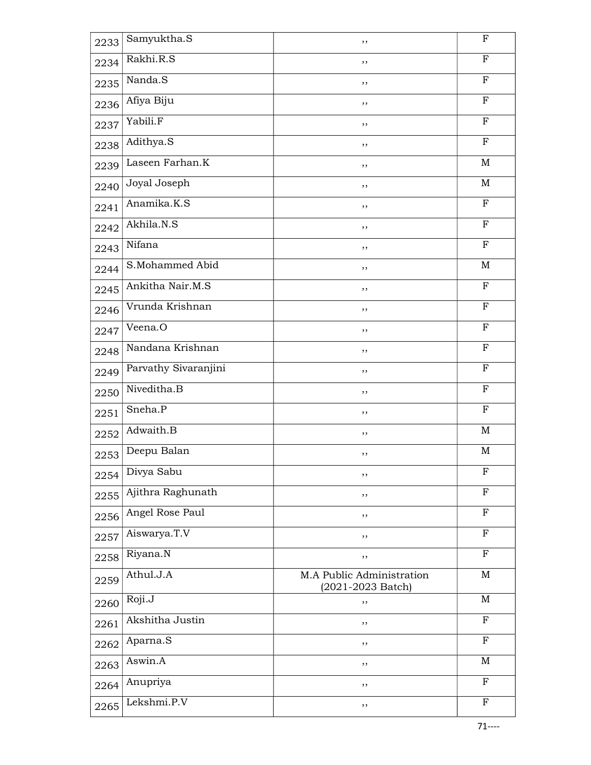| 2233 | Samyuktha.S          | ,,                                             | $\boldsymbol{\mathrm{F}}$ |
|------|----------------------|------------------------------------------------|---------------------------|
| 2234 | Rakhi.R.S            | ,,                                             | $_{\rm F}$                |
| 2235 | Nanda.S              | ,,                                             | ${\bf F}$                 |
| 2236 | Afiya Biju           | ,,                                             | ${\bf F}$                 |
| 2237 | Yabili.F             | ,,                                             | $\mathbf F$               |
| 2238 | Adithya.S            | ,,                                             | $\boldsymbol{\mathrm{F}}$ |
| 2239 | Laseen Farhan.K      | ,,                                             | $\mathbf M$               |
| 2240 | Joyal Joseph         | ,,                                             | $\mathbf M$               |
| 2241 | Anamika.K.S          | ,,                                             | $\mathbf F$               |
| 2242 | Akhila.N.S           | ,,                                             | $\boldsymbol{\mathrm{F}}$ |
| 2243 | Nifana               | ,,                                             | F                         |
| 2244 | S.Mohammed Abid      | ,,                                             | M                         |
| 2245 | Ankitha Nair.M.S     | ,,                                             | $\mathbf F$               |
| 2246 | Vrunda Krishnan      | ,,                                             | $\mathbf F$               |
| 2247 | Veena.O              | ,,                                             | ${\bf F}$                 |
| 2248 | Nandana Krishnan     | ,,                                             | $\mathbf F$               |
| 2249 | Parvathy Sivaranjini | ,,                                             | ${\bf F}$                 |
| 2250 | Niveditha.B          | ,,                                             | $\mathbf F$               |
| 2251 | Sneha.P              | ,,                                             | ${\bf F}$                 |
| 2252 | Adwaith.B            | ,,                                             | M                         |
| 2253 | Deepu Balan          | ,,                                             | $\mathbf M$               |
| 2254 | Divya Sabu           | ,,                                             | $\mathbf F$               |
| 2255 | Ajithra Raghunath    | ,,                                             | F                         |
| 2256 | Angel Rose Paul      | ,,                                             | F                         |
| 2257 | Aiswarya.T.V         | ,,                                             | $_{\rm F}$                |
| 2258 | Riyana.N             | ,,                                             | $\mathbf F$               |
| 2259 | Athul.J.A            | M.A Public Administration<br>(2021-2023 Batch) | $\mathbf M$               |
| 2260 | Roji.J               | ,,                                             | $\mathbf M$               |
| 2261 | Akshitha Justin      | ,,                                             | $\mathbf F$               |
| 2262 | Aparna.S             | ,,                                             | $\mathbf F$               |
| 2263 | Aswin.A              | ,,                                             | $\mathbf M$               |
| 2264 | Anupriya             | ,,                                             | F                         |
| 2265 | Lekshmi.P.V          | ,,                                             | $\mathbf F$               |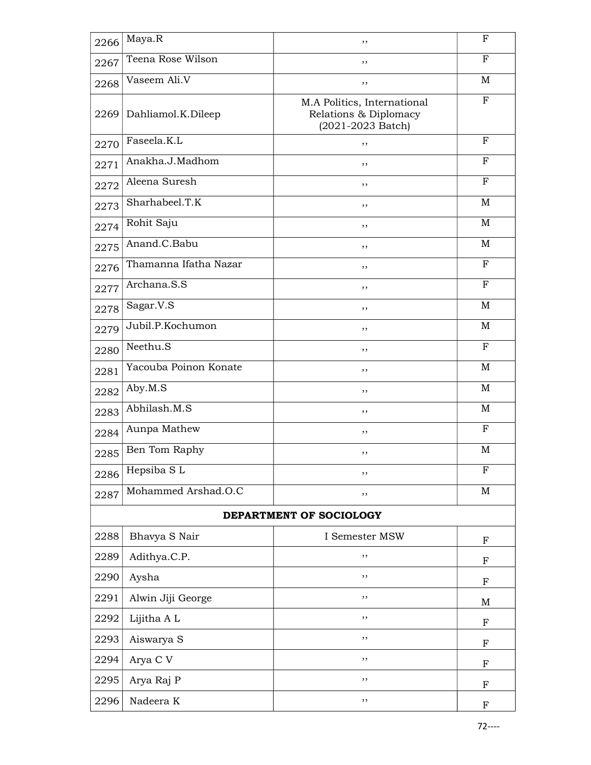| 2266                    | Maya.R                | ,,                                                                        | F           |  |
|-------------------------|-----------------------|---------------------------------------------------------------------------|-------------|--|
| 2267                    | Teena Rose Wilson     | ,,                                                                        | $\mathbf F$ |  |
| 2268                    | Vaseem Ali.V          | ,,                                                                        | M           |  |
| 2269                    | Dahliamol.K.Dileep    | M.A Politics, International<br>Relations & Diplomacy<br>(2021-2023 Batch) | $_{\rm F}$  |  |
| 2270                    | Faseela.K.L           | ,,                                                                        | F           |  |
| 2271                    | Anakha.J.Madhom       | ,,                                                                        | $\mathbf F$ |  |
| 2272                    | Aleena Suresh         | ,,                                                                        | $\mathbf F$ |  |
| 2273                    | Sharhabeel.T.K        | ,,                                                                        | M           |  |
| 2274                    | Rohit Saju            | ,,                                                                        | M           |  |
| 2275                    | Anand.C.Babu          | ,,                                                                        | M           |  |
| 2276                    | Thamanna Ifatha Nazar | ,,                                                                        | $\mathbf F$ |  |
| 2277                    | Archana.S.S           | ,,                                                                        | $_{\rm F}$  |  |
| 2278                    | Sagar.V.S             | ,,                                                                        | M           |  |
| 2279                    | Jubil.P.Kochumon      | ,,                                                                        | M           |  |
| 2280                    | Neethu.S              | ,,                                                                        | F           |  |
| 2281                    | Yacouba Poinon Konate | ,,                                                                        | M           |  |
| 2282                    | Aby.M.S               | ,,                                                                        | M           |  |
| 2283                    | Abhilash. $M.S$       | ,,                                                                        | M           |  |
| 2284                    | Aunpa Mathew          | ,,                                                                        | F           |  |
| 2285                    | Ben Tom Raphy         | ,,                                                                        | M           |  |
| 2286                    | Hepsiba SL            | ,,                                                                        | $_{\rm F}$  |  |
| 2287                    | Mohammed Arshad.O.C   | ,,                                                                        | M           |  |
| DEPARTMENT OF SOCIOLOGY |                       |                                                                           |             |  |
| 2288                    | Bhavya S Nair         | I Semester MSW                                                            | $\mathbf F$ |  |
| 2289                    | Adithya.C.P.          | ,,                                                                        | $\mathbf F$ |  |
| 2290                    | Aysha                 | ,,                                                                        | $\mathbf F$ |  |
| 2291                    | Alwin Jiji George     | ,,                                                                        | M           |  |
| 2292                    | Lijitha A L           | ,,                                                                        | F           |  |
| 2293                    | Aiswarya S            | ,,                                                                        | $\mathbf F$ |  |
| 2294                    | Arya C V              | ,,                                                                        | $\mathbf F$ |  |
| 2295                    | Arya Raj P            | ,,                                                                        | ${\bf F}$   |  |
| 2296                    | Nadeera K             | ,,                                                                        | F           |  |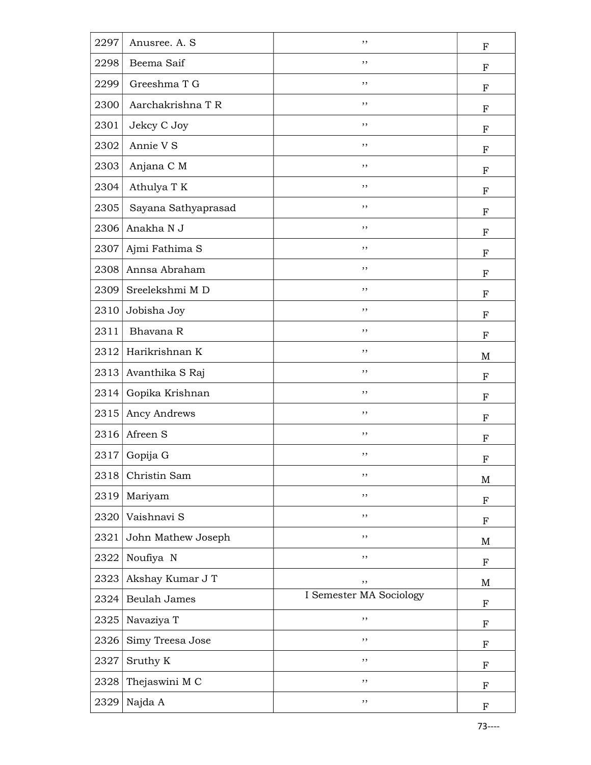| 2297 | Anusree. A. S       | ,,                      | $\boldsymbol{\mathrm{F}}$ |
|------|---------------------|-------------------------|---------------------------|
| 2298 | Beema Saif          | ,,                      | $\boldsymbol{\mathrm{F}}$ |
| 2299 | Greeshma T G        | , ,                     | ${\bf F}$                 |
| 2300 | Aarchakrishna T R   | ,,                      | $\boldsymbol{\mathrm{F}}$ |
| 2301 | Jekcy C Joy         | ,,                      | ${\bf F}$                 |
| 2302 | Annie V S           | ,,                      | F                         |
| 2303 | Anjana C M          | ,,                      | $_{\rm F}$                |
| 2304 | Athulya T K         | ,,                      | F                         |
| 2305 | Sayana Sathyaprasad | , ,                     | $_{\rm F}$                |
| 2306 | Anakha N J          | ,,                      | $\mathbf F$               |
| 2307 | Ajmi Fathima S      | ,,                      | F                         |
| 2308 | Annsa Abraham       | ,,                      | ${\bf F}$                 |
| 2309 | Sreelekshmi MD      | ,,                      | $\boldsymbol{\mathrm{F}}$ |
| 2310 | Jobisha Joy         | ,,                      | ${\bf F}$                 |
| 2311 | Bhavana R           | ,,                      | $\mathbf F$               |
| 2312 | Harikrishnan K      | ,,                      | M                         |
| 2313 | Avanthika S Raj     | ,,                      | F                         |
| 2314 | Gopika Krishnan     | , ,                     | $_{\rm F}$                |
| 2315 | Ancy Andrews        | ,,                      | F                         |
| 2316 | Afreen S            | ,,                      | F                         |
| 2317 | Gopija G            | ,,                      | F                         |
| 2318 | Christin Sam        | ,,                      | M                         |
| 2319 | Mariyam             | ,,                      | $\boldsymbol{\mathrm{F}}$ |
| 2320 | Vaishnavi S         | , ,                     | $\mathbf F$               |
| 2321 | John Mathew Joseph  | $, \,$                  | $\mathbf M$               |
| 2322 | Noufiya N           | ,,                      | $\mathbf F$               |
| 2323 | Akshay Kumar J T    | ,,                      | M                         |
| 2324 | <b>Beulah James</b> | I Semester MA Sociology | $\mathbf F$               |
| 2325 | Navaziya T          | ,,                      | F                         |
| 2326 | Simy Treesa Jose    | ,,                      | $\boldsymbol{\mathrm{F}}$ |
| 2327 | Sruthy K            | ,,                      | $_{\rm F}$                |
| 2328 | Thejaswini M C      | ,,                      | $\boldsymbol{\mathrm{F}}$ |
| 2329 | Najda A             | $, \,$                  | F                         |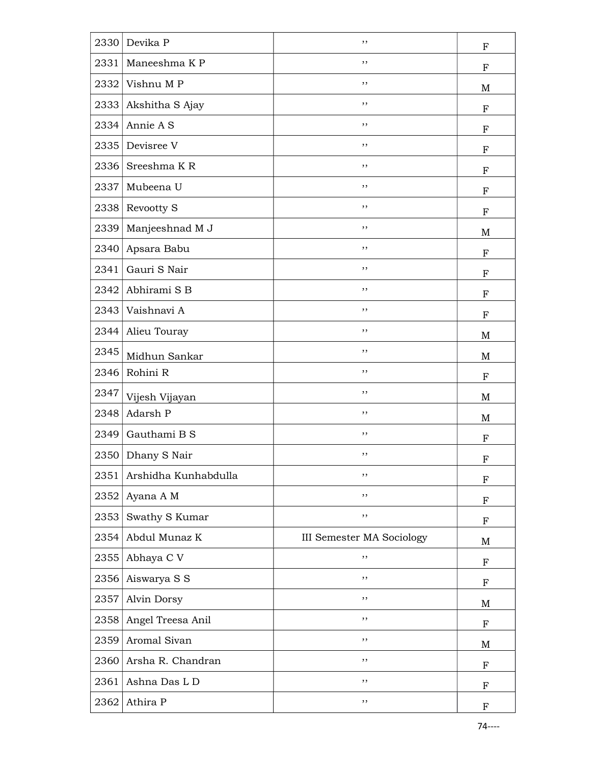| 2330 | Devika P             | ,,                               | $\boldsymbol{\mathrm{F}}$ |
|------|----------------------|----------------------------------|---------------------------|
| 2331 | Maneeshma K P        | ,,                               | $\boldsymbol{\mathrm{F}}$ |
| 2332 | Vishnu MP            | , ,                              | M                         |
| 2333 | Akshitha S Ajay      | ,,                               | $\boldsymbol{\mathrm{F}}$ |
| 2334 | Annie A S            | ,,                               | ${\bf F}$                 |
| 2335 | Devisree V           | ,,                               | F                         |
| 2336 | Sreeshma KR          | ,,                               | ${\bf F}$                 |
| 2337 | Mubeena U            | ,,                               | F                         |
| 2338 | Revootty S           | , ,                              | $_{\rm F}$                |
| 2339 | Manjeeshnad M J      | ,,                               | M                         |
| 2340 | Apsara Babu          | ,,                               | F                         |
| 2341 | Gauri S Nair         | ,,                               | ${\bf F}$                 |
| 2342 | Abhirami S B         | ,,                               | $\boldsymbol{\mathrm{F}}$ |
| 2343 | Vaishnavi A          | ,,                               | ${\bf F}$                 |
| 2344 | Alieu Touray         | ,,                               | M                         |
| 2345 | Midhun Sankar        | ,,                               | M                         |
| 2346 | Rohini R             | ,,                               | F                         |
| 2347 | Vijesh Vijayan       | , ,                              | M                         |
| 2348 | Adarsh P             | ,,                               | M                         |
| 2349 | Gauthami B S         | ,,                               | F                         |
| 2350 | Dhany S Nair         | ,,                               | F                         |
| 2351 | Arshidha Kunhabdulla | ,,                               | F                         |
| 2352 | Ayana A M            | ,,                               | $\boldsymbol{\mathrm{F}}$ |
| 2353 | Swathy S Kumar       | ,,                               | F                         |
| 2354 | Abdul Munaz K        | <b>III Semester MA Sociology</b> | $\mathbf M$               |
| 2355 | Abhaya C V           | ,,                               | F                         |
| 2356 | Aiswarya S S         | ,,                               | $\boldsymbol{\mathrm{F}}$ |
| 2357 | Alvin Dorsy          | ,,                               | M                         |
| 2358 | Angel Treesa Anil    | ,,                               | F                         |
| 2359 | Aromal Sivan         | ,,                               | M                         |
| 2360 | Arsha R. Chandran    | ,,                               | $_{\rm F}$                |
| 2361 | Ashna Das L D        | ,,                               | F                         |
| 2362 | Athira P             | ,,                               | $_{\rm F}$                |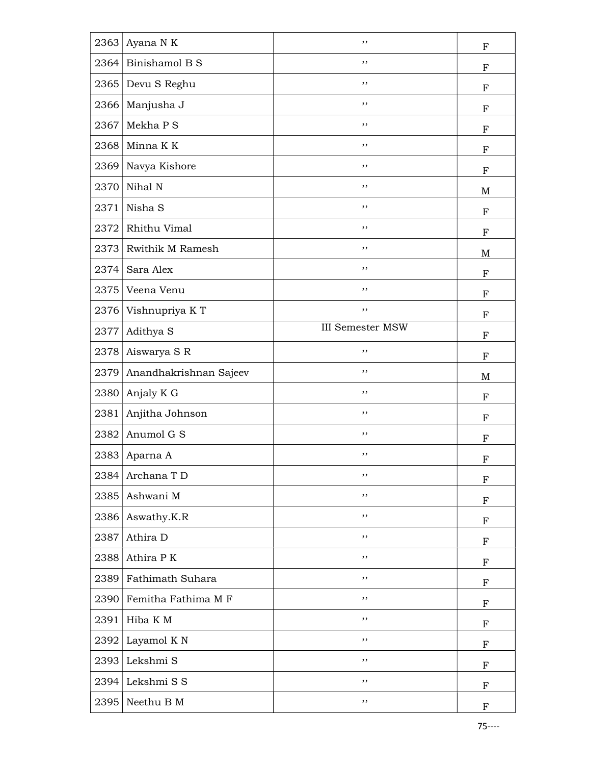| 2363 | Ayana N K               | ,,                      | F                         |
|------|-------------------------|-------------------------|---------------------------|
| 2364 | Binishamol B S          | , ,                     | ${\bf F}$                 |
| 2365 | Devu S Reghu            | , ,                     | ${\bf F}$                 |
| 2366 | Manjusha J              | ,,                      | ${\bf F}$                 |
| 2367 | Mekha P S               | ,,                      | ${\bf F}$                 |
| 2368 | Minna K K               | ,,                      | F                         |
| 2369 | Navya Kishore           | ,,                      | ${\bf F}$                 |
| 2370 | Nihal N                 | ,,                      | M                         |
| 2371 | Nisha S                 | , ,                     | ${\bf F}$                 |
| 2372 | Rhithu Vimal            | ,,                      | $\mathbf F$               |
| 2373 | <b>Rwithik M Ramesh</b> | , ,                     | M                         |
| 2374 | Sara Alex               | , ,                     | ${\bf F}$                 |
| 2375 | Veena Venu              | ,,                      | ${\bf F}$                 |
| 2376 | Vishnupriya KT          | ,,                      | ${\bf F}$                 |
| 2377 | Adithya S               | <b>III Semester MSW</b> | F                         |
| 2378 | Aiswarya S R            | ,,                      | ${\bf F}$                 |
| 2379 | Anandhakrishnan Sajeev  | ,,                      | M                         |
| 2380 | Anjaly K G              | , ,                     | $_{\rm F}$                |
| 2381 | Anjitha Johnson         | ,,                      | $_{\rm F}$                |
| 2382 | Anumol G S              | ,,                      | ${\bf F}$                 |
| 2383 | Aparna A                | ,,                      | F                         |
| 2384 | Archana T D             | ,,                      | $\boldsymbol{\mathrm{F}}$ |
| 2385 | Ashwani M               | ,,                      | $\boldsymbol{\mathrm{F}}$ |
| 2386 | Aswathy.K.R             | ,,                      | F                         |
| 2387 | Athira D                | ,,                      | ${\bf F}$                 |
| 2388 | Athira PK               | ,,                      | $\boldsymbol{\mathrm{F}}$ |
| 2389 | Fathimath Suhara        | ,,                      | $\boldsymbol{\mathrm{F}}$ |
| 2390 | Femitha Fathima M F     | ,,                      | $\boldsymbol{\mathrm{F}}$ |
| 2391 | Hiba K M                | $, \,$                  | F                         |
| 2392 | Layamol K N             | $, \,$                  | $\boldsymbol{\mathrm{F}}$ |
| 2393 | Lekshmi S               | ,,                      | $\boldsymbol{\mathrm{F}}$ |
| 2394 | Lekshmi S S             | ,,                      | $\boldsymbol{\mathrm{F}}$ |
| 2395 |                         |                         |                           |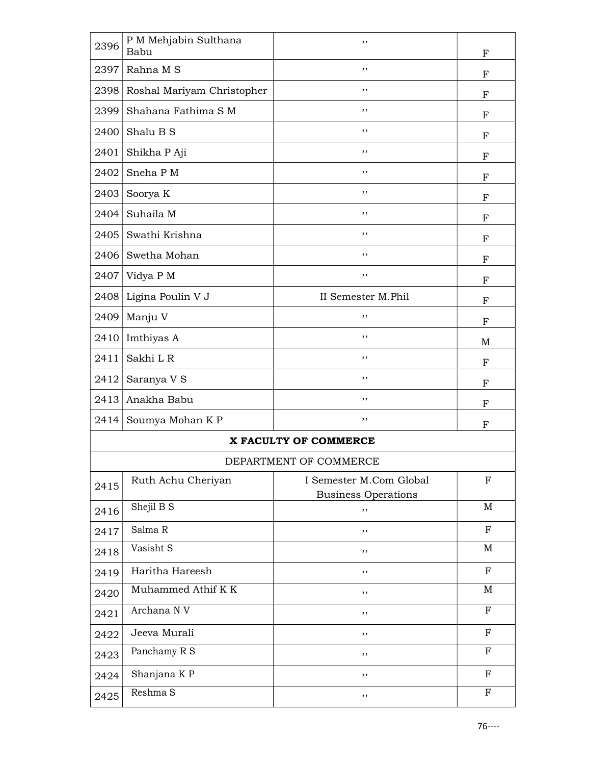| 2396 | P M Mehjabin Sulthana<br>Babu | ,,                               | $\boldsymbol{\mathrm{F}}$ |
|------|-------------------------------|----------------------------------|---------------------------|
| 2397 | Rahna M S                     | ,,                               | F                         |
| 2398 | Roshal Mariyam Christopher    | ,,                               | F                         |
| 2399 | Shahana Fathima S M           | ,,                               | ${\bf F}$                 |
| 2400 | Shalu B S                     | ,,                               | F                         |
| 2401 | Shikha P Aji                  | ,,                               | F                         |
| 2402 | Sneha PM                      | ,,                               | F                         |
| 2403 | Soorya K                      | ,,                               | $_{\rm F}$                |
| 2404 | Suhaila M                     | ,,                               | F                         |
| 2405 | Swathi Krishna                | ,,                               | $\boldsymbol{\mathrm{F}}$ |
| 2406 | Swetha Mohan                  | ,,                               | F                         |
| 2407 | Vidya P M                     | ,,                               | $_{\rm F}$                |
| 2408 | Ligina Poulin V J             | II Semester M.Phil               | ${\bf F}$                 |
| 2409 | Manju V                       | ,,                               | F                         |
| 2410 | Imthiyas A                    | ,,                               | M                         |
| 2411 | Sakhi L R                     | ,,                               | F                         |
| 2412 | Saranya V S                   | ,,                               | F                         |
| 2413 | Anakha Babu                   | ,,                               | F                         |
| 2414 | Soumya Mohan K P              | ,,                               | F                         |
|      |                               | X FACULTY OF COMMERCE            |                           |
|      |                               | DEPARTMENT OF COMMERCE           |                           |
| 2415 | Ruth Achu Cheriyan            | I Semester M.Com Global          | $\mathbf F$               |
| 2416 | Shejil B S                    | <b>Business Operations</b><br>,, | М                         |
| 2417 | Salma R                       | ,,                               | $\mathbf F$               |
| 2418 | Vasisht S                     | , ,                              | M                         |
| 2419 | Haritha Hareesh               | ,,                               | $\mathbf F$               |
| 2420 | Muhammed Athif K K            | ,,                               | M                         |
| 2421 | Archana N V                   | ,,                               | F                         |
| 2422 | Jeeva Murali                  | ,,                               | ${\bf F}$                 |
| 2423 | Panchamy R S                  | , ,                              | $\mathbf F$               |
| 2424 | Shanjana K P                  | ,,                               | ${\bf F}$                 |
| 2425 | Reshma S                      | ,,                               | $\mathbf F$               |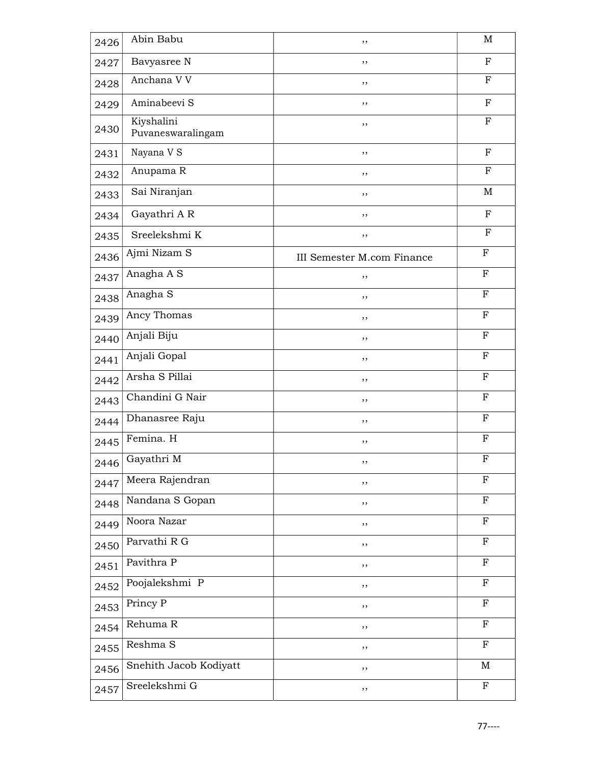| 2426 | Abin Babu                       | ,,                         | M            |
|------|---------------------------------|----------------------------|--------------|
| 2427 | Bavyasree N                     | ,,                         | $_{\rm F}$   |
| 2428 | Anchana V V                     | ,,                         | $\mathbf F$  |
| 2429 | Aminabeevi S                    | ,,                         | $_{\rm F}$   |
| 2430 | Kiyshalini<br>Puvaneswaralingam | ,,                         | $\mathbf F$  |
| 2431 | Nayana V S                      | ,,                         | $_{\rm F}$   |
| 2432 | Anupama R                       | ,,                         | $_{\rm F}$   |
| 2433 | Sai Niranjan                    | ,,                         | $\mathbf M$  |
| 2434 | Gayathri A R                    | ,,                         | ${\bf F}$    |
| 2435 | Sreelekshmi K                   | ,,                         | F            |
| 2436 | Ajmi Nizam S                    | III Semester M.com Finance | $_{\rm F}$   |
| 2437 | Anagha A S                      | ,,                         | $\mathbf{F}$ |
| 2438 | Anagha S                        | , ,                        | $\mathbf F$  |
| 2439 | Ancy Thomas                     | ,,                         | ${\bf F}$    |
| 2440 | Anjali Biju                     | ,,                         | $\mathbf F$  |
| 2441 | Anjali Gopal                    | ,,                         | $\mathbf F$  |
| 2442 | Arsha S Pillai                  | ,,                         | ${\bf F}$    |
| 2443 | Chandini G Nair                 | ,,                         | ${\bf F}$    |
| 2444 | Dhanasree Raju                  | ,,                         | $_{\rm F}$   |
| 2445 | Femina. H                       | ,,                         | ${\bf F}$    |
| 2446 | Gayathri M                      | ,,                         | ${\bf F}$    |
| 2447 | Meera Rajendran                 | ,,                         | $\mathbf F$  |
| 2448 | Nandana S Gopan                 | ,,                         | ${\bf F}$    |
| 2449 | Noora Nazar                     | ,,                         | $\mathbf F$  |
| 2450 | Parvathi R G                    | ,,                         | ${\bf F}$    |
| 2451 | Pavithra P                      | ,,                         | $_{\rm F}$   |
| 2452 | Poojalekshmi P                  | ,,                         | F            |
| 2453 | Princy P                        | ,,                         | $\mathbf F$  |
| 2454 | Rehuma R                        | ,,                         | ${\bf F}$    |
| 2455 | Reshma S                        | ,,                         | F            |
| 2456 | Snehith Jacob Kodiyatt          | ,,                         | M            |
| 2457 | Sreelekshmi G                   | ,,                         | ${\bf F}$    |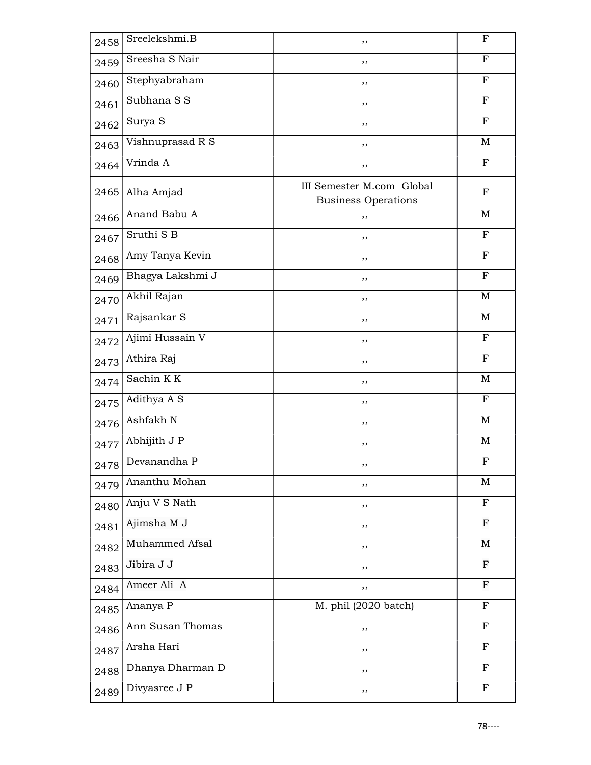| 2458 | Sreelekshmi.B          | , ,                                                     | $\mathbf F$  |
|------|------------------------|---------------------------------------------------------|--------------|
| 2459 | Sreesha S Nair         | ,,                                                      | ${\bf F}$    |
| 2460 | Stephyabraham          | , ,                                                     | $\mathbf F$  |
| 2461 | Subhana S S            | ,,                                                      | $\mathbf{F}$ |
| 2462 | Surya S                | , ,                                                     | $\mathbf F$  |
| 2463 | Vishnuprasad R S       | ,,                                                      | M            |
| 2464 | Vrinda A               | ,,                                                      | $\mathbf F$  |
| 2465 | Alha Amjad             | III Semester M.com Global<br><b>Business Operations</b> | F            |
| 2466 | Anand Babu A           | , ,                                                     | M            |
| 2467 | Sruthi S B             | ,,                                                      | ${\bf F}$    |
| 2468 | Amy Tanya Kevin        | ,,                                                      | $\mathbf F$  |
| 2469 | Bhagya Lakshmi J       | ,,                                                      | $\mathbf F$  |
| 2470 | Akhil Rajan            | , ,                                                     | $\mathbf M$  |
| 2471 | Rajsankar <sub>S</sub> | ,,                                                      | M            |
| 2472 | Ajimi Hussain V        | ,,                                                      | F            |
| 2473 | Athira Raj             | ,,                                                      | $_{\rm F}$   |
| 2474 | Sachin KK              | ,,                                                      | M            |
| 2475 | Adithya A S            | , ,                                                     | $\mathbf F$  |
| 2476 | Ashfakh N              | ,,                                                      | M            |
| 2477 | Abhijith J P           | ,,                                                      | M            |
| 2478 | Devanandha P           | ,,                                                      | F            |
| 2479 | Ananthu Mohan          | ,,                                                      | $\mathbf M$  |
| 2480 | Anju V S Nath          | ,,                                                      | $\mathbf F$  |
| 2481 | Ajimsha M J            | ,,                                                      | $\mathbf F$  |
| 2482 | Muhammed Afsal         | ,,                                                      | M            |
| 2483 | Jibira J J             | ,,                                                      | F            |
| 2484 | Ameer Ali A            | ,,                                                      | $\mathbf F$  |
| 2485 | Ananya P               | $\overline{M}$ . phil (2020 batch)                      | $_{\rm F}$   |
| 2486 | Ann Susan Thomas       | ,,                                                      | $_{\rm F}$   |
| 2487 | Arsha Hari             | ,,                                                      | $_{\rm F}$   |
| 2488 | Dhanya Dharman D       | ,,                                                      | $\mathbf{F}$ |
| 2489 | Divyasree J P          | ,,                                                      | $\mathbf F$  |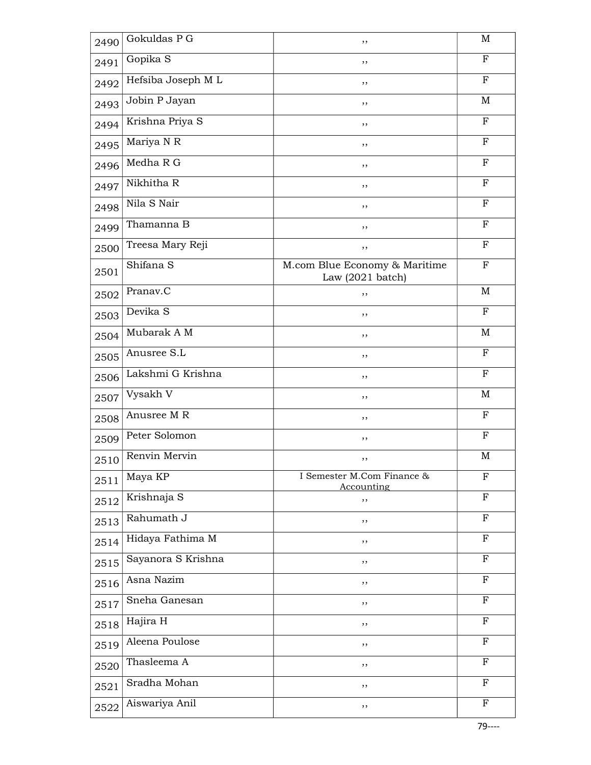| 2490 | Gokuldas $P\overline{G}$ | ,,                                                          | M            |
|------|--------------------------|-------------------------------------------------------------|--------------|
| 2491 | Gopika S                 | ,,                                                          | F            |
| 2492 | Hefsiba Joseph M L       | ,,                                                          | $_{\rm F}$   |
| 2493 | Jobin P Jayan            | ,,                                                          | M            |
| 2494 | Krishna Priya S          | ,,                                                          | $_{\rm F}$   |
| 2495 | Mariya N R               | ,,                                                          | $_{\rm F}$   |
| 2496 | Medha R G                | ,,                                                          | $_{\rm F}$   |
| 2497 | Nikhitha R               | ,,                                                          | $\mathbf{F}$ |
| 2498 | Nila S Nair              | ,,                                                          | $_{\rm F}$   |
| 2499 | Thamanna B               | ,,                                                          | $\mathbf F$  |
| 2500 | Treesa Mary Reji         | ,,                                                          | $_{\rm F}$   |
| 2501 | Shifana <sub>S</sub>     | M.com Blue Economy & Maritime<br>Law $(2021 \text{ batch})$ | $\mathbf F$  |
| 2502 | Pranav.C                 | ,,                                                          | M            |
| 2503 | Devika S                 | ,,                                                          | $\mathbf F$  |
| 2504 | Mubarak A M              | ,,                                                          | M            |
| 2505 | Anusree S.L              | ,,                                                          | $\mathbf F$  |
| 2506 | Lakshmi G Krishna        | ,,                                                          | $_{\rm F}$   |
| 2507 | Vysakh V                 | ,,                                                          | M            |
| 2508 | Anusree M R              | ,,                                                          | $\mathbf F$  |
| 2509 | Peter Solomon            | ,,                                                          | $_{\rm F}$   |
| 2510 | Renvin Mervin            | ,,                                                          | $\mathbf M$  |
| 2511 | Maya KP                  | I Semester M.Com Finance &<br>Accounting                    | F            |
| 2512 | Krishnaja S              | ,,                                                          | $\mathbf F$  |
| 2513 | Rahumath J               | ,,                                                          | $\mathbf F$  |
| 2514 | Hidaya Fathima M         | ,,                                                          | $\mathbf F$  |
| 2515 | Sayanora S Krishna       | ,,                                                          | $_{\rm F}$   |
| 2516 | Asna Nazim               | ,,                                                          | $\mathbf F$  |
| 2517 | Sneha Ganesan            | ,,                                                          | $\mathbf F$  |
| 2518 | Hajira H                 | ,,                                                          | $_{\rm F}$   |
| 2519 | Aleena Poulose           | ,,                                                          | $\mathbf F$  |
| 2520 | Thasleema A              | ,,                                                          | F            |
| 2521 | Sradha Mohan             | ,,                                                          | $\mathbf F$  |
| 2522 | Aiswariya Anil           | ,,                                                          | $\mathbf F$  |